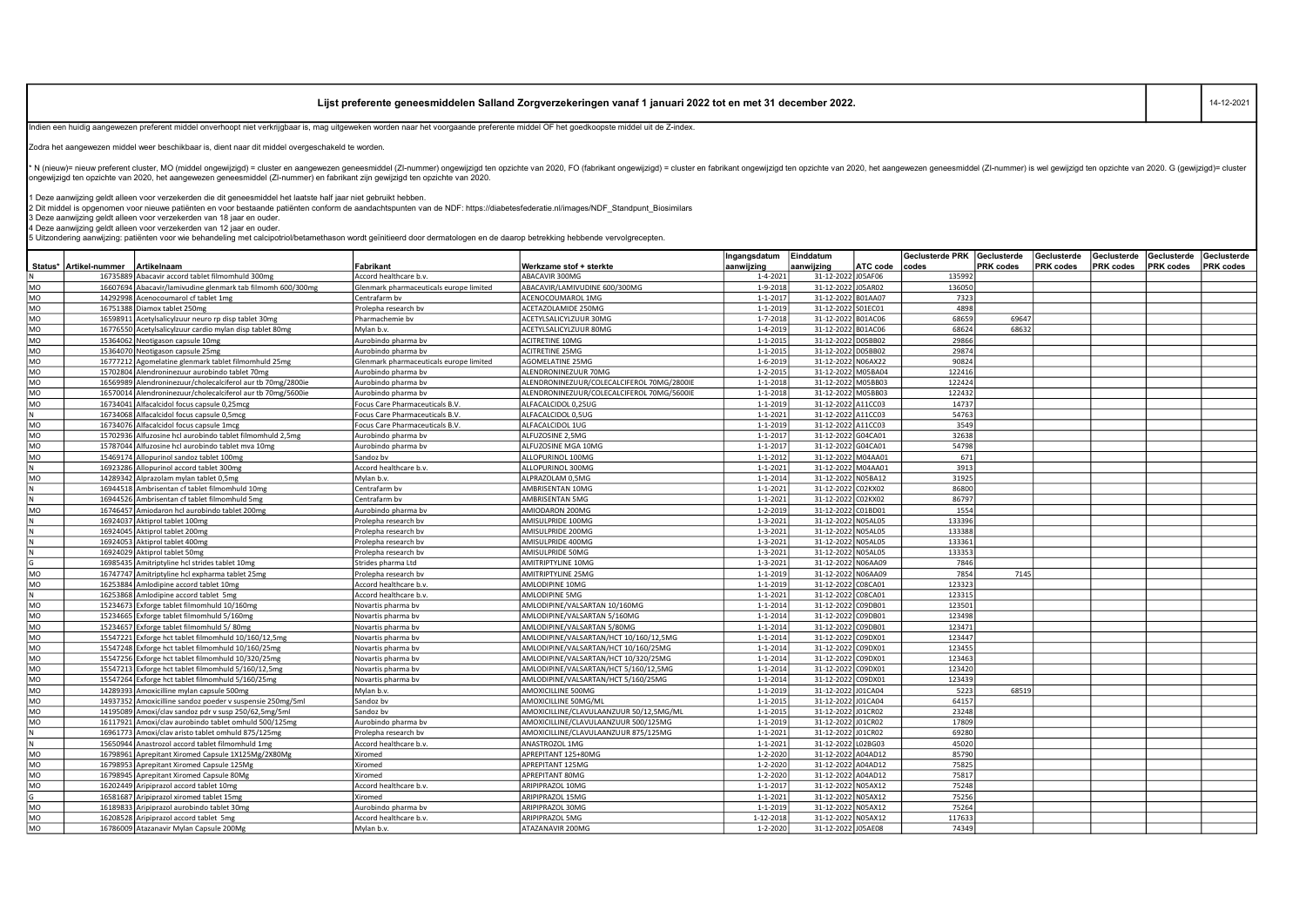## Lijst preferente geneesmiddelen Salland Zorgverzekeringen vanaf 1 januari 2022 tot en met 31 december 2022.

Indien een huidig aangewezen preferent middel onverhoopt niet verkrijgbaar is, mag uitgeweken worden naar het voorgaande preferente middel OF het goedkoopste middel uit de Z-index.

Zodra het aangewezen middel weer beschikbaar is, dient naar dit middel overgeschakeld te worden.

\* N (nieuw)= nieuw preferent cluster, MO (middel ongewijzigd) = cluster en aangewezen geneesmiddel (ZI-nummer) ongewijzigd ten opzichte van 2020, FO (fabrikant ongewijzigd) = cluster en fabrikant ongewijzigd ten opzichte v

1 Deze aanwijzing geldt alleen voor verzekerden die dit geneesmiddel het laatste half jaar niet gebruikt hebben.<br>2 Dit middel is opgenomen voor nieuwe patiënten en voor bestaande patiënten conform de aandachtspunten van d

3 Deze aanwijzing geldt alleen voor verzekerden van 18 jaar en ouder.

4 Deze aanwijzing geldt alleen voor verzekerden van 12 jaar en ouder.

+ Debendering aanwijzing: patiënten voor wie behandeling met calcipotriol/betamethason wordt geïnitieerd door dermatologen en de daarop betrekking hebbende vervolgrecepten.<br>5 Uitzondering aanwijzing: patiënten voor wie be

|           |                          |                                                             |                                         |                                            | Ingangsdatum   | Einddatum          |                 | <b>Geclusterde PRK</b> | Geclusterde      | Geclusterde | Geclusterde | Geclusterde      | Geclusterde |
|-----------|--------------------------|-------------------------------------------------------------|-----------------------------------------|--------------------------------------------|----------------|--------------------|-----------------|------------------------|------------------|-------------|-------------|------------------|-------------|
|           | Status*   Artikel-nummer | Artikelnaam                                                 | Fabrikant                               | Werkzame stof + sterkte                    | aanwijzing     | aanwiizing         | <b>ATC</b> code | codes                  | <b>PRK</b> codes | PRK codes   | PRK codes   | <b>PRK</b> codes | PRK codes   |
|           | 16735889                 | Abacavir accord tablet filmomhuld 300mg                     | Accord healthcare b.v                   | ABACAVIR 300MG                             | $1 - 4 - 2021$ | 31-12-2022 J05AF06 |                 | 135992                 |                  |             |             |                  |             |
| <b>MO</b> |                          | 16607694 Abacavir/lamivudine glenmark tab filmomh 600/300mg | Glenmark pharmaceuticals europe limited | ABACAVIR/LAMIVUDINE 600/300MG              | 1-9-2018       | 31-12-2022 J05AR02 |                 | 136050                 |                  |             |             |                  |             |
| MO        |                          | 14292998 Acenocoumarol cf tablet 1mg                        | Centrafarm by                           | ACENOCOUMAROL 1MG                          | $1 - 1 - 2017$ | 31-12-2022 B01AA07 |                 | 7323                   |                  |             |             |                  |             |
| <b>MO</b> |                          | 16751388 Diamox tablet 250mg                                | Prolepha research by                    | ACETAZOLAMIDE 250MG                        | $1 - 1 - 2019$ | 31-12-2022 S01EC01 |                 | 4898                   |                  |             |             |                  |             |
| MO        |                          | 16598911 Acetylsalicylzuur neuro rp disp tablet 30mg        | Pharmachemie by                         | ACETYLSALICYLZUUR 30MG                     | $1 - 7 - 2018$ | 31-12-2022 B01AC06 |                 | 68659                  | 69647            |             |             |                  |             |
| MO        |                          | 16776550 Acetylsalicylzuur cardio mylan disp tablet 80mg    | Mylan b.v.                              | ACETYLSALICYLZUUR 80MG                     | $1 - 4 - 2019$ | 31-12-2022 B01AC06 |                 | 68624                  | 68632            |             |             |                  |             |
| MO        |                          | 15364062 Neotigason capsule 10mg                            | Aurobindo pharma bv                     | <b>ACITRETINE 10MG</b>                     | $1 - 1 - 2015$ | 31-12-2022 D05BB02 |                 | 29866                  |                  |             |             |                  |             |
| MO        |                          | 15364070 Neotigason capsule 25mg                            | Aurobindo pharma bv                     | <b>ACITRETINE 25MG</b>                     | $1 - 1 - 2015$ | 31-12-2022 D05BB02 |                 | 29874                  |                  |             |             |                  |             |
| <b>MO</b> |                          | 16777212 Agomelatine glenmark tablet filmomhuld 25mg        | Glenmark pharmaceuticals europe limited | <b>AGOMELATINE 25MG</b>                    | $1 - 6 - 2019$ | 31-12-2022 N06AX22 |                 | 90824                  |                  |             |             |                  |             |
| MO        |                          | 15702804 Alendroninezuur aurobindo tablet 70mg              | Aurobindo pharma bv                     | ALENDRONINEZUUR 70MG                       | $1 - 2 - 2015$ | 31-12-2022 M05BA04 |                 | 122416                 |                  |             |             |                  |             |
| <b>MO</b> |                          | 16569989 Alendroninezuur/cholecalciferol aur tb 70mg/2800ie | Aurobindo pharma by                     | ALENDRONINEZUUR/COLECALCIFEROL 70MG/2800IE | $1 - 1 - 2018$ | 31-12-2022 M05BB03 |                 | 122424                 |                  |             |             |                  |             |
| MO        |                          | 16570014 Alendroninezuur/cholecalciferol aur tb 70mg/5600ie | Aurobindo pharma bv                     | ALENDRONINEZUUR/COLECALCIFEROL 70MG/5600IE | $1 - 1 - 2018$ | 31-12-2022 M05BB03 |                 | 122432                 |                  |             |             |                  |             |
| l MO      |                          | 16734041 Alfacalcidol focus capsule 0,25mcg                 | Focus Care Pharmaceuticals B.V          | ALFACALCIDOL 0.25UG                        | $1 - 1 - 2019$ | 31-12-2022 A11CC03 |                 | 14737                  |                  |             |             |                  |             |
|           |                          | 16734068 Alfacalcidol focus capsule 0,5mcg                  | Focus Care Pharmaceuticals B.V          | ALFACALCIDOL 0,5UG                         | $1 - 1 - 2021$ | 31-12-2022 A11CC03 |                 | 54763                  |                  |             |             |                  |             |
| <b>MO</b> |                          | 16734076 Alfacalcidol focus capsule 1mcg                    | Focus Care Pharmaceuticals B.V          | ALFACALCIDOL 1UG                           | $1 - 1 - 2019$ | 31-12-2022 A11CC03 |                 | 3549                   |                  |             |             |                  |             |
| <b>MO</b> |                          | 15702936 Alfuzosine hcl aurobindo tablet filmomhuld 2,5mg   | Aurobindo pharma bv                     | ALFUZOSINE 2,5MG                           | $1 - 1 - 2017$ | 31-12-2022 G04CA01 |                 | 32638                  |                  |             |             |                  |             |
| <b>MO</b> |                          | 15787044 Alfuzosine hcl aurobindo tablet mva 10mg           | Aurobindo pharma bv                     | ALFUZOSINE MGA 10MG                        | $1 - 1 - 2017$ | 31-12-2022 G04CA01 |                 | 54798                  |                  |             |             |                  |             |
| <b>MO</b> |                          | 15469174 Allopurinol sandoz tablet 100mg                    | Sandoz bv                               | ALLOPURINOL 100MG                          | $1 - 1 - 2012$ | 31-12-2022 M04AA01 |                 | 671                    |                  |             |             |                  |             |
|           |                          | 16923286 Allopurinol accord tablet 300mg                    | Accord healthcare b.v.                  | ALLOPURINOL 300MG                          | $1 - 1 - 2021$ | 31-12-2022 M04AA01 |                 | 3913                   |                  |             |             |                  |             |
| <b>MO</b> |                          | 14289342 Alprazolam mylan tablet 0.5mg                      | Mylan b.v.                              | ALPRAZOLAM 0.5MG                           | $1 - 1 - 2014$ | 31-12-2022 N05BA12 |                 | 31925                  |                  |             |             |                  |             |
|           |                          | 16944518 Ambrisentan cf tablet filmomhuld 10mg              | Centrafarm by                           | AMBRISENTAN 10MG                           | $1 - 1 - 2021$ | 31-12-2022 C02KX02 |                 | 86800                  |                  |             |             |                  |             |
|           |                          | 16944526 Ambrisentan cf tablet filmomhuld 5mg               | Centrafarm by                           | AMBRISENTAN 5MG                            | $1 - 1 - 2021$ | 31-12-2022 C02KX02 |                 | 86797                  |                  |             |             |                  |             |
| MO        |                          | 16746457 Amiodaron hcl aurobindo tablet 200m                | Aurobindo pharma by                     | AMIODARON 200MG                            | $1 - 2 - 2019$ | 31-12-2022 C01BD01 |                 | 1554                   |                  |             |             |                  |             |
|           |                          | 16924037 Aktiprol tablet 100mg                              | Prolepha research bv                    | AMISULPRIDE 100MG                          | $1 - 3 - 2021$ | 31-12-2022 N05AL05 |                 | 133396                 |                  |             |             |                  |             |
|           |                          | 16924045 Aktiprol tablet 200mg                              | Prolepha research by                    | AMISULPRIDE 200MG                          | $1 - 3 - 2021$ | 31-12-2022 N05AL05 |                 | 133388                 |                  |             |             |                  |             |
|           |                          | 16924053 Aktiorol tablet 400mg                              | Prolepha research by                    | AMISULPRIDE 400MG                          | $1 - 3 - 2021$ | 31-12-2022 N05AL05 |                 | 133361                 |                  |             |             |                  |             |
|           |                          | 16924029 Aktiprol tablet 50mg                               | Prolepha research bv                    | AMISULPRIDE 50MG                           | $1 - 3 - 2021$ | 31-12-2022 N05AL05 |                 | 133353                 |                  |             |             |                  |             |
|           |                          | 16985435 Amitriptyline hcl strides tablet 10mg              | Strides pharma Ltd                      | <b>AMITRIPTYLINE 10MG</b>                  | $1 - 3 - 2021$ | 31-12-2022 N06AA09 |                 | 7846                   |                  |             |             |                  |             |
| MO        |                          | 16747747 Amitriptyline hcl expharma tablet 25mg             | Prolepha research bv                    | AMITRIPTYLINE 25MG                         | $1 - 1 - 2019$ | 31-12-2022 N06AA09 |                 | 7854                   | 7145             |             |             |                  |             |
| MO        |                          | 16253884 Amlodipine accord tablet 10mg                      | Accord healthcare b.v                   | AMLODIPINE 10MG                            | $1 - 1 - 2019$ | 31-12-2022 C08CA01 |                 | 123323                 |                  |             |             |                  |             |
| l N       |                          | 16253868 Amlodipine accord tablet 5mg                       | Accord healthcare b.v                   | AMLODIPINE 5MG                             | $1 - 1 - 2021$ | 31-12-2022 C08CA01 |                 | 123315                 |                  |             |             |                  |             |
| MO        |                          | 15234673 Exforge tablet filmomhuld 10/160mg                 | Novartis pharma bv                      | AMLODIPINE/VALSARTAN 10/160MG              | $1 - 1 - 2014$ | 31-12-2022 C09DB01 |                 | 123501                 |                  |             |             |                  |             |
| <b>MO</b> | 15234665                 | Exforge tablet filmomhuld 5/160mg                           | Novartis pharma bv                      | AMLODIPINE/VALSARTAN 5/160MG               | $1 - 1 - 2014$ | 31-12-2022 C09DB01 |                 | 123498                 |                  |             |             |                  |             |
| MO        |                          | 15234657 Exforge tablet filmomhuld 5/80mg                   | Novartis pharma by                      | AMLODIPINE/VALSARTAN 5/80MG                | $1 - 1 - 2014$ | 31-12-2022 C09DB01 |                 | 123471                 |                  |             |             |                  |             |
| <b>MO</b> |                          | 15547221 Exforge hct tablet filmomhuld 10/160/12,5mg        | Novartis pharma bv                      | AMLODIPINE/VALSARTAN/HCT 10/160/12,5MG     | $1 - 1 - 2014$ | 31-12-2022 C09DX01 |                 | 123447                 |                  |             |             |                  |             |
| <b>MO</b> |                          | 15547248 Exforge hct tablet filmomhuld 10/160/25mg          | Novartis pharma by                      | AMLODIPINE/VALSARTAN/HCT 10/160/25MG       | $1 - 1 - 2014$ | 31-12-2022 C09DX01 |                 | 123455                 |                  |             |             |                  |             |
| MO        |                          | 15547256 Exforge hct tablet filmomhuld 10/320/25mg          | Novartis pharma by                      | AMLODIPINE/VALSARTAN/HCT 10/320/25MG       | $1 - 1 - 2014$ | 31-12-2022 C09DX01 |                 | 123463                 |                  |             |             |                  |             |
| <b>MO</b> |                          | 15547213 Exforge hct tablet filmomhuld 5/160/12,5mg         | Novartis pharma bv                      | AMLODIPINE/VALSARTAN/HCT 5/160/12,5MG      | $1 - 1 - 2014$ | 31-12-2022 C09DX01 |                 | 123420                 |                  |             |             |                  |             |
| MO        |                          | 15547264 Exforge hct tablet filmomhuld 5/160/25mg           | Novartis pharma bv                      | AMLODIPINE/VALSARTAN/HCT 5/160/25MG        | $1 - 1 - 2014$ | 31-12-2022 C09DX01 |                 | 123439                 |                  |             |             |                  |             |
| MO        |                          | 14289393 Amoxicilline mylan capsule 500mg                   | Mylan b.v.                              | AMOXICILLINE 500MG                         | 1-1-2019       | 31-12-2022 J01CA04 |                 | 5223                   | 68519            |             |             |                  |             |
| <b>MO</b> |                          | 14937352 Amoxicilline sandoz poeder v suspensie 250mg/5ml   | Sandoz by                               | AMOXICILLINE 50MG/ML                       | $1 - 1 - 2015$ | 31-12-2022 J01CA04 |                 | 64157                  |                  |             |             |                  |             |
| <b>MO</b> |                          | 14195089 Amoxi/clay sandoz pdr v susp 250/62.5mg/5ml        | Sandoz by                               | AMOXICILLINE/CLAVULAANZUUR 50/12.5MG/ML    | $1 - 1 - 2015$ | 31-12-2022 J01CR02 |                 | 23248                  |                  |             |             |                  |             |
| <b>MO</b> |                          | 16117921 Amoxi/clav aurobindo tablet omhuld 500/125mg       | Aurobindo pharma bv                     | AMOXICILLINE/CLAVULAANZUUR 500/125MG       | $1 - 1 - 2019$ | 31-12-2022 J01CR02 |                 | 17809                  |                  |             |             |                  |             |
|           |                          | 16961773 Amoxi/clav aristo tablet omhuld 875/125mg          | Prolepha research by                    | AMOXICILLINE/CLAVULAANZUUR 875/125MG       | $1 - 1 - 2021$ | 31-12-2022 J01CR02 |                 | 69280                  |                  |             |             |                  |             |
| l N       |                          | 15650944 Anastrozol accord tablet filmomhuld 1mg            | Accord healthcare b.v                   | ANASTROZOL 1MG                             | $1 - 1 - 2021$ | 31-12-2022 L02BG03 |                 | 45020                  |                  |             |             |                  |             |
| <b>MO</b> |                          | 16798961 Aprepitant Xiromed Capsule 1X125Mg/2X80Mg          | Xiromed                                 | APREPITANT 125+80MG                        | $1 - 2 - 2020$ | 31-12-2022 A04AD12 |                 | 85790                  |                  |             |             |                  |             |
| MO        |                          | 16798953 Aprepitant Xiromed Capsule 125Mg                   | Xiromed                                 | APREPITANT 125MG                           | $1 - 2 - 2020$ | 31-12-2022 A04AD12 |                 | 75825                  |                  |             |             |                  |             |
| MO        |                          | 16798945 Aprepitant Xiromed Capsule 80Mg                    | Xiromed                                 | APREPITANT 80MG                            | $1 - 2 - 2020$ | 31-12-2022 A04AD12 |                 | 75817                  |                  |             |             |                  |             |
| <b>MO</b> |                          | 16202449 Aripiprazol accord tablet 10mg                     | Accord healthcare b.v.                  | ARIPIPRAZOL 10MG                           | $1 - 1 - 2017$ | 31-12-2022 N05AX12 |                 | 75248                  |                  |             |             |                  |             |
| ΓG        |                          | 16581687 Aripiprazol xiromed tablet 15mg                    | Xiromed                                 | ARIPIPRAZOL 15MG                           | $1 - 1 - 2021$ | 31-12-2022 N05AX12 |                 | 75256                  |                  |             |             |                  |             |
| <b>MO</b> | 1618983                  | Aripiprazol aurobindo tablet 30mg                           | Aurobindo pharma bv                     | ARIPIPRAZOL 30MG                           | $1 - 1 - 2019$ | 31-12-2022 N05AX12 |                 | 75264                  |                  |             |             |                  |             |
| <b>MO</b> |                          | 16208528 Aripiprazol accord tablet 5mg                      | Accord healthcare b.v                   | ARIPIPRAZOL 5MG                            | 1-12-2018      | 31-12-2022 N05AX12 |                 | 117633                 |                  |             |             |                  |             |
| MO        |                          | 16786009 Atazanavir Mylan Capsule 200Mg                     | Mylan b.v.                              | ATAZANAVIR 200MG                           | $1 - 2 - 2020$ | 31-12-2022 J05AE08 |                 | 74349                  |                  |             |             |                  |             |

14-12-2021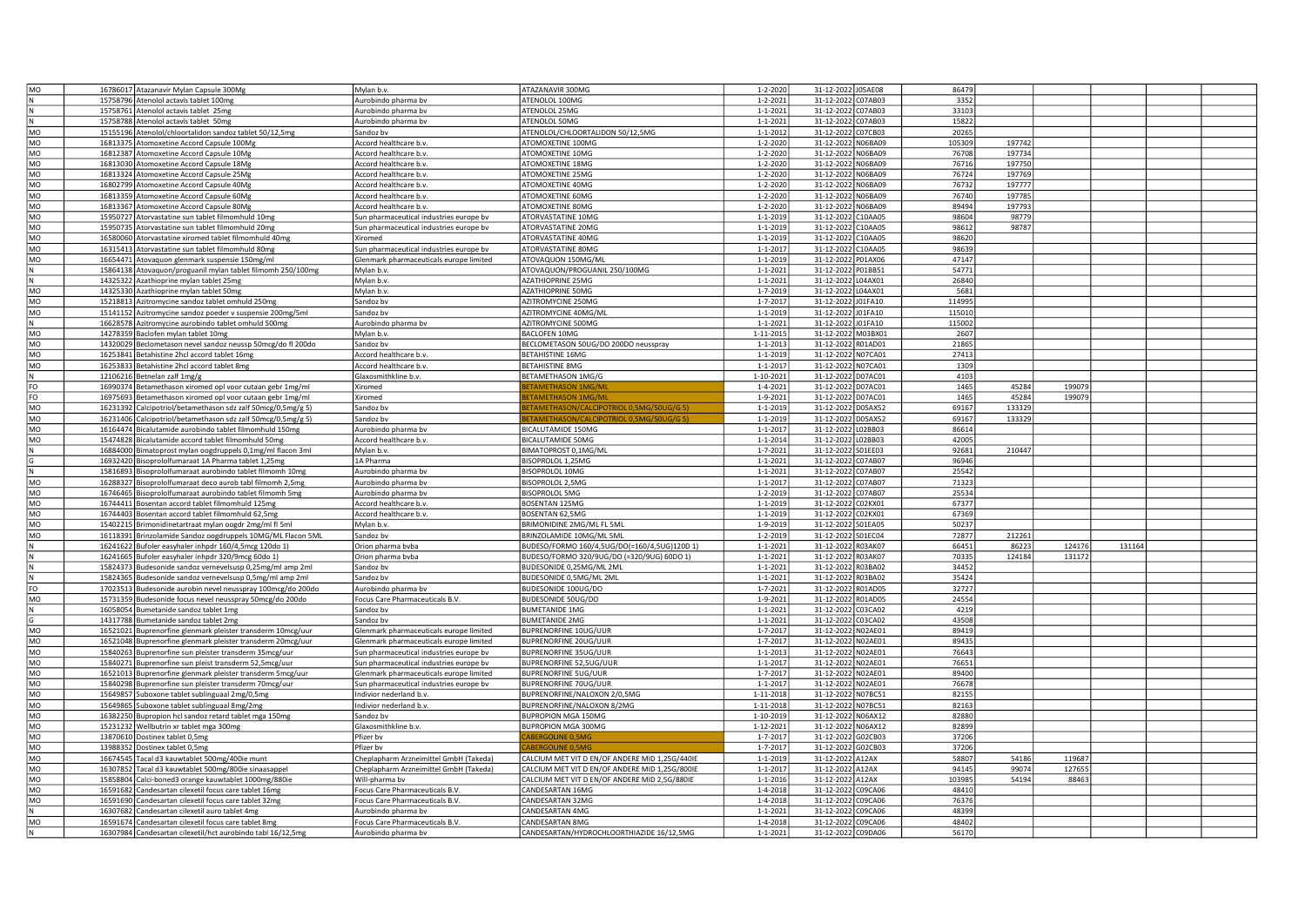| MO              | 16786017 Atazanavir Mylan Capsule 300Mg                      | Mylan b.v.                              | ATAZANAVIR 300MG                                | $1 - 2 - 2020$ | 31-12-2022 J05AE08           | 86479  |        |        |        |  |
|-----------------|--------------------------------------------------------------|-----------------------------------------|-------------------------------------------------|----------------|------------------------------|--------|--------|--------|--------|--|
| N               | 15758796 Atenolol actavis tablet 100mg                       | Aurobindo pharma bv                     | ATENOLOL 100MG                                  | $1 - 2 - 2021$ | 31-12-2022<br>C07AB03        | 3352   |        |        |        |  |
| N               | 15758761 Atenolol actavis tablet 25mg                        | Aurobindo pharma bv                     | ATENOLOL 25MG                                   | $1 - 1 - 2021$ | 07AB03<br>31-12-2022         | 33103  |        |        |        |  |
| N               | 15758788 Atenolol actavis tablet 50mg                        | Aurobindo pharma bv                     | ATENOLOL 50MG                                   | 1-1-2021       | 07AB03<br>31-12-202          | 15822  |        |        |        |  |
| MO              | 15155196 Atenolol/chloortalidon sandoz tablet 50/12,5mg      | Sandoz bv                               | ATENOLOL/CHLOORTALIDON 50/12,5MG                | $1 - 1 - 2012$ | 31-12-2022<br>07CB03         | 20265  |        |        |        |  |
|                 |                                                              |                                         |                                                 |                |                              |        |        |        |        |  |
| MO              | 16813375 Atomoxetine Accord Capsule 100Mg                    | Accord healthcare b.v.                  | <b>ITOMOXETINE 100MG</b>                        | $1 - 2 - 2020$ | 31-12-2022<br>N06BA09        | 105309 | 197742 |        |        |  |
| MO              | 16812387 Atomoxetine Accord Capsule 10Mg                     | Accord healthcare b.v.                  | <b>ATOMOXETINE 10MG</b>                         | $1 - 2 - 2020$ | N06BA09<br>31-12-2022        | 76708  | 197734 |        |        |  |
| MO              | 16813030 Atomoxetine Accord Capsule 18Mg                     | Accord healthcare b.v.                  | <b>ATOMOXETINE 18MG</b>                         | 1-2-2020       | 31-12-2022<br>N06BA09        | 76716  | 197750 |        |        |  |
| MO              | 16813324 Atomoxetine Accord Capsule 25Mg                     | Accord healthcare b.v.                  | <b>ATOMOXETINE 25MG</b>                         | $1 - 2 - 2020$ | 31-12-2022<br>N06BA09        | 76724  | 197769 |        |        |  |
| MO              | 16802799 Atomoxetine Accord Capsule 40Mg                     | Accord healthcare b.v.                  | ATOMOXETINE 40MG                                | $1 - 2 - 2020$ | 31-12-2022<br><b>N06BA09</b> | 76732  | 197777 |        |        |  |
| MO              | 16813359 Atomoxetine Accord Capsule 60Mg                     | Accord healthcare b.v.                  | <b>ATOMOXETINE 60MG</b>                         | $1 - 2 - 2020$ | 31-12-2022<br>N06BA09        | 76740  | 19778  |        |        |  |
| MO              | 16813367 Atomoxetine Accord Capsule 80Mg                     | Accord healthcare b.v                   | ATOMOXETINE 80MG                                | 1-2-2020       | N06BA09<br>31-12-2022        | 89494  | 197793 |        |        |  |
| MO              | 15950727 Atorvastatine sun tablet filmomhuld 10mg            | Sun pharmaceutical industries europe bv | ATORVASTATINE 10MG                              | $1 - 1 - 2019$ | C10AA05<br>31-12-2022        | 98604  | 98779  |        |        |  |
| MO              |                                                              |                                         |                                                 |                |                              | 98612  | 9878   |        |        |  |
|                 | 15950735 Atorvastatine sun tablet filmomhuld 20mg            | Sun pharmaceutical industries europe bv | ATORVASTATINE 20MG                              | $1 - 1 - 2019$ | C10AA05<br>31-12-2022        |        |        |        |        |  |
| MO              | 16580060 Atorvastatine xiromed tablet filmomhuld 40mg        | Xiromed                                 | ATORVASTATINE 40MG                              | $1 - 1 - 2019$ | 31-12-2022<br>C10AA05        | 98620  |        |        |        |  |
| MO              | 16315413 Atorvastatine sun tablet filmomhuld 80mg            | Sun pharmaceutical industries europe bv | ATORVASTATINE 80MG                              | $1 - 1 - 2017$ | 31-12-2022<br>10AA05         | 98639  |        |        |        |  |
| MO              | 16654471 Atovaquon glenmark suspensie 150mg/ml               | Glenmark pharmaceuticals europe limited | ATOVAQUON 150MG/MI                              | $1 - 1 - 2019$ | 31-12-2022<br>P01AX06        | 47147  |        |        |        |  |
| ${\sf N}$       | 15864138 Atovaquon/proguanil mylan tablet filmomh 250/100mg  | Mylan b.v.                              | ATOVAQUON/PROGUANIL 250/100MG                   | $1 - 1 - 2021$ | P01BB51<br>31-12-2022        | 54771  |        |        |        |  |
| N               | 14325322 Azathioprine mylan tablet 25mg                      | Mylan b.v.                              | <b>AZATHIOPRINE 25MG</b>                        | $1 - 1 - 2021$ | 31-12-2022<br>04AX01         | 26840  |        |        |        |  |
| MO              | 14325330 Azathioprine mylan tablet 50mg                      | Mylan b.v.                              | <b>AZATHIOPRINE 50MG</b>                        | $1 - 7 - 201$  | 04AX01<br>31-12-2022         | 5681   |        |        |        |  |
| MO              | 15218813 Azitromycine sandoz tablet omhuld 250mg             | Sandoz bv                               | AZITROMYCINE 250MG                              | $1 - 7 - 201$  | 31-12-2022<br>01FA10         | 114995 |        |        |        |  |
|                 |                                                              |                                         |                                                 |                |                              |        |        |        |        |  |
| MO              | 15141152 Azitromycine sandoz poeder v suspensie 200mg/5ml    | Sandoz by                               | AZITROMYCINE 40MG/MI                            | $1 - 1 - 2019$ | 31-12-2022<br>01FA10         | 115010 |        |        |        |  |
| N               | 16628578 Azitromycine aurobindo tablet omhuld 500mg          | Aurobindo pharma by                     | AZITROMYCINE 500MG                              | $1 - 1 - 2021$ | J01FA10<br>31-12-2022        | 115002 |        |        |        |  |
| MO              | 14278359 Baclofen mylan tablet 10mg                          | Mylan b.v.                              | <b>BACLOFEN 10MG</b>                            | 1-11-2015      | M03BX01<br>31-12-2022        | 2607   |        |        |        |  |
| MO              | 14320029 Beclometason nevel sandoz neussp 50mcg/do fl 200do  | Sandoz by                               | BECLOMETASON 50UG/DO 200DO neusspray            | $1 - 1 - 2013$ | 31-12-2022<br>R01AD01        | 21865  |        |        |        |  |
| MO              | 16253841 Betahistine 2hcl accord tablet 16mg                 | Accord healthcare b.v.                  | <b>BETAHISTINE 16MG</b>                         | 1-1-2019       | 31-12-2022<br><b>N07CA01</b> | 27413  |        |        |        |  |
| MO              | 16253833 Betahistine 2hcl accord tablet 8mg                  | Accord healthcare b.v.                  | <b>BETAHISTINE 8MG</b>                          | $1 - 1 - 2017$ | 31-12-2022<br><b>N07CA01</b> | 1309   |        |        |        |  |
| N               |                                                              | Glaxosmithkline b.v.                    | BETAMETHASON 1MG/G                              | 1-10-2021      | 31-12-2022<br>D07AC01        | 4103   |        |        |        |  |
|                 | 12106216 Betnelan zalf 1mg/g                                 |                                         |                                                 |                |                              |        |        |        |        |  |
| FO              | 16990374 Betamethason xiromed opl voor cutaan gebr 1mg/ml    | Xiromed                                 | <b>TAMETHASON 1MG/M</b>                         | 1-4-2021       | 31-12-2022<br>D07AC01        | 1465   | 45284  | 199079 |        |  |
| FO              | 16975693 Betamethason xiromed opl voor cutaan gebr 1mg/ml    | Xiromed                                 | <b>TAMETHASON 1MG/ML</b>                        | 1-9-2021       | 31-12-2022<br>D07AC01        | 1465   | 45284  | 19907  |        |  |
| MO              | 16231392 Calcipotriol/betamethason sdz zalf 50mcg/0,5mg/g 5) | Sandoz bv                               | TAMETHASON/CALCIPOTRIOL 0,5MG/50UG/G 5          | $1 - 1 - 201$  | 31-12-2022<br>D05AX52        | 69167  | 133329 |        |        |  |
| MO              | 16231406 Calcipotriol/betamethason sdz zalf 50mcg/0,5mg/g 5) | Sandoz by                               | <b>TAMETHASON/CALCIPOTRIOL 0 5MG/50LIG/G 5)</b> | $1 - 1 - 2019$ | 31-12-2022<br>D05AX52        | 69167  | 133329 |        |        |  |
| MO              | 16164474 Bicalutamide aurobindo tablet filmomhuld 150mg      | Aurobindo pharma bv                     | BICALUTAMIDE 150MG                              | $1 - 1 - 201$  | 02BB03<br>31-12-2022         | 86614  |        |        |        |  |
| MO              | 15474828 Bicalutamide accord tablet filmomhuld 50mg          | Accord healthcare b.v.                  | <b>BICALUTAMIDE 50MG</b>                        | $1 - 1 - 2014$ | 02BB03<br>31-12-2022         | 42005  |        |        |        |  |
|                 | 16884000 Bimatoprost mylan oogdruppels 0,1mg/ml flacon 3ml   | Mylan b.v.                              | BIMATOPROST 0,1MG/ML                            | 1-7-2021       | 31-12-2022<br>S01EE03        | 92681  | 210447 |        |        |  |
|                 | 16932420 Bisoprololfumaraat 1A Pharma tablet 1,25mg          | 1A Pharma                               | BISOPROLOL 1,25MG                               | $1 - 1 - 2021$ | 31-12-2022<br>C07AB07        | 96946  |        |        |        |  |
|                 |                                                              |                                         |                                                 |                |                              |        |        |        |        |  |
|                 | 15816893 Bisoprololfumaraat aurobindo tablet filmomh 10m     | Aurobindo pharma bv                     | BISOPROLOL 10MG                                 | $1 - 1 - 2021$ | 31-12-2022<br>C07AB07        | 25542  |        |        |        |  |
| MO              | 16288327 Bisoprololfumaraat deco aurob tabl filmomh 2.5mg    | Aurobindo pharma by                     | <b>BISOPROLOL 2.5MG</b>                         | $1 - 1 - 2017$ | 31-12-2022<br>C07AB07        | 71323  |        |        |        |  |
| $\overline{MQ}$ | 16746465 Bisoprololfumaraat aurobindo tablet filmomh 5mg     | Aurobindo pharma by                     | <b>BISOPROLOL 5MG</b>                           | 1-2-2019       | 07AB07<br>31-12-2022         | 25534  |        |        |        |  |
| <b>MO</b>       | 16744411 Bosentan accord tablet filmomhuld 125mg             | Accord healthcare b.v                   | BOSENTAN 125MG                                  | $1 - 1 - 201$  | C02KX01<br>31-12-2022        | 67377  |        |        |        |  |
| MO              | 16744403 Bosentan accord tablet filmomhuld 62,5mg            | Accord healthcare b.v.                  | BOSENTAN 62,5MG                                 | $1 - 1 - 201$  | 31-12-2022<br>C02KX01        | 67369  |        |        |        |  |
| MO              | 15402215 Brimonidinetartraat mylan oogdr 2mg/ml fl 5ml       | Mylan b.v.                              | BRIMONIDINE 2MG/ML FL 5ML                       | $1 - 9 - 201$  | 31-12-2022<br>S01EA05        | 50237  |        |        |        |  |
| MO              | 16118391 Brinzolamide Sandoz oogdruppels 10MG/ML Flacon 5ML  | Sandoz bv                               | BRINZOLAMIDE 10MG/ML 5ML                        | $1 - 2 - 201$  | 31-12-2022<br>S01EC04        | 72877  | 21226: |        |        |  |
|                 |                                                              |                                         |                                                 |                | R03AK07                      | 66451  | 86223  | 124176 | 131164 |  |
|                 | 16241622 Bufoler easyhaler inhpdr 160/4,5mcg 120do 1)        | Orion pharma byba                       | BUDESO/FORMO 160/4,5UG/DO(=160/4,5UG)120D 1)    | $1 - 1 - 2021$ | 31-12-2022                   |        |        |        |        |  |
|                 | 16241665 Bufoler easyhaler inhpdr 320/9mcg 60do 1)           | Orion pharma bvba                       | BUDESO/FORMO 320/9UG/DO (=320/9UG) 60DO 1)      | $1 - 1 - 2021$ | 31-12-202<br><b>R03AK07</b>  | 70335  | 124184 | 131172 |        |  |
|                 | 15824373 Budesonide sandoz vernevelsusp 0,25mg/ml amp 2ml    | Sandoz by                               | BUDESONIDE 0,25MG/ML 2ML                        | $1 - 1 - 2021$ | 31-12-2022<br>R03BA02        | 34452  |        |        |        |  |
|                 | 15824365 Budesonide sandoz vernevelsusp 0,5mg/ml amp 2ml     | Sandoz by                               | BUDESONIDE 0,5MG/ML 2ML                         | $1 - 1 - 2021$ | R03BA02<br>31-12-202         | 35424  |        |        |        |  |
| FO              | 17023513 Budesonide aurobin nevel neusspray 100mcg/do 200do  | Aurobindo pharma bv                     | BUDESONIDE 100UG/DO                             | $1 - 7 - 2021$ | 31-12-2022<br><b>RO1AD05</b> | 32727  |        |        |        |  |
| MO              | 15731359 Budesonide focus nevel neusspray 50mcg/do 200do     | Focus Care Pharmaceuticals B.V          | BUDESONIDE 50UG/DO                              | 1-9-2021       | R01AD05<br>31-12-2022        | 24554  |        |        |        |  |
| N               | 16058054 Bumetanide sandoz tablet 1mg                        | Sandoz by                               | <b>BUMETANIDE 1MG</b>                           | $1 - 1 - 2021$ | C03CA02<br>31-12-2022        | 4219   |        |        |        |  |
|                 | 14317788 Bumetanide sandoz tablet 2mg                        | Sandoz bv                               | <b>BUMETANIDE 2MG</b>                           | $1 - 1 - 2021$ | C03CA02<br>31-12-2022        | 43508  |        |        |        |  |
| MO              | 16521021 Buprenorfine glenmark pleister transderm 10mcg/uur  | Glenmark pharmaceuticals europe limited | BUPRENORFINE 10UG/UUR                           | $1 - 7 - 201$  | 31-12-2022<br>NO2AE01        | 89419  |        |        |        |  |
|                 |                                                              |                                         |                                                 |                |                              |        |        |        |        |  |
| MO              | 16521048 Buprenorfine glenmark pleister transderm 20mcg/uur  | Glenmark pharmaceuticals europe limited | BUPRENORFINE 20UG/UUR                           | $1 - 7 - 201$  | 31-12-2022<br>N02AE01        | 89435  |        |        |        |  |
| MO              | 15840263 Buprenorfine sun pleister transderm 35mcg/uur       | Sun pharmaceutical industries europe bv | BUPRENORFINE 35UG/UUR                           | $1 - 1 - 2013$ | 31-12-2022<br>N02AE01        | 76643  |        |        |        |  |
| MO              | 15840271 Buprenorfine sun pleist transderm 52,5mcg/uur       | Sun pharmaceutical industries europe bv | BUPRENORFINE 52,5UG/UUR                         | $1 - 1 - 2017$ | 31-12-2022 NO2AE01           | 76651  |        |        |        |  |
| MO              | 16521013 Buprenorfine glenmark pleister transderm 5mcg/uur   | Glenmark pharmaceuticals europe limited | <b>BUPRENORFINE 5UG/UUR</b>                     | 1-7-2017       | N02AE01<br>31-12-2022        | 89400  |        |        |        |  |
| MO              | 15840298 Buprenorfine sun pleister transderm 70mcg/uur       | Sun pharmaceutical industries europe bv | BUPRENORFINE 70UG/UUR                           | $1 - 1 - 2017$ | 31-12-2022 NO2AE01           | 76678  |        |        |        |  |
| MO              | 15649857 Suboxone tablet sublinguaal 2mg/0,5mg               | Indivior nederland b.v.                 | BUPRENORFINE/NALOXON 2/0,5MG                    | 1-11-2018      | 31-12-2022 NO7BC51           | 82155  |        |        |        |  |
| MO              | 15649865 Suboxone tablet sublinguaal 8mg/2mg                 | Indivior nederland b.v.                 | BUPRENORFINE/NALOXON 8/2MG                      | 1-11-2018      | 31-12-2022<br>N07BC51        | 82163  |        |        |        |  |
| MO              |                                                              | Sandoz by                               | BUPROPION MGA 150MG                             | 1-10-2019      | N06AX12<br>31-12-2022        | 82880  |        |        |        |  |
|                 | 16382250 Bupropion hcl sandoz retard tablet mga 150mg        |                                         |                                                 |                |                              |        |        |        |        |  |
| MO              | 15231232 Wellbutrin xr tablet mga 300mg                      | Glaxosmithkline b.v.                    | <b>BUPROPION MGA 300MG</b>                      | 1-12-2021      | N06AX12<br>31-12-2022        | 82899  |        |        |        |  |
| MO              | 13870610 Dostinex tablet 0,5mg                               | Pfizer bv                               | ABERGOLINE 0.5MG                                | $1 - 7 - 201$  | G02CB03<br>31-12-2022        | 37206  |        |        |        |  |
| MO              | 13988352 Dostinex tablet 0,5mg                               | Pfizer by                               | <b>ABERGOLINE 0.5M</b>                          | $1 - 7 - 201$  | 31-12-2022<br>G02CB03        | 37206  |        |        |        |  |
| MO              | 16674545 Tacal d3 kauwtablet 500mg/400ie munt                | Cheplapharm Arzneimittel GmbH (Takeda)  | CALCIUM MET VIT D EN/OF ANDERE MID 1,25G/440IE  | $1 - 1 - 201$  | 31-12-2022<br>A12AX          | 58807  | 54186  | 119687 |        |  |
| MO              | 16307852 Tacal d3 kauwtablet 500mg/800ie sinaasappel         | Cheplapharm Arzneimittel GmbH (Takeda)  | CALCIUM MET VIT D EN/OF ANDERE MID 1,25G/800IE  | $1 - 1 - 2017$ | 31-12-2022<br>A12AX          | 94145  | 99074  | 127655 |        |  |
| MO              | 15858804 Calci-boned3 orange kauwtablet 1000mg/880ie         | Will-pharma bv                          | CALCIUM MET VIT D EN/OF ANDERE MID 2,5G/880IE   | $1 - 1 - 2016$ | 31-12-2022<br>A12AX          | 103985 | 54194  | 88463  |        |  |
| MO              | 16591682 Candesartan cilexetil focus care tablet 16mg        | Focus Care Pharmaceuticals B.V.         | CANDESARTAN 16MG                                | 1-4-2018       | 31-12-2022<br>C09CA06        | 48410  |        |        |        |  |
| MO              |                                                              |                                         | ANDESARTAN 32MG                                 |                |                              | 76376  |        |        |        |  |
|                 | 16591690 Candesartan cilexetil focus care tablet 32mg        | Focus Care Pharmaceuticals B.V.         |                                                 | 1-4-2018       | 31-12-2022<br>09CA06         |        |        |        |        |  |
| N               | 16307682 Candesartan cilexetil auro tablet 4mg               | Aurobindo pharma bv                     | <b>CANDESARTAN 4MG</b>                          | $1 - 1 - 2021$ | 31-12-2022<br>09CA06         | 48399  |        |        |        |  |
| MO              | 16591674 Candesartan cilexetil focus care tablet 8mg         | Focus Care Pharmaceuticals B.V.         | <b>ANDESARTAN 8MG</b>                           | $1 - 4 - 2018$ | 31-12-2022<br>C09CA06        | 48402  |        |        |        |  |
| $\,$ N          | 16307984 Candesartan cilexetil/hct aurobindo tabl 16/12,5mg  | Aurobindo pharma bv                     | CANDESARTAN/HYDROCHLOORTHIAZIDE 16/12,5MG       | $1 - 1 - 2021$ | 31-12-2022 C09DA06           | 56170  |        |        |        |  |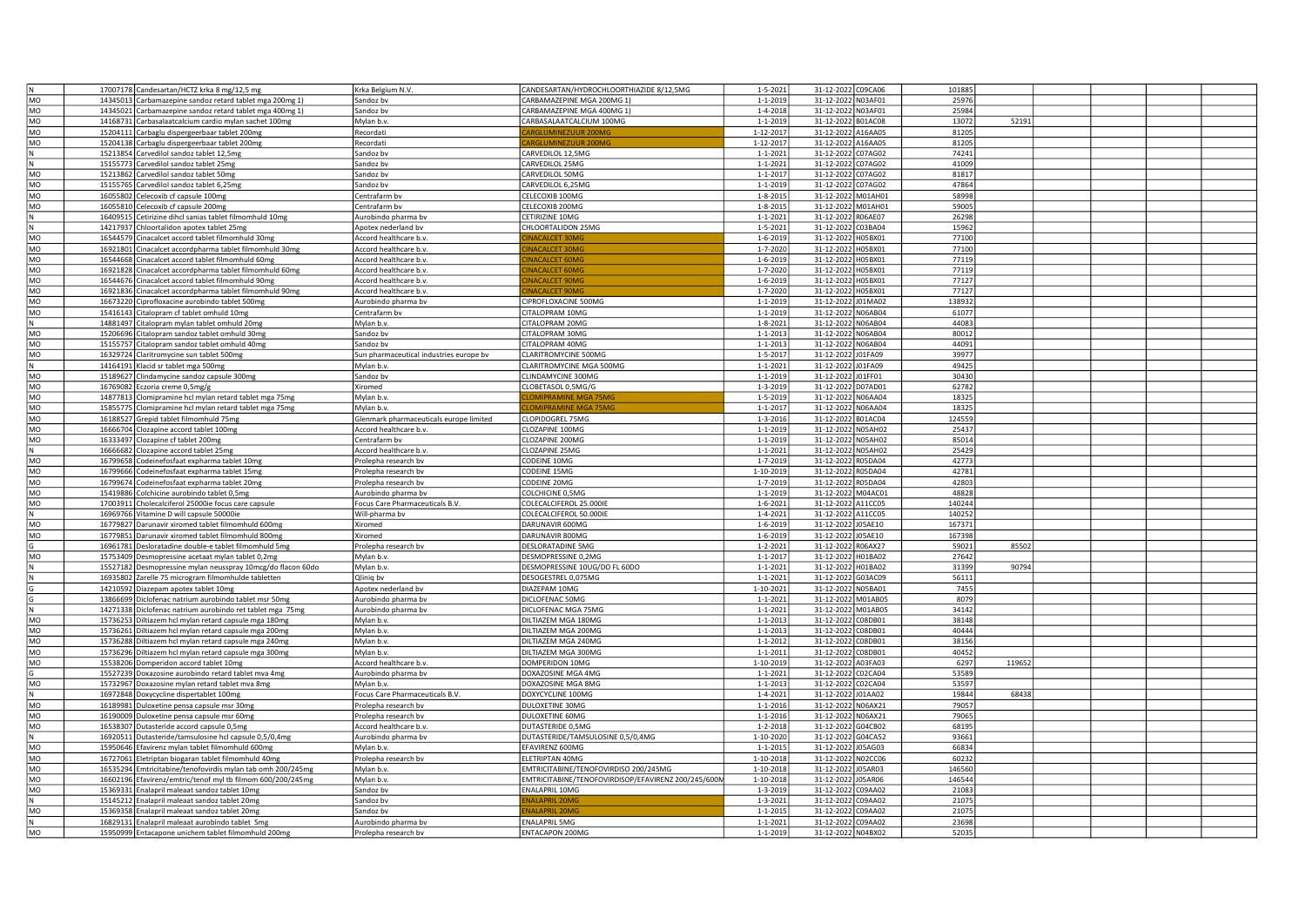|           | 17007178 Candesartan/HCTZ krka 8 mg/12,5 mg                 | Krka Belgium N.V.                       | CANDESARTAN/HYDROCHLOORTHIAZIDE 8/12,5MG            | $1 - 5 - 2021$ | 31-12-2022 C09CA06 | 101885 |        |  |  |
|-----------|-------------------------------------------------------------|-----------------------------------------|-----------------------------------------------------|----------------|--------------------|--------|--------|--|--|
| MO        | 14345013 Carbamazepine sandoz retard tablet mga 200mg 1)    | Sandoz by                               | CARBAMAZEPINE MGA 200MG 1)                          | $1 - 1 - 2019$ | 31-12-2022 N03AF01 | 25976  |        |  |  |
| MO        | 14345021 Carbamazepine sandoz retard tablet mga 400mg 1)    | Sandoz bv                               | CARBAMAZEPINE MGA 400MG 1)                          | 1-4-2018       | 31-12-2022 N03AF01 | 25984  |        |  |  |
| MO        | 14168731 Carbasalaatcalcium cardio mylan sachet 100mg       | Mylan b.v.                              | CARBASALAATCALCIUM 100MG                            | $1 - 1 - 2019$ | 31-12-2022 B01AC08 | 13072  | 52191  |  |  |
| MO        |                                                             | Recordat                                |                                                     | 1-12-2017      | 31-12-2022 A16AA05 | 81205  |        |  |  |
| MO        | 15204111 Carbaglu dispergeerbaar tablet 200mg               | Recordati                               |                                                     | 1-12-2017      | 31-12-2022 A16AA05 | 81205  |        |  |  |
|           | 15204138 Carbaglu dispergeerbaar tablet 200mg               |                                         |                                                     |                |                    |        |        |  |  |
| N         | 15213854 Carvedilol sandoz tablet 12,5mg                    | Sandoz bv                               | CARVEDILOL 12,5MG                                   | $1 - 1 - 2021$ | 31-12-2022 C07AG02 | 74241  |        |  |  |
|           | 15155773 Carvedilol sandoz tablet 25mg                      | Sandoz bv                               | ARVEDILOL 25MG                                      | $1 - 1 - 2021$ | 31-12-2022 C07AG02 | 41009  |        |  |  |
| MO        | 15213862 Carvedilol sandoz tablet 50mg                      | Sandoz bv                               | CARVEDILOL 50MG                                     | $1 - 1 - 2017$ | 31-12-2022 C07AG02 | 81817  |        |  |  |
| MO        | 15155765 Carvedilol sandoz tablet 6,25mg                    | Sandoz by                               | CARVEDILOL 6,25MG                                   | $1 - 1 - 2019$ | 31-12-2022 C07AG02 | 47864  |        |  |  |
| MO        | 16055802 Celecoxib cf capsule 100mg                         | Centrafarm bv                           | CELECOXIB 100MG                                     | 1-8-2015       | 31-12-2022 M01AH01 | 58998  |        |  |  |
| MO        | 16055810 Celecoxib cf capsule 200mg                         | Centrafarm bv                           | <b>ELECOXIB 200MG</b>                               | $1 - 8 - 2015$ | 31-12-2022 M01AH01 | 59005  |        |  |  |
| N         | 16409515 Cetirizine dihcl sanias tablet filmomhuld 10mg     | Aurobindo pharma bv                     | CETIRIZINE 10MG                                     | $1 - 1 - 2021$ | 31-12-2022 R06AE07 | 26298  |        |  |  |
| N         | 14217937 Chloortalidon apotex tablet 25mg                   | Apotex nederland bv                     | CHLOORTALIDON 25MG                                  | 1-5-2021       | 31-12-2022 C03BA04 | 15962  |        |  |  |
|           |                                                             |                                         |                                                     |                |                    |        |        |  |  |
| MO        | 16544579 Cinacalcet accord tablet filmomhuld 30m            | Accord healthcare b.v.                  | <b>VACALCET 30M</b>                                 | 1-6-2019       | 31-12-2022 H05BX01 | 77100  |        |  |  |
| MO        | 16921801 Cinacalcet accordpharma tablet filmomhuld 30mg     | Accord healthcare b.v.                  | <b>VACALCET 30M</b>                                 | 1-7-2020       | 31-12-2022 H05BX01 | 77100  |        |  |  |
| MO        | 16544668 Cinacalcet accord tablet filmomhuld 60mg           | Accord healthcare b.v.                  | <b>VACALCET 60MC</b>                                | $1 - 6 - 2019$ | 31-12-2022 H05BX01 | 77119  |        |  |  |
| MO        | 16921828 Cinacalcet accordpharma tablet filmomhuld 60mg     | Accord healthcare b.v.                  | <b>NACALCET 60M</b>                                 | 1-7-2020       | 31-12-2022 H05BX01 | 77119  |        |  |  |
| MO        | 16544676 Cinacalcet accord tablet filmomhuld 90mg           | Accord healthcare b.v.                  | NACALCET 90MG                                       | $1 - 6 - 2019$ | 31-12-2022 H05BX01 | 77127  |        |  |  |
| MO        | 16921836 Cinacalcet accordpharma tablet filmomhuld 90mg     | Accord healthcare b.v                   | <b>NACALCET 90M</b>                                 | 1-7-2020       | 31-12-2022 H05BX01 | 77127  |        |  |  |
| MO        | 16673220 Ciprofloxacine aurobindo tablet 500mg              | Aurobindo pharma bv                     | CIPROFLOXACINE 500MG                                | $1 - 1 - 2019$ | 31-12-2022 J01MA02 | 138932 |        |  |  |
| MO        | 15416143 Citalopram cf tablet omhuld 10mg                   | Centrafarm by                           | <b>ITALOPRAM 10MG</b>                               | $1 - 1 - 2019$ | 31-12-2022 N06AB04 | 61077  |        |  |  |
| N         | 14881497 Citalopram mylan tablet omhuld 20mg                | Mylan b.v.                              | CITALOPRAM 20MG                                     | $1 - 8 - 2021$ | 31-12-2022 N06AB04 | 44083  |        |  |  |
|           |                                                             |                                         |                                                     |                |                    |        |        |  |  |
| MO        | 15206696 Citalopram sandoz tablet omhuld 30mg               | Sandoz by                               | CITALOPRAM 30MG                                     | $1 - 1 - 2013$ | 31-12-2022 N06AB04 | 80012  |        |  |  |
| MO        | 15155757 Citalopram sandoz tablet omhuld 40mg               | Sandoz by                               | CITALOPRAM 40MG                                     | $1 - 1 - 2013$ | 31-12-2022 N06AB04 | 44091  |        |  |  |
| MO        | 16329724 Claritromycine sun tablet 500mg                    | Sun pharmaceutical industries europe bv | LARITROMYCINE 500MG                                 | $1 - 5 - 2017$ | 31-12-2022 J01FA09 | 39977  |        |  |  |
|           | 14164191 Klacid sr tablet mga 500mg                         | Mylan b.v.                              | LARITROMYCINE MGA 500MG                             | $1 - 1 - 2021$ | 31-12-2022 J01FA09 | 49425  |        |  |  |
| MO        | 15189627 Clindamycine sandoz capsule 300mg                  | Sandoz bv                               | LINDAMYCINE 300MG                                   | $1 - 1 - 2019$ | 31-12-2022 J01FF01 | 30430  |        |  |  |
| MO        | 16769082 Eczoria creme 0,5mg/g                              | Xiromed                                 | CLOBETASOL 0,5MG/G                                  | 1-3-2019       | 31-12-2022 D07AD01 | 62782  |        |  |  |
| MO        | 14877813 Clomipramine hcl mylan retard tablet mga 75mg      | Mylan b.v.                              | <b>OMIPRAMINE MGA 75M</b>                           | $1 - 5 - 2019$ | 31-12-2022 N06AA04 | 18325  |        |  |  |
| MO        |                                                             | Mylan b.v                               | <b>OMIPRAMINE MGA 75MG</b>                          | $1 - 1 - 2017$ | 31-12-2022 N06AA04 | 18325  |        |  |  |
|           | 15855775 Clomipramine hcl mylan retard tablet mga 75mg      |                                         |                                                     |                |                    |        |        |  |  |
| MO        | 16188527 Grepid tablet filmomhuld 75mg                      | Glenmark pharmaceuticals europe limited | LOPIDOGREL 75MG                                     | 1-3-2016       | 31-12-2022 B01AC04 | 124559 |        |  |  |
| MO        | 16666704 Clozapine accord tablet 100mg                      | Accord healthcare b.v.                  | LOZAPINE 100MG                                      | $1 - 1 - 2019$ | 31-12-2022 N05AH02 | 25437  |        |  |  |
| MO        | 16333497 Clozapine cf tablet 200mg                          | Centrafarm bv                           | LOZAPINE 200MG                                      | $1 - 1 - 2019$ | 31-12-2022 N05AH02 | 85014  |        |  |  |
| N         | 16666682 Clozapine accord tablet 25mg                       | Accord healthcare b.v.                  | CLOZAPINE 25MG                                      | $1 - 1 - 2021$ | 31-12-2022 N05AH02 | 25429  |        |  |  |
| MO        | 16799658 Codeinefosfaat expharma tablet 10mg                | Prolepha research bv                    | CODEINE 10MG                                        | 1-7-2019       | 31-12-2022 R05DA04 | 42773  |        |  |  |
| MO        | 16799666 Codeinefosfaat expharma tablet 15mg                | Prolepha research bv                    | CODEINE 15MG                                        | 1-10-2019      | 31-12-2022 R05DA04 | 42781  |        |  |  |
| MO        | 16799674 Codeinefosfaat expharma tablet 20mg                | Prolepha research by                    | CODEINE 20MG                                        | 1-7-2019       | 31-12-2022 R05DA04 | 42803  |        |  |  |
| MO        | 15419886 Colchicine aurobindo tablet 0,5mg                  | Aurobindo pharma bv                     | COLCHICINE 0,5MG                                    | $1 - 1 - 2019$ | 31-12-2022 M04AC01 | 48828  |        |  |  |
|           |                                                             |                                         |                                                     |                |                    |        |        |  |  |
| MO        | 17003911 Cholecalciferol 25000ie focus care capsule         | Focus Care Pharmaceuticals B.V.         | COLECALCIFEROL 25.000IE                             | $1 - 6 - 2021$ | 31-12-2022 A11CC05 | 140244 |        |  |  |
| N         | 16969766 Vitamine D will capsule 50000ie                    | Will-pharma bv                          | COLECALCIFEROL 50.000IE                             | $1 - 4 - 2021$ | 31-12-2022 A11CC05 | 140252 |        |  |  |
| MO        | 16779827 Darunavir xiromed tablet filmomhuld 600mg          | Xiromed                                 | DARUNAVIR 600MG                                     | 1-6-2019       | 31-12-2022 J05AE10 | 167371 |        |  |  |
| MO        | 16779851 Darunavir xiromed tablet filmomhuld 800mg          | Xiromed                                 | DARUNAVIR 800MG                                     | 1-6-2019       | 31-12-2022 J05AE10 | 167398 |        |  |  |
|           | 16961781 Desloratadine double-e tablet filmomhuld 5mg       | Prolepha research bv                    | <b>DESLORATADINE 5MG</b>                            | $1 - 2 - 2021$ | 31-12-2022 R06AX27 | 59021  | 85502  |  |  |
| MO        | 15753409 Desmopressine acetaat mylan tablet 0,2mg           | Mylan b.v.                              | DESMOPRESSINE 0,2MG                                 | $1 - 1 - 2017$ | 31-12-2022 H01BA02 | 27642  |        |  |  |
|           | 15527182 Desmopressine mylan neusspray 10mcg/do flacon 60do | Mylan b.v.                              | DESMOPRESSINE 10UG/DO FL 60DO                       | 1-1-2021       | 31-12-2022 H01BA02 | 31399  | 90794  |  |  |
|           | 16935802 Zarelle 75 microgram filmomhulde tabletten         | Qlinig by                               | DESOGESTREL 0,075MG                                 | $1 - 1 - 2021$ | 31-12-2022 G03AC09 | 56111  |        |  |  |
|           |                                                             |                                         | <b>DIAZEPAM 10MG</b>                                | 1-10-2021      | 31-12-2022 N05BA01 | 7455   |        |  |  |
|           | 14210592 Diazepam apotex tablet 10mg                        | Apotex nederland bv                     | DICLOFENAC 50MG                                     | $1 - 1 - 2021$ | 31-12-2022 M01AB05 | 8079   |        |  |  |
|           | 13866699 Diclofenac natrium aurobindo tablet msr 50mg       | Aurobindo pharma bv                     |                                                     |                |                    |        |        |  |  |
|           | 14271338 Diclofenac natrium aurobindo ret tablet mga 75mg   | Aurobindo pharma bv                     | DICLOFENAC MGA 75MG                                 | $1 - 1 - 2021$ | 31-12-2022 M01AB05 | 34142  |        |  |  |
| MO        | 15736253 Diltiazem hcl mylan retard capsule mga 180mg       | Mylan b.v.                              | DILTIAZEM MGA 180MG                                 | $1 - 1 - 2013$ | 31-12-2022 C08DB01 | 38148  |        |  |  |
| MO        | 15736261 Diltiazem hcl mylan retard capsule mga 200mg       | Mylan b.v.                              | DILTIAZEM MGA 200MG                                 | $1 - 1 - 2013$ | 31-12-2022 C08DB01 | 40444  |        |  |  |
| MO        | 15736288 Diltiazem hcl mylan retard capsule mga 240mg       | Mylan b.v.                              | DILTIAZEM MGA 240MG                                 | $1 - 1 - 2012$ | 31-12-2022 C08DB01 | 38156  |        |  |  |
| MO        | 15736296 Diltiazem hcl mylan retard capsule mga 300mg       | Mylan b.v.                              | DILTIAZEM MGA 300MG                                 | $1 - 1 - 2011$ | 31-12-2022 C08DB01 | 40452  |        |  |  |
| MO        | 15538206 Domperidon accord tablet 10mg                      | Accord healthcare b.v.                  | DOMPERIDON 10MG                                     | 1-10-2019      | 31-12-2022 A03FA03 | 6297   | 119652 |  |  |
|           | 15527239 Doxazosine aurobindo retard tablet mva 4mg         | Aurobindo pharma bv                     | <b>DOXAZOSINE MGA 4MG</b>                           | $1 - 1 - 2021$ | 31-12-2022 C02CA04 | 53589  |        |  |  |
| MO        | 15732967 Doxazosine mylan retard tablet mva 8mg             | Mylan b.v.                              | DOXAZOSINE MGA 8MG                                  | $1 - 1 - 2013$ | 31-12-2022 C02CA04 | 53597  |        |  |  |
| N         |                                                             |                                         | DOXYCYCLINE 100MG                                   | $1 - 4 - 2021$ | 31-12-2022 J01AA02 | 19844  | 68438  |  |  |
|           | 16972848 Doxycycline dispertablet 100mg                     | Focus Care Pharmaceuticals B.V.         |                                                     |                |                    |        |        |  |  |
| <b>MO</b> | 16189981 Duloxetine pensa capsule msr 30mg                  | Prolepha research bv                    | DULOXETINE 30MG                                     | $1 - 1 - 2016$ | 31-12-2022 N06AX21 | 79057  |        |  |  |
| MO        | 16190009 Duloxetine pensa capsule msr 60mg                  | Prolepha research bv                    | DULOXETINE 60MG                                     | $1 - 1 - 2016$ | 31-12-2022 N06AX21 | 79065  |        |  |  |
| MO        | 16538307 Dutasteride accord capsule 0,5mg                   | Accord healthcare b.v                   | DUTASTERIDE 0,5MG                                   | $1 - 2 - 2018$ | 31-12-2022 G04CB02 | 68195  |        |  |  |
| N         | 16920511 Dutasteride/tamsulosine hcl capsule 0,5/0,4mg      | Aurobindo pharma bv                     | DUTASTERIDE/TAMSULOSINE 0,5/0,4MG                   | 1-10-2020      | 31-12-2022 G04CA52 | 93661  |        |  |  |
| MO        | 15950646 Efavirenz mylan tablet filmomhuld 600mg            | Mylan b.v.                              | EFAVIRENZ 600MG                                     | $1 - 1 - 2015$ | 31-12-2022 J05AG03 | 66834  |        |  |  |
| MO        | 16727061 Eletriptan biogaran tablet filmomhuld 40mg         | Prolepha research bv                    | LETRIPTAN 40MG                                      | 1-10-2018      | 31-12-2022 N02CC06 | 60232  |        |  |  |
| MO        | 16535294 Emtricitabine/tenofovirdis mylan tab omh 200/245mg | Mylan b.v.                              | EMTRICITABINE/TENOFOVIRDISO 200/245MG               | 1-10-2018      | 31-12-2022 J05AR03 | 146560 |        |  |  |
| MO        | 16602196 Efavirenz/emtric/tenof myl tb filmom 600/200/245mg | Mylan b.v.                              | EMTRICITABINE/TENOFOVIRDISOP/EFAVIRENZ 200/245/600M | 1-10-2018      | 31-12-2022 J05AR06 | 146544 |        |  |  |
| MO        |                                                             | Sandoz bv                               | NALAPRIL 10MG                                       | $1 - 3 - 2019$ | 31-12-2022 C09AA02 | 21083  |        |  |  |
|           | 15369331 Enalapril maleaat sandoz tablet 10mg               |                                         |                                                     |                |                    |        |        |  |  |
|           | 15145212 Enalapril maleaat sandoz tablet 20mg               | Sandoz bv                               | <b>JALAPRIL 20M</b>                                 | $1 - 3 - 2021$ | 31-12-2022 C09AA02 | 21075  |        |  |  |
| MO        | 15369358 Enalapril maleaat sandoz tablet 20mg               | Sandoz bv                               | <b>JALAPRIL 20M</b>                                 | $1 - 1 - 2015$ | 31-12-2022 C09AA02 | 21075  |        |  |  |
| N         | 16829131 Enalapril maleaat aurobindo tablet 5mg             | Aurobindo pharma bv                     | NALAPRIL 5MG                                        | $1 - 1 - 2021$ | 31-12-2022 C09AA02 | 23698  |        |  |  |
| MO        | 15950999 Entacapone unichem tablet filmomhuld 200mg         | Prolepha research bv                    | <b>ENTACAPON 200MG</b>                              | $1 - 1 - 2019$ | 31-12-2022 N04BX02 | 52035  |        |  |  |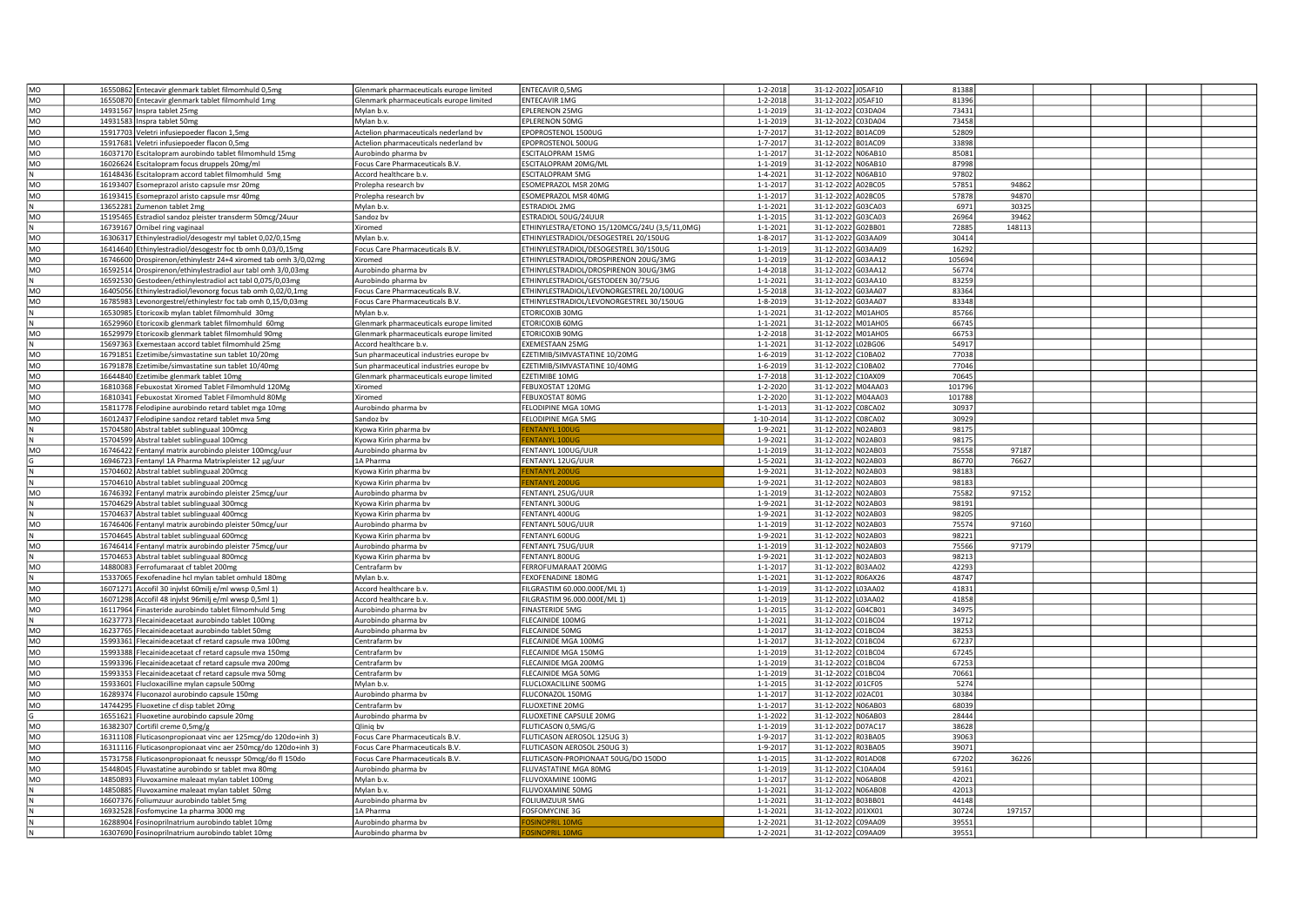| MO        | 16550862 Entecavir glenmark tablet filmomhuld 0,5mg            | Glenmark pharmaceuticals europe limited                                                                                                                                                 | ENTECAVIR 0.5MG                               | $1 - 2 - 2018$ | 31-12-2022 J05AF10 |                | 81388  |        |  |  |
|-----------|----------------------------------------------------------------|-----------------------------------------------------------------------------------------------------------------------------------------------------------------------------------------|-----------------------------------------------|----------------|--------------------|----------------|--------|--------|--|--|
| MO        | 16550870 Entecavir glenmark tablet filmomhuld 1mg              | Glenmark pharmaceuticals europe limited                                                                                                                                                 | <b>ENTECAVIR 1MG</b>                          | $1 - 2 - 2018$ | 31-12-2022         | J05AF10        | 81396  |        |  |  |
| MO        |                                                                |                                                                                                                                                                                         |                                               |                |                    | C03DA04        | 73431  |        |  |  |
|           | 14931567 Inspra tablet 25mg                                    | Mylan b.v.                                                                                                                                                                              | EPLERENON 25MG                                | $1 - 1 - 2019$ | 31-12-2022         |                |        |        |  |  |
| MO        | 14931583 Inspra tablet 50mg                                    | Mylan b.y                                                                                                                                                                               | EPLERENON 50MG                                | 1-1-2019       | 31-12-2022         | C03DA04        | 73458  |        |  |  |
| MO        | 15917703 Veletri infusiepoeder flacon 1,5mg                    | Actelion pharmaceuticals nederland by                                                                                                                                                   | POPROSTENOL 1500UG                            | $1 - 7 - 2017$ | 31-12-2022         | <b>B01AC09</b> | 52809  |        |  |  |
| <b>MO</b> | 15917681 Veletri infusiepoeder flacon 0,5mg                    | Actelion pharmaceuticals nederland by                                                                                                                                                   | POPROSTENOL 500UG                             | $1 - 7 - 2017$ | 31-12-2022         | <b>B01AC09</b> | 33898  |        |  |  |
| MO        | 16037170 Escitalopram aurobindo tablet filmomhuld 15mg         | Aurobindo pharma bv                                                                                                                                                                     | <b>SCITALOPRAM 15MG</b>                       | $1 - 1 - 201$  | 31-12-2022 N06AB10 |                | 85081  |        |  |  |
| MO        | 16026624 Escitalopram focus druppels 20mg/ml                   | Focus Care Pharmaceuticals B.V.                                                                                                                                                         | ESCITALOPRAM 20MG/ML                          | $1 - 1 - 2019$ | 31-12-2022 N06AB10 |                | 87998  |        |  |  |
|           | 16148436 Escitalopram accord tablet filmomhuld 5mg             | Accord healthcare b.v.                                                                                                                                                                  | ESCITALOPRAM 5MG                              | $1 - 4 - 202$  | 31-12-2022 N06AB10 |                | 97802  |        |  |  |
| MO        |                                                                |                                                                                                                                                                                         | ESOMEPRAZOL MSR 20MG                          | $1 - 1 - 201$  | 31-12-2022 A02BC05 |                | 57851  | 94862  |  |  |
|           | 16193407 Esomeprazol aristo capsule msr 20mg                   | Prolepha research bv                                                                                                                                                                    |                                               |                |                    |                |        |        |  |  |
| MO        | 16193415 Esomeprazol aristo capsule msr 40mg                   | Prolepha research bv                                                                                                                                                                    | SOMEPRAZOL MSR 40MG                           | $1 - 1 - 201$  | 31-12-2022 A02BC05 |                | 57878  | 94870  |  |  |
|           | 13652281 Zumenon tablet 2mg                                    | Mylan b.v.                                                                                                                                                                              | ESTRADIOL 2MG                                 | $1 - 1 - 202$  | 31-12-2022 G03CA03 |                | 6971   | 30325  |  |  |
| MO        | 15195465 Estradiol sandoz pleister transderm 50mcg/24uur       | Sandoz bv                                                                                                                                                                               | ESTRADIOL 50UG/24UUR                          | $1 - 1 - 2015$ | 31-12-2022 G03CA03 |                | 26964  | 39462  |  |  |
| N         | 16739167 Ornibel ring vaginaal                                 | Xiromed                                                                                                                                                                                 | ETHINYLESTRA/ETONO 15/120MCG/24U (3,5/11,0MG) | $1 - 1 - 2021$ | 31-12-2022 G02BB01 |                | 72885  | 148113 |  |  |
| MO        | 16306317 Ethinylestradiol/desogestr myl tablet 0,02/0,15mg     | Mylan b.v.                                                                                                                                                                              | <b>ETHINYLESTRADIOL/DESOGESTREL 20/150UG</b>  | $1 - 8 - 2017$ | 31-12-2022         | G03AA09        | 30414  |        |  |  |
| <b>MO</b> | 16414640 Ethinylestradiol/desogestr foc tb omh 0,03/0,15mg     | ocus Care Pharmaceuticals B.V.                                                                                                                                                          | THINYLESTRADIOL/DESOGESTREL 30/150UG          | $1 - 1 - 2019$ | 31-12-2022 G03AA09 |                | 16292  |        |  |  |
| MO        |                                                                | <b>Kiromed</b>                                                                                                                                                                          | THINYLESTRADIOL/DROSPIRENON 20UG/3MG          | $1 - 1 - 2019$ |                    | G03AA12        | 105694 |        |  |  |
|           | 16746600 Drospirenon/ethinylestr 24+4 xiromed tab omh 3/0,02mg |                                                                                                                                                                                         |                                               |                | 31-12-2022         |                |        |        |  |  |
| MO        | 16592514 Drospirenon/ethinylestradiol aur tabl omh 3/0,03mg    | Aurobindo pharma bv                                                                                                                                                                     | ETHINYLESTRADIOL/DROSPIRENON 30UG/3MG         | $1 - 4 - 2018$ | 31-12-2022 G03AA12 |                | 56774  |        |  |  |
|           | 16592530 Gestodeen/ethinylestradiol act tabl 0,075/0,03mg      | Aurobindo pharma bv                                                                                                                                                                     | ETHINYLESTRADIOL/GESTODEEN 30/75UG            | $1 - 1 - 202$  | 31-12-2022 G03AA10 |                | 83259  |        |  |  |
| MO        | 16405056 Ethinylestradiol/levonorg focus tab omh 0,02/0,1mg    | Focus Care Pharmaceuticals B.V.                                                                                                                                                         | THINYLESTRADIOL/LEVONORGESTREL 20/100UG       | $1 - 5 - 2018$ | 31-12-2022 G03AA07 |                | 83364  |        |  |  |
| MO        | 16785983 Levonorgestrel/ethinvlestr foc tab omh 0.15/0.03mg    | Focus Care Pharmaceuticals B.V.                                                                                                                                                         | ETHINYLESTRADIOL/LEVONORGESTREL 30/150UG      | 1-8-2019       | 31-12-2022 G03AA07 |                | 83348  |        |  |  |
|           | 16530985 Etoricoxib mylan tablet filmomhuld 30mg               | Mylan b.v.                                                                                                                                                                              | <b>ETORICOXIB 30MG</b>                        | $1 - 1 - 2021$ | 31-12-2022 M01AH05 |                | 85766  |        |  |  |
|           | 16529960 Etoricoxib glenmark tablet filmomhuld 60mg            | Glenmark pharmaceuticals europe limited                                                                                                                                                 | ETORICOXIB 60MG                               | $1 - 1 - 202$  | 31-12-2022 M01AH05 |                | 66745  |        |  |  |
|           |                                                                |                                                                                                                                                                                         |                                               |                |                    |                | 66753  |        |  |  |
| MO        | 16529979 Etoricoxib glenmark tablet filmomhuld 90mg            | Glenmark pharmaceuticals europe limited                                                                                                                                                 | ETORICOXIB 90MG                               | $1 - 2 - 2018$ | 31-12-2022         | M01AH05        |        |        |  |  |
|           | 15697363 Exemestaan accord tablet filmomhuld 25mg              | Accord healthcare b.v.                                                                                                                                                                  | <b>EXEMESTAAN 25MG</b>                        | $1 - 1 - 2021$ | 31-12-2022         | 02BG06         | 54917  |        |  |  |
| MO        | 16791851 Ezetimibe/simvastatine sun tablet 10/20mg             | sun pharmaceutical industries europe by                                                                                                                                                 | EZETIMIB/SIMVASTATINE 10/20MG                 | 1-6-2019       | 31-12-2022         | C10BA02        | 77038  |        |  |  |
| <b>MO</b> | 16791878 Ezetimibe/simvastatine sun tablet 10/40mg             | sun pharmaceutical industries europe bv                                                                                                                                                 | EZETIMIB/SIMVASTATINE 10/40MG                 | 1-6-2019       | 31-12-2022         | C10BA02        | 77046  |        |  |  |
| MO        | 16644840 Ezetimibe glenmark tablet 10mg                        | Glenmark pharmaceuticals europe limited                                                                                                                                                 | EZETIMIBE 10MG                                | 1-7-2018       | 31-12-2022 C10AX09 |                | 70645  |        |  |  |
| MO        | 16810368 Febuxostat Xiromed Tablet Filmomhuld 120Mg            | Xiromed                                                                                                                                                                                 | FEBUXOSTAT 120MG                              | $1 - 2 - 2020$ | 31-12-2022 M04AA03 |                | 101796 |        |  |  |
| MO        | 16810341 Febuxostat Xiromed Tablet Filmomhuld 80Mg             | Xiromed                                                                                                                                                                                 | FEBUXOSTAT 80MG                               | $1 - 2 - 2020$ | 31-12-2022 M04AA03 |                | 101788 |        |  |  |
| MO        | 15811778 Felodipine aurobindo retard tablet mga 10mg           | Aurobindo pharma bv                                                                                                                                                                     | FELODIPINE MGA 10MG                           | $1 - 1 - 2013$ | 31-12-2022 C08CA02 |                | 30937  |        |  |  |
|           |                                                                |                                                                                                                                                                                         |                                               |                |                    |                |        |        |  |  |
| MO        | 16012437 Felodipine sandoz retard tablet mva 5mg               | sandoz bv                                                                                                                                                                               | FELODIPINE MGA 5MG                            | 1-10-2014      | 31-12-2022 C08CA02 |                | 30929  |        |  |  |
|           | 15704580 Abstral tablet sublinguaal 100mcg                     | <yowa bv<="" kirin="" pharma="" td=""><td><b>ENTANYI 100U</b></td><td><math>1 - 9 - 202</math></td><td>31-12-2022 N02AB03</td><td></td><td>98175</td><td></td><td></td><td></td></yowa> | <b>ENTANYI 100U</b>                           | $1 - 9 - 202$  | 31-12-2022 N02AB03 |                | 98175  |        |  |  |
|           | 15704599 Abstral tablet sublinguaal 100mcg                     | Kyowa Kirin pharma bv                                                                                                                                                                   | <b>NTANYI 100</b>                             | $1 - 9 - 202$  | 31-12-2022 N02AB03 |                | 98175  |        |  |  |
| MO        | 16746422 Fentanyl matrix aurobindo pleister 100mcg/uur         | Aurobindo pharma bv                                                                                                                                                                     | FENTANYL 100UG/UUR                            | $1 - 1 - 2019$ | 31-12-2022 N02AB03 |                | 75558  | 97187  |  |  |
|           | 16946723 Fentanyl 1A Pharma Matrixpleister 12 μg/uur           | LA Pharma                                                                                                                                                                               | FENTANYL 12UG/UUR                             | $1 - 5 - 2021$ | 31-12-2022         | N02AB03        | 86770  | 76627  |  |  |
|           | 15704602 Abstral tablet sublinguaal 200mcg                     | (yowa Kirin pharma by                                                                                                                                                                   | <b>ENTANYL 200UG</b>                          | 1-9-2021       | 31-12-2022 N02AB03 |                | 98183  |        |  |  |
|           |                                                                |                                                                                                                                                                                         |                                               |                |                    |                | 98183  |        |  |  |
|           | 15704610 Abstral tablet sublinguaal 200mcg                     | <yowa bv<="" kirin="" pharma="" td=""><td><b>ENTANYL 200UG</b></td><td><math>1 - 9 - 202</math></td><td>31-12-2022 N02AB03</td><td></td><td></td><td></td><td></td><td></td></yowa>     | <b>ENTANYL 200UG</b>                          | $1 - 9 - 202$  | 31-12-2022 N02AB03 |                |        |        |  |  |
| MO        | 16746392 Fentanyl matrix aurobindo pleister 25mcg/uur          | Aurobindo pharma bv                                                                                                                                                                     | FENTANYL 25UG/UUR                             | $1 - 1 - 2019$ | 31-12-2022 N02AB03 |                | 75582  | 97152  |  |  |
|           | 15704629 Abstral tablet sublinguaal 300mcg                     | Kyowa Kirin pharma bv                                                                                                                                                                   | FENTANYL 300UG                                | $1 - 9 - 202$  | 31-12-2022 N02AB03 |                | 98191  |        |  |  |
|           | 15704637 Abstral tablet sublinguaal 400mcg                     | Kyowa Kirin pharma bv                                                                                                                                                                   | FENTANYL 400UG                                | $1 - 9 - 202$  | 31-12-2022 NO2AB03 |                | 98205  |        |  |  |
| MO        | 16746406 Fentanyl matrix aurobindo pleister 50mcg/uur          | Aurobindo pharma bv                                                                                                                                                                     | FENTANYL 50UG/UUR                             | $1 - 1 - 2019$ | 31-12-2022 N02AB03 |                | 75574  | 97160  |  |  |
|           | 15704645 Abstral tablet sublinguaal 600mcg                     | Kyowa Kirin pharma bv                                                                                                                                                                   | FENTANYL 600UG                                | $1 - 9 - 202$  | 31-12-2022 N02AB03 |                | 98221  |        |  |  |
| MO        | 16746414 Fentanyl matrix aurobindo pleister 75mcg/uur          | Aurobindo pharma bv                                                                                                                                                                     | FENTANYL 75UG/UUR                             | $1 - 1 - 2019$ | 31-12-2022         | <b>N02AB03</b> | 75566  | 97179  |  |  |
|           | 15704653 Abstral tablet sublinguaal 800mcg                     |                                                                                                                                                                                         | FENTANYL 800UG                                | 1-9-2021       | 31-12-2022         | N02AB03        | 98213  |        |  |  |
|           |                                                                | <yowa bv<="" kirin="" pharma="" td=""><td></td><td></td><td></td><td></td><td></td><td></td><td></td><td></td></yowa>                                                                   |                                               |                |                    |                |        |        |  |  |
| MO        | 14880083 Ferrofumaraat cf tablet 200mg                         | Centrafarm bv                                                                                                                                                                           | ERROFUMARAAT 200MG                            | $1 - 1 - 201$  | 31-12-2022         | B03AA02        | 42293  |        |  |  |
|           | 15337065 Fexofenadine hcl mylan tablet omhuld 180mg            | Mylan b.v.                                                                                                                                                                              | <b>EXOFENADINE 180MG</b>                      | $1 - 1 - 2021$ | 31-12-2022         | R06AX26        | 48747  |        |  |  |
| MO        | 16071271 Accofil 30 injvlst 60milj e/ml wwsp 0,5ml 1)          | Accord healthcare b.v.                                                                                                                                                                  | ILGRASTIM 60.000.000E/ML 1)                   | $1 - 1 - 2019$ | 31-12-2022         | L03AA02        | 41831  |        |  |  |
| MO        | 16071298 Accofil 48 injvlst 96milj e/ml wwsp 0,5ml 1)          | Accord healthcare b.v.                                                                                                                                                                  | FILGRASTIM 96.000.000E/ML 1)                  | $1 - 1 - 2019$ | 31-12-2022 L03AA02 |                | 41858  |        |  |  |
| MO        | 16117964 Finasteride aurobindo tablet filmomhuld 5mg           | Aurobindo pharma bv                                                                                                                                                                     | <b>FINASTERIDE 5MG</b>                        | $1 - 1 - 2015$ | 31-12-2022 G04CB01 |                | 34975  |        |  |  |
|           | 16237773 Flecainideacetaat aurobindo tablet 100mg              | Aurobindo pharma bv                                                                                                                                                                     | FLECAINIDE 100MG                              | $1 - 1 - 202$  | 31-12-2022 C01BC04 |                | 19712  |        |  |  |
| MO        | 16237765 Flecainideacetaat aurobindo tablet 50mg               | Aurobindo pharma by                                                                                                                                                                     | <b>LECAINIDE 50MG</b>                         | $1 - 1 - 201$  | 31-12-2022 C01BC04 |                | 38253  |        |  |  |
| MO        |                                                                |                                                                                                                                                                                         | FLECAINIDE MGA 100MG                          | $1 - 1 - 201$  | 31-12-2022 C01BC04 |                | 67237  |        |  |  |
|           | 15993361 Flecainideacetaat cf retard capsule mva 100mg         | Centrafarm bv                                                                                                                                                                           |                                               |                |                    |                |        |        |  |  |
| MO        | 15993388 Flecainideacetaat cf retard capsule mva 150mg         | Centrafarm bv                                                                                                                                                                           | FLECAINIDE MGA 150MG                          | $1 - 1 - 2019$ | 31-12-2022 C01BC04 |                | 67245  |        |  |  |
| MO        | 15993396 Flecainideacetaat cf retard capsule mva 200mg         | Centrafarm bv                                                                                                                                                                           | FLECAINIDE MGA 200MG                          | $1 - 1 - 2019$ | 31-12-2022 C01BC04 |                | 67253  |        |  |  |
| MO        | 15993353 Flecainideacetaat cf retard capsule mva 50mg          | Centrafarm bv                                                                                                                                                                           | FLECAINIDE MGA 50MG                           | $1 - 1 - 2019$ | 31-12-2022         | C01BC04        | 70661  |        |  |  |
| <b>MO</b> | 15933601 Flucloxacilline mylan capsule 500mg                   | Mylan b.v.                                                                                                                                                                              | LUCLOXACILLINE 500MG                          | $1 - 1 - 2015$ | 31-12-2022         | J01CF05        | 5274   |        |  |  |
| <b>MO</b> | 16289374 Fluconazol aurobindo capsule 150mg                    | Aurobindo pharma bv                                                                                                                                                                     | FLUCONAZOL 150MG                              | $1 - 1 - 2017$ | 31-12-2022         | 02AC01         | 30384  |        |  |  |
| MO        | 14744295 Fluoxetine cf disp tablet 20mg                        | Centrafarm bv                                                                                                                                                                           | FLUOXETINE 20MG                               | $1 - 1 - 201$  | 31-12-2022 N06AB03 |                | 68039  |        |  |  |
|           | 16551621 Fluoxetine aurobindo capsule 20mg                     | Aurobindo pharma bv                                                                                                                                                                     | FLUOXETINE CAPSULE 20MG                       | $1 - 1 - 202$  | 31-12-2022 N06AB03 |                | 28444  |        |  |  |
| MO        |                                                                |                                                                                                                                                                                         |                                               | $1 - 1 - 2019$ | 31-12-2022 D07AC17 |                | 38628  |        |  |  |
|           | 16382307 Cortifil creme 0,5mg/g                                | Qlinig by                                                                                                                                                                               | FLUTICASON 0,5MG/G                            |                |                    |                |        |        |  |  |
| MO        | 16311108 Fluticasonpropionaat vinc aer 125mcg/do 120do+inh 3   | Focus Care Pharmaceuticals B.V.                                                                                                                                                         | FLUTICASON AEROSOL 125UG 3)                   | $1 - 9 - 201$  | 31-12-2022         | <b>R03BA05</b> | 39063  |        |  |  |
| MO        | 16311116 Fluticasonpropionaat vinc aer 250mcg/do 120do+inh 3)  | <b>Focus Care Pharmaceuticals B.V</b>                                                                                                                                                   | FLUTICASON AEROSOL 250UG 3)                   | $1 - 9 - 201$  | 31-12-2022         | <b>R03BA05</b> | 39071  |        |  |  |
| MO        | 15731758 Fluticasonpropionaat fc neusspr 50mcg/do fl 150do     | Focus Care Pharmaceuticals B.V.                                                                                                                                                         | FLUTICASON-PROPIONAAT 50UG/DO 150DO           | $1 - 1 - 201!$ | 31-12-2022         | R01AD08        | 67202  | 36226  |  |  |
| MO        | 15448045 Fluvastatine aurobindo sr tablet mva 80mg             | Aurobindo pharma bv                                                                                                                                                                     | FLUVASTATINE MGA 80MG                         | $1 - 1 - 2019$ | 31-12-2022         | C10AA04        | 59161  |        |  |  |
| MO        | 14850893<br>Fluvoxamine maleaat mylan tablet 100mg             | Mylan b.v.                                                                                                                                                                              | FLUVOXAMINE 100MG                             | $1 - 1 - 2017$ | 31-12-2022         | <b>N06AB08</b> | 42021  |        |  |  |
|           | 14850885 Fluvoxamine maleaat mylan tablet 50mg                 | Mylan b.v.                                                                                                                                                                              | LUVOXAMINE 50MG                               | $1 - 1 - 2021$ | 31-12-2022         | N06AB08        | 42013  |        |  |  |
|           |                                                                |                                                                                                                                                                                         |                                               |                |                    | 303BB01        | 44148  |        |  |  |
|           | 16607376 Foliumzuur aurobindo tablet 5mg                       | Aurobindo pharma bv                                                                                                                                                                     | OLIUMZUUR 5MG                                 | $1 - 1 - 202$  | 31-12-2022         |                |        |        |  |  |
|           | 16932528 Fosfomycine 1a pharma 3000 mg                         | LA Pharma                                                                                                                                                                               | FOSFOMYCINE 3G                                | $1 - 1 - 202$  | 31-12-2022         | 01XX01         | 30724  | 197157 |  |  |
|           | 16288904 Fosinoprilnatrium aurobindo tablet 10mg               | Aurobindo pharma bv                                                                                                                                                                     | <b>OSINOPRIL 10MG</b>                         | $1 - 2 - 202$  | 31-12-2022 C09AA09 |                | 39551  |        |  |  |
|           | 16307690 Fosinoprilnatrium aurobindo tablet 10mg               | Aurobindo pharma bv                                                                                                                                                                     | <b>OSINOPRIL 10MG</b>                         | $1 - 2 - 2021$ | 31-12-2022 C09AA09 |                | 39551  |        |  |  |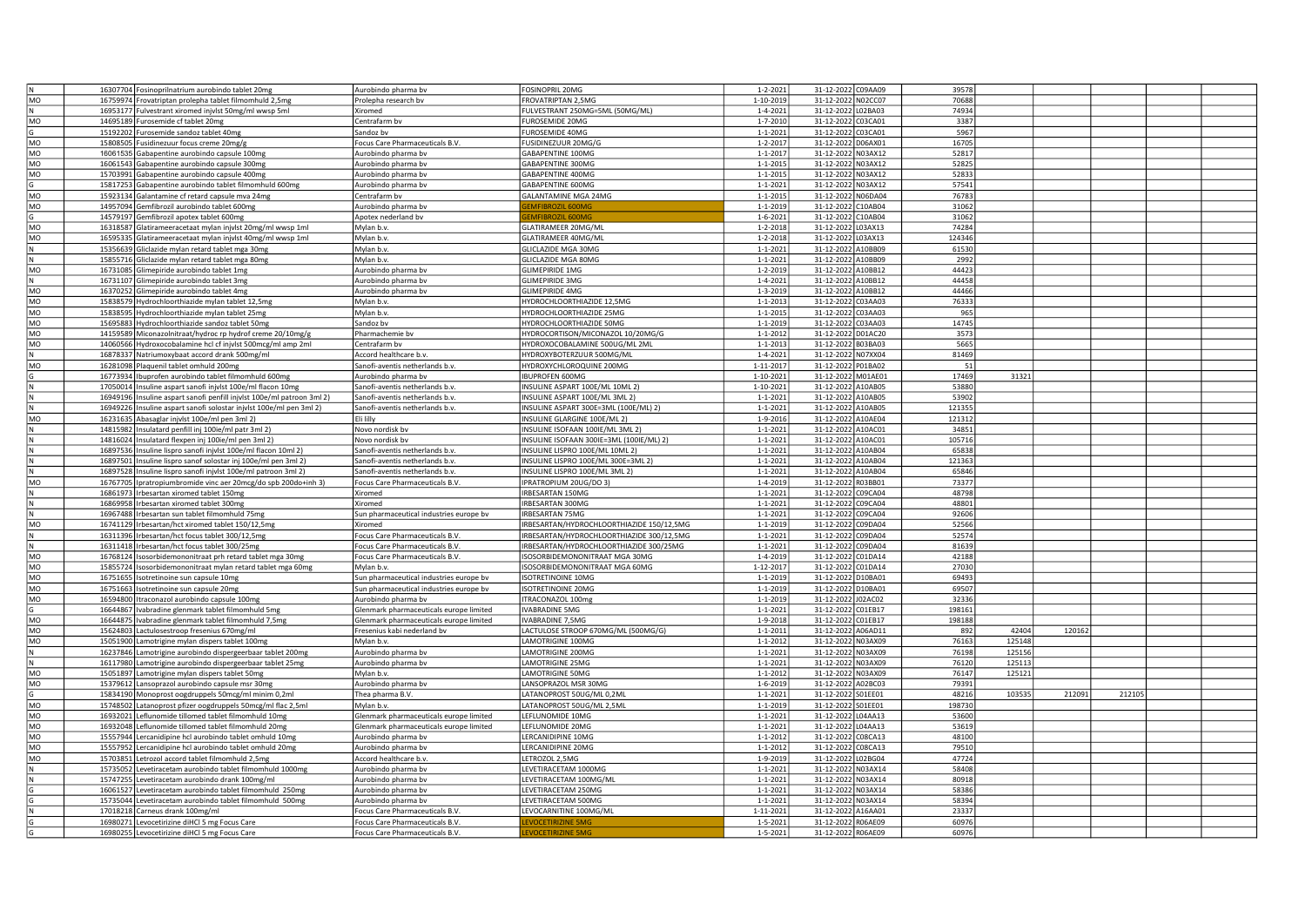|                 | 16307704 Fosinoprilnatrium aurobindo tablet 20mg                       | Aurobindo pharma bv                     | FOSINOPRIL 20MG                           | $1 - 2 - 2021$  | 31-12-2022 C09AA09 | 39578  |        |        |        |  |
|-----------------|------------------------------------------------------------------------|-----------------------------------------|-------------------------------------------|-----------------|--------------------|--------|--------|--------|--------|--|
| MO              |                                                                        |                                         |                                           |                 | 31-12-2022 N02CC07 | 70688  |        |        |        |  |
|                 | 16759974 Frovatriptan prolepha tablet filmomhuld 2,5mg                 | Prolepha research bv                    | FROVATRIPTAN 2,5MG                        | 1-10-2019       |                    |        |        |        |        |  |
| N               | 16953177 Fulvestrant xiromed injvlst 50mg/ml wwsp 5ml                  | Xiromed                                 | ULVESTRANT 250MG=5ML (50MG/ML)            | $1 - 4 - 2021$  | 31-12-2022 L02BA03 | 74934  |        |        |        |  |
| MO              | 14695189 Furosemide cf tablet 20mg                                     | Centrafarm bv                           | UROSEMIDE 20MG                            | $1 - 7 - 2010$  | 31-12-2022 C03CA01 | 3387   |        |        |        |  |
| G               | 15192202 Furosemide sandoz tablet 40mg                                 | Sandoz by                               | UROSEMIDE 40MG                            | $1 - 1 - 2021$  | 31-12-2022 C03CA01 | 5967   |        |        |        |  |
| MO              | 15808505 Fusidinezuur focus creme 20mg/g                               | Focus Care Pharmaceuticals B.V.         | USIDINEZUUR 20MG/G                        | $1 - 2 - 2017$  | 31-12-2022 D06AX01 | 16705  |        |        |        |  |
| MO              |                                                                        |                                         | GABAPENTINE 100MG                         | $1 - 1 - 2017$  | 31-12-2022 N03AX12 | 52817  |        |        |        |  |
|                 | 16061535 Gabapentine aurobindo capsule 100mg                           | Aurobindo pharma bv                     |                                           |                 |                    |        |        |        |        |  |
| MO              | 16061543 Gabapentine aurobindo capsule 300mg                           | Aurobindo pharma bv                     | GABAPENTINE 300MG                         | $1 - 1 - 2015$  | 31-12-2022 N03AX12 | 52825  |        |        |        |  |
| MO              | 15703991 Gabapentine aurobindo capsule 400mg                           | Aurobindo pharma bv                     | GABAPENTINE 400MG                         | $1 - 1 - 2015$  | 31-12-2022 N03AX12 | 52833  |        |        |        |  |
|                 | 15817253 Gabapentine aurobindo tablet filmomhuld 600mg                 | Aurobindo pharma bv                     | GABAPENTINE 600MG                         | $1 - 1 - 2021$  | 31-12-2022 N03AX12 | 57541  |        |        |        |  |
| MO              | 15923134 Galantamine cf retard capsule mva 24mg                        | Centrafarm bv                           | <b>GALANTAMINE MGA 24MG</b>               | $1 - 1 - 2015$  | 31-12-2022 N06DA04 | 76783  |        |        |        |  |
|                 |                                                                        |                                         |                                           |                 |                    |        |        |        |        |  |
| MO              | 14957094 Gemfibrozil aurobindo tablet 600mg                            | Aurobindo pharma bv                     | MEIRROZIL 600M                            | $1 - 1 - 2019$  | 31-12-2022 C10AB04 | 31062  |        |        |        |  |
| G               | 14579197 Gemfibrozil apotex tablet 600mg                               | Apotex nederland bv                     |                                           | 1-6-2021        | 31-12-2022 C10AB04 | 31062  |        |        |        |  |
| MO              | 16318587 Glatirameeracetaat mylan injvlst 20mg/ml wwsp 1ml             | Mylan b.v.                              | GLATIRAMEER 20MG/ML                       | 1-2-2018        | 31-12-2022 L03AX13 | 74284  |        |        |        |  |
| MO              | 16595335 Glatirameeracetaat mylan injvlst 40mg/ml wwsp 1ml             | Mylan b.v.                              | <b>SLATIRAMEER 40MG/ML</b>                | 1-2-2018        | 31-12-2022 L03AX13 | 124346 |        |        |        |  |
|                 |                                                                        |                                         |                                           |                 |                    |        |        |        |        |  |
| N               | 15356639 Gliclazide mylan retard tablet mga 30mg                       | Mylan b.v.                              | GLICLAZIDE MGA 30MG                       | $1 - 1 - 2021$  | 31-12-2022 A10BB09 | 61530  |        |        |        |  |
|                 | 15855716 Gliclazide mylan retard tablet mga 80mg                       | Mylan b.v.                              | GLICLAZIDE MGA 80MG                       | $1 - 1 - 2021$  | 31-12-2022 A10BB09 | 2992   |        |        |        |  |
| MO              | 16731085 Glimepiride aurobindo tablet 1mg                              | Aurobindo pharma bv                     | <b>GLIMEPIRIDE 1MG</b>                    | $1 - 2 - 2019$  | 31-12-2022 A10BB12 | 44423  |        |        |        |  |
| N               | 16731107 Glimepiride aurobindo tablet 3mg                              | Aurobindo pharma by                     | <b>GLIMEPIRIDE 3MG</b>                    | $1 - 4 - 2021$  | 31-12-2022 A10BB12 | 44458  |        |        |        |  |
|                 | 16370252 Glimepiride aurobindo tablet 4mg                              | Aurobindo pharma by                     | <b>GLIMEPIRIDE 4MG</b>                    | $1 - 3 - 2019$  | 31-12-2022 A10BB12 | 44466  |        |        |        |  |
| MO              |                                                                        |                                         |                                           |                 |                    |        |        |        |        |  |
| MO              | 15838579 Hydrochloorthiazide mylan tablet 12,5mg                       | Mylan b.v.                              | HYDROCHLOORTHIAZIDE 12,5MG                | $1 - 1 - 2013$  | 31-12-2022 C03AA03 | 76333  |        |        |        |  |
| MO              | 15838595 Hydrochloorthiazide mylan tablet 25mg                         | Mylan b.v.                              | HYDROCHLOORTHIAZIDE 25MG                  | $1 - 1 - 2015$  | 31-12-2022 C03AA03 | 965    |        |        |        |  |
| MO              | 15695883 Hydrochloorthiazide sandoz tablet 50mg                        | Sandoz bv                               | HYDROCHLOORTHIAZIDE 50MG                  | $1 - 1 - 2019$  | 31-12-2022 C03AA03 | 14745  |        |        |        |  |
| MO              | 14159589 Miconazolnitraat/hydroc rp hydrof creme 20/10mg/g             | Pharmachemie bv                         | HYDROCORTISON/MICONAZOL 10/20MG/G         | $1 - 1 - 2012$  | 31-12-2022 D01AC20 | 3573   |        |        |        |  |
|                 |                                                                        |                                         |                                           |                 |                    |        |        |        |        |  |
| MO              | 14060566 Hydroxocobalamine hcl cf injvlst 500mcg/ml amp 2ml            | Centrafarm bv                           | IYDROXOCOBALAMINE 500UG/ML 2ML            | $1 - 1 - 2013$  | 31-12-2022 B03BA03 | 5665   |        |        |        |  |
|                 | 16878337 Natriumoxybaat accord drank 500mg/ml                          | Accord healthcare b.v.                  | <b>HYDROXYBOTERZUUR 500MG/ML</b>          | $1 - 4 - 2021$  | 31-12-2022 N07XX04 | 81469  |        |        |        |  |
| MO              | 16281098 Plaquenil tablet omhuld 200mg                                 | Sanofi-aventis netherlands b.v.         | HYDROXYCHLOROQUINE 200MG                  | 1-11-2017       | 31-12-2022 P01BA02 | 51     |        |        |        |  |
|                 | 16773934   Ibuprofen aurobindo tablet filmomhuld 600mg                 | Aurobindo pharma bv                     | <b>IBUPROFEN 600MG</b>                    | 1-10-2021       | 31-12-2022 M01AE01 | 17469  | 31321  |        |        |  |
|                 |                                                                        |                                         |                                           |                 |                    |        |        |        |        |  |
|                 | 17050014 Insuline aspart sanofi injvlst 100e/ml flacon 10mg            | Sanofi-aventis netherlands b.v.         | INSULINE ASPART 100E/ML 10ML 2)           | $1 - 10 - 2021$ | 31-12-2022 A10AB05 | 53880  |        |        |        |  |
|                 | 16949196 Insuline aspart sanofi penfill injvlst 100e/ml patroon 3ml 2) | Sanofi-aventis netherlands b.v          | INSULINE ASPART 100E/ML 3ML 2)            | $1 - 1 - 2021$  | 31-12-2022 A10AB05 | 53902  |        |        |        |  |
|                 | 16949226 Insuline aspart sanofi solostar injvlst 100e/ml pen 3ml 2)    | Sanofi-aventis netherlands b.v.         | INSULINE ASPART 300E=3ML (100E/ML) 2)     | $1 - 1 - 2021$  | 31-12-2022 A10AB05 | 121355 |        |        |        |  |
| MO              | 16231635 Abasaglar injvlst 100e/ml pen 3ml 2)                          | Eli lilly                               | INSULINE GLARGINE 100E/ML 2)              | 1-9-2016        | 31-12-2022 A10AE04 | 121312 |        |        |        |  |
|                 |                                                                        |                                         |                                           |                 |                    |        |        |        |        |  |
|                 | 14815982 Insulatard penfill inj 100ie/ml patr 3ml 2)                   | Novo nordisk bv                         | INSULINE ISOFAAN 100IE/ML 3ML 2)          | $1 - 1 - 2021$  | 31-12-2022 A10AC01 | 34851  |        |        |        |  |
|                 | 14816024 Insulatard flexpen inj 100ie/ml pen 3ml 2)                    | Novo nordisk bv                         | INSULINE ISOFAAN 300IE=3ML (100IE/ML) 2)  | $1 - 1 - 2021$  | 31-12-2022 A10AC01 | 105716 |        |        |        |  |
|                 | 16897536 Insuline lispro sanofi injvlst 100e/ml flacon 10ml 2)         | Sanofi-aventis netherlands b.v.         | INSULINE LISPRO 100E/ML 10ML 2)           | $1 - 1 - 2021$  | 31-12-2022 A10AB04 | 65838  |        |        |        |  |
|                 | 16897501 Insuline lispro sanof solostar inj 100e/ml pen 3ml 2)         | Sanofi-aventis netherlands b.v.         | INSULINE LISPRO 100E/ML 300E=3ML 2)       | $1 - 1 - 2021$  | 31-12-2022 A10AB04 | 121363 |        |        |        |  |
|                 |                                                                        |                                         |                                           |                 |                    | 65846  |        |        |        |  |
|                 | 16897528 Insuline lispro sanofi injvlst 100e/ml patroon 3ml 2)         | Sanofi-aventis netherlands b.v          | INSULINE LISPRO 100E/ML 3ML 2)            | $1 - 1 - 2021$  | 31-12-2022 A10AB04 |        |        |        |        |  |
| MO              | 16767705   Ipratropiumbromide vinc aer 20mcg/do spb 200do+inh 3)       | Focus Care Pharmaceuticals B.V.         | IPRATROPIUM 20UG/DO 3)                    | 1-4-2019        | 31-12-2022 R03BB01 | 73377  |        |        |        |  |
|                 | 16861973   Irbesartan xiromed tablet 150mg                             | Xiromed                                 | IRBESARTAN 150MG                          | $1 - 1 - 2021$  | 31-12-2022 C09CA04 | 48798  |        |        |        |  |
|                 | 16869958 Irbesartan xiromed tablet 300mg                               | Xiromed                                 | IRBESARTAN 300MG                          | $1 - 1 - 2021$  | 31-12-2022 C09CA04 | 48801  |        |        |        |  |
|                 | 16967488 Irbesartan sun tablet filmomhuld 75mg                         |                                         | <b>IRBESARTAN 75MG</b>                    | $1 - 1 - 2021$  | 31-12-2022 C09CA04 | 92606  |        |        |        |  |
|                 |                                                                        | Sun pharmaceutical industries europe bv |                                           |                 |                    |        |        |        |        |  |
| MO              | 16741129 Irbesartan/hct xiromed tablet 150/12,5mg                      | Xiromed                                 | IRBESARTAN/HYDROCHLOORTHIAZIDE 150/12,5MG | $1 - 1 - 2019$  | 31-12-2022 C09DA04 | 52566  |        |        |        |  |
| $\overline{N}$  | 16311396 Irbesartan/hct focus tablet 300/12,5mg                        | Focus Care Pharmaceuticals B.V.         | IRBESARTAN/HYDROCHLOORTHIAZIDE 300/12,5MG | $1 - 1 - 2021$  | 31-12-2022 C09DA04 | 52574  |        |        |        |  |
| N               | 16311418   Irbesartan/hct focus tablet 300/25mg                        | Focus Care Pharmaceuticals B.V.         | IRBESARTAN/HYDROCHLOORTHIAZIDE 300/25MG   | $1 - 1 - 2021$  | 31-12-2022 C09DA04 | 81639  |        |        |        |  |
| MO              | 16768124 Isosorbidemononitraat prh retard tablet mga 30mg              | Focus Care Pharmaceuticals B.V.         | <b>ISOSORBIDEMONONITRAAT MGA 30MG</b>     | $1 - 4 - 2019$  | 31-12-2022 C01DA14 | 42188  |        |        |        |  |
|                 |                                                                        |                                         |                                           |                 |                    |        |        |        |        |  |
| MO              | 15855724 Isosorbidemononitraat mylan retard tablet mga 60mg            | Mylan b.v.                              | SOSORBIDEMONONITRAAT MGA 60MG             | 1-12-2017       | 31-12-2022 C01DA14 | 27030  |        |        |        |  |
| <b>MO</b>       | 16751655 Isotretinoine sun capsule 10mg                                | Sun pharmaceutical industries europe by | SOTRETINOINE 10MG                         | $1 - 1 - 2019$  | 31-12-2022 D10BA01 | 69493  |        |        |        |  |
| MO              | 16751663 Isotretinoine sun capsule 20mg                                | Sun pharmaceutical industries europe bv | <b>ISOTRETINOINE 20MG</b>                 | $1 - 1 - 2019$  | 31-12-2022 D10BA01 | 69507  |        |        |        |  |
| <b>MO</b>       | 16594800 Itraconazol aurobindo capsule 100mg                           | Aurobindo pharma bv                     | TRACONAZOL 100mg                          | $1 - 1 - 2019$  | 31-12-2022 J02AC02 | 32336  |        |        |        |  |
|                 |                                                                        |                                         |                                           |                 |                    |        |        |        |        |  |
|                 | 16644867 Ivabradine glenmark tablet filmomhuld 5mg                     | Glenmark pharmaceuticals europe limited | <b>VABRADINE 5MG</b>                      | $1 - 1 - 2021$  | 31-12-2022 C01EB17 | 198161 |        |        |        |  |
| MO              | 16644875   Ivabradine glenmark tablet filmomhuld 7,5mg                 | Glenmark pharmaceuticals europe limited | VABRADINE 7,5MG                           | 1-9-2018        | 31-12-2022 C01EB17 | 198188 |        |        |        |  |
| MO              | 15624803 Lactulosestroop fresenius 670mg/ml                            | Fresenius kabi nederland bv             | ACTULOSE STROOP 670MG/ML (500MG/G)        | $1 - 1 - 2011$  | 31-12-2022 A06AD11 | 892    | 42404  | 120162 |        |  |
| MO              | 15051900 Lamotrigine mylan dispers tablet 100mg                        | Mylan b.v.                              | AMOTRIGINE 100MG                          | $1 - 1 - 2012$  | 31-12-2022 N03AX09 | 76163  | 125148 |        |        |  |
|                 | 16237846 Lamotrigine aurobindo dispergeerbaar tablet 200mg             | Aurobindo pharma bv                     | LAMOTRIGINE 200MG                         | $1 - 1 - 2021$  | 31-12-2022 N03AX09 | 76198  | 125156 |        |        |  |
|                 |                                                                        |                                         |                                           |                 |                    |        |        |        |        |  |
| N               | 16117980 Lamotrigine aurobindo dispergeerbaar tablet 25mg              | Aurobindo pharma bv                     | LAMOTRIGINE 25MG                          | $1 - 1 - 2021$  | 31-12-2022 N03AX09 | 76120  | 125113 |        |        |  |
| MO              | 15051897 Lamotrigine mylan dispers tablet 50mg                         | Mylan b.v.                              | AMOTRIGINE 50MG                           | $1 - 1 - 2012$  | 31-12-2022 N03AX09 | 76147  | 125121 |        |        |  |
| MO              | 15379612 Lansoprazol aurobindo capsule msr 30mg                        | Aurobindo pharma bv                     | ANSOPRAZOL MSR 30MG                       | $1 - 6 - 2019$  | 31-12-2022 A02BC03 | 79391  |        |        |        |  |
| G               | 15834190 Monoprost oogdruppels 50mcg/ml minim 0,2ml                    | Thea pharma B.V.                        | ATANOPROST 50UG/ML 0,2ML                  | $1 - 1 - 2021$  | 31-12-2022 S01EE01 | 48216  | 103535 | 212091 | 212105 |  |
|                 |                                                                        |                                         |                                           |                 |                    | 198730 |        |        |        |  |
| <b>MO</b>       | 15748502 Latanoprost pfizer oogdruppels 50mcg/ml flac 2,5ml            | Mylan b.v.                              | ATANOPROST 50UG/ML 2,5ML                  | $1 - 1 - 2019$  | 31-12-2022 S01EE01 |        |        |        |        |  |
| $\overline{MQ}$ | 16932021 Leflunomide tillomed tablet filmomhuld 10mg                   | Glenmark pharmaceuticals europe limited | LEFLUNOMIDE 10MG                          | $1 - 1 - 2021$  | 31-12-2022 L04AA13 | 53600  |        |        |        |  |
| MO              | 16932048 Leflunomide tillomed tablet filmomhuld 20mg                   | Glenmark pharmaceuticals europe limited | LEFLUNOMIDE 20MG                          | $1 - 1 - 2021$  | 31-12-2022 L04AA13 | 53619  |        |        |        |  |
| MO              | 15557944 Lercanidipine hcl aurobindo tablet omhuld 10mg                | Aurobindo pharma by                     | ERCANIDIPINE 10MG                         | $1 - 1 - 2012$  | 31-12-2022 C08CA13 | 48100  |        |        |        |  |
| MO              |                                                                        | Aurobindo pharma by                     | ERCANIDIPINE 20MG                         | $1 - 1 - 2012$  | 31-12-2022 C08CA13 | 79510  |        |        |        |  |
|                 | 15557952 Lercanidipine hcl aurobindo tablet omhuld 20mg                |                                         |                                           |                 |                    |        |        |        |        |  |
| MO              | 15703851 Letrozol accord tablet filmomhuld 2,5mg                       | Accord healthcare b.v.                  | ETROZOL 2,5MG                             | 1-9-2019        | 31-12-2022 L02BG04 | 47724  |        |        |        |  |
|                 | 15735052 Levetiracetam aurobindo tablet filmomhuld 1000mg              | Aurobindo pharma bv                     | EVETIRACETAM 1000MG                       | $1 - 1 - 2021$  | 31-12-2022 N03AX14 | 58408  |        |        |        |  |
|                 | 15747255 Levetiracetam aurobindo drank 100mg/ml                        | Aurobindo pharma bv                     | EVETIRACETAM 100MG/ML                     | $1 - 1 - 2021$  | 31-12-2022 N03AX14 | 80918  |        |        |        |  |
|                 | 16061527 Levetiracetam aurobindo tablet filmomhuld 250mg               | Aurobindo pharma bv                     | EVETIRACETAM 250MG                        | $1 - 1 - 2021$  | 31-12-2022 N03AX14 | 58386  |        |        |        |  |
|                 |                                                                        |                                         |                                           |                 |                    |        |        |        |        |  |
|                 | 15735044 Levetiracetam aurobindo tablet filmomhuld 500mg               | Aurobindo pharma bv                     | EVETIRACETAM 500MG                        | $1 - 1 - 2021$  | 31-12-2022 N03AX14 | 58394  |        |        |        |  |
|                 | 17018218 Carneus drank 100mg/ml                                        | Focus Care Pharmaceuticals B.V.         | EVOCARNITINE 100MG/ML                     | 1-11-2021       | 31-12-2022 A16AA01 | 23337  |        |        |        |  |
|                 | 16980271 Levocetirizine diHCl 5 mg Focus Care                          | Focus Care Pharmaceuticals B.V.         | <b>VOCETIRIZINE 5MG</b>                   | $1 - 5 - 2021$  | 31-12-2022 R06AE09 | 60976  |        |        |        |  |
|                 | 16980255 Levocetirizine diHCl 5 mg Focus Care                          | Focus Care Pharmaceuticals B.V.         | <b>EVOCETIRIZINE 5MG</b>                  | $1 - 5 - 2021$  | 31-12-2022 R06AE09 | 60976  |        |        |        |  |
|                 |                                                                        |                                         |                                           |                 |                    |        |        |        |        |  |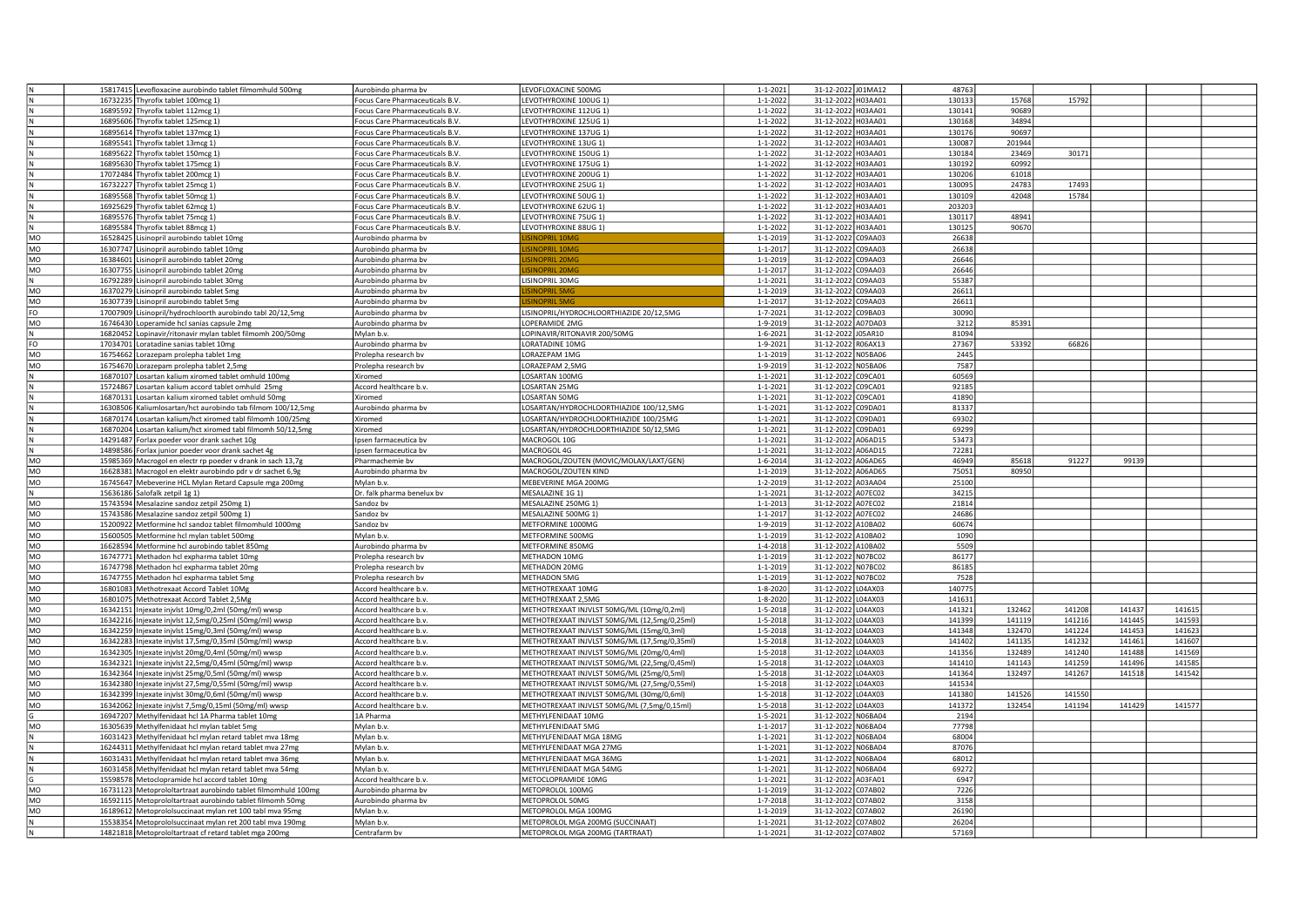|           |          | 15817415 Levofloxacine aurobindo tablet filmomhuld 500mg      | Aurobindo pharma bv                              | EVOFLOXACINE 500MG                           | $1 - 1 - 2021$ | 31-12-2022 J01MA12 | 48763  |        |        |        |        |  |
|-----------|----------|---------------------------------------------------------------|--------------------------------------------------|----------------------------------------------|----------------|--------------------|--------|--------|--------|--------|--------|--|
|           |          | 16732235 Thyrofix tablet 100mcg 1)                            | Focus Care Pharmaceuticals B.V.                  | LEVOTHYROXINE 100UG 1)                       | $1 - 1 - 2022$ | 31-12-2022 H03AA01 | 130133 | 15768  | 15792  |        |        |  |
|           |          | 16895592 Thyrofix tablet 112mcg 1                             | Focus Care Pharmaceuticals B.V.                  | LEVOTHYROXINE 112UG 1)                       | $1 - 1 - 2022$ | 31-12-2022 H03AA01 | 130141 | 90689  |        |        |        |  |
|           |          | 16895606 Thyrofix tablet 125mcg 1)                            | Focus Care Pharmaceuticals B.V.                  | LEVOTHYROXINE 125UG 1)                       | $1 - 1 - 2022$ | 31-12-2022 H03AA01 | 130168 | 34894  |        |        |        |  |
|           |          | 16895614 Thyrofix tablet 137mcg 1)                            | Focus Care Pharmaceuticals B.V.                  | EVOTHYROXINE 137UG 1)                        | $1 - 1 - 2022$ | 31-12-2022 H03AA01 | 130176 | 90697  |        |        |        |  |
|           |          | 16895541 Thyrofix tablet 13mcg 1)                             | Focus Care Pharmaceuticals B.V.                  | EVOTHYROXINE 13UG 1)                         | $1 - 1 - 2022$ | 31-12-2022 H03AA01 | 130087 | 201944 |        |        |        |  |
|           |          | 16895622 Thyrofix tablet 150mcg 1)                            | Focus Care Pharmaceuticals B.V.                  | LEVOTHYROXINE 150UG 1)                       | $1 - 1 - 2022$ | 31-12-2022 H03AA01 | 130184 | 23469  | 30171  |        |        |  |
|           |          |                                                               |                                                  |                                              | $1 - 1 - 2022$ |                    | 130192 | 60992  |        |        |        |  |
|           |          | 16895630 Thyrofix tablet 175mcg 1)                            | Focus Care Pharmaceuticals B.V.                  | LEVOTHYROXINE 175UG 1)                       |                | 31-12-2022 H03AA01 |        |        |        |        |        |  |
|           |          | 17072484 Thyrofix tablet 200mcg 1)                            | Focus Care Pharmaceuticals B.V.                  | LEVOTHYROXINE 200UG 1)                       | $1 - 1 - 2022$ | 31-12-2022 H03AA01 | 130206 | 61018  |        |        |        |  |
|           |          | 16732227 Thyrofix tablet 25mcg 1)                             | Focus Care Pharmaceuticals B.V.                  | LEVOTHYROXINE 25UG 1)                        | $1 - 1 - 2022$ | 31-12-2022 H03AA01 | 130095 | 24783  | 17493  |        |        |  |
|           |          | 16895568 Thyrofix tablet 50mcg 1)                             | Focus Care Pharmaceuticals B.V.                  | EVOTHYROXINE 50UG 1)                         | $1 - 1 - 2022$ | 31-12-2022 H03AA01 | 130109 | 42048  | 15784  |        |        |  |
|           |          | 16925629 Thyrofix tablet 62mcg 1)                             | Focus Care Pharmaceuticals B.V.                  | EVOTHYROXINE 62UG 1)                         | $1 - 1 - 2022$ | 31-12-2022 H03AA01 | 203203 |        |        |        |        |  |
|           |          | 16895576 Thyrofix tablet 75mcg 1)                             | Focus Care Pharmaceuticals B.V.                  | LEVOTHYROXINE 75UG 1)                        | $1 - 1 - 2022$ | 31-12-2022 H03AA01 | 130117 | 48941  |        |        |        |  |
| l N       |          | 16895584 Thyrofix tablet 88mcg 1)                             | Focus Care Pharmaceuticals B.V.                  | LEVOTHYROXINE 88UG 1)                        | $1 - 1 - 2022$ | 31-12-2022 H03AA01 | 130125 | 90670  |        |        |        |  |
| MO        |          | 16528425 Lisinopril aurobindo tablet 10mg                     | Aurobindo pharma bv                              | <b>INOPRIL 10M</b>                           | $1 - 1 - 2019$ | 31-12-2022 C09AA03 | 26638  |        |        |        |        |  |
| <b>MO</b> |          | 16307747 Lisinopril aurobindo tablet 10mg                     | Aurobindo pharma bv                              | <b>INOPRIL 10MC</b>                          | $1 - 1 - 2017$ | 31-12-2022 C09AA03 | 26638  |        |        |        |        |  |
| <b>MO</b> |          | 16384601 Lisinopril aurobindo tablet 20mg                     | Aurobindo pharma bv                              | <b>SINOPRIL 20MG</b>                         | $1 - 1 - 2019$ | 31-12-2022 C09AA03 | 26646  |        |        |        |        |  |
| MO        |          | 16307755 Lisinopril aurobindo tablet 20mg                     | Aurobindo pharma bv                              | <b>SINOPRIL 20M</b>                          | $1 - 1 - 2017$ | 31-12-2022 C09AA03 | 26646  |        |        |        |        |  |
|           |          | 16792289 Lisinopril aurobindo tablet 30mg                     | Aurobindo pharma bv                              | LISINOPRIL 30MG                              | $1 - 1 - 2021$ | 31-12-2022 C09AA03 | 55387  |        |        |        |        |  |
| MO        |          | 16370279 Lisinopril aurobindo tablet 5mg                      | Aurobindo pharma bv                              | <b>SINOPRIL 5MG</b>                          | 1-1-2019       | 31-12-2022 C09AA03 | 26611  |        |        |        |        |  |
| MO        | 16307739 | isinopril aurobindo tablet 5mg                                | Aurobindo pharma by                              | <b>SINOPRIL 5M</b>                           | $1 - 1 - 201$  | 31-12-2022 C09AA03 | 26611  |        |        |        |        |  |
| FO        |          | 17007909 Lisinopril/hydrochloorth aurobindo tabl 20/12,5mg    | Aurobindo pharma bv                              | LISINOPRIL/HYDROCHLOORTHIAZIDE 20/12,5MG     | $1 - 7 - 2021$ | 31-12-2022 C09BA03 | 30090  |        |        |        |        |  |
| MO        | 16746430 | Loperamide hcl sanias capsule 2mg                             | Aurobindo pharma bv                              | OPERAMIDE 2MG                                | 1-9-2019       | 31-12-2022 A07DA03 | 3212   | 85391  |        |        |        |  |
|           | 16820452 | opinavir/ritonavir mylan tablet filmomh 200/50mg              | Mylan b.v.                                       |                                              | $1 - 6 - 2021$ | 31-12-2022 J05AR10 | 81094  |        |        |        |        |  |
|           |          |                                                               |                                                  | OPINAVIR/RITONAVIR 200/50MG                  |                |                    |        |        |        |        |        |  |
| FO        | 17034701 | oratadine sanias tablet 10mg                                  | Aurobindo pharma bv                              | ORATADINE 10MG                               | 1-9-2021       | 31-12-2022 R06AX13 | 27367  | 53392  | 66826  |        |        |  |
| MO        | 16754662 | orazepam prolepha tablet 1mg                                  | Prolepha research bv                             | ORAZEPAM 1MG                                 | $1 - 1 - 2019$ | 31-12-2022 N05BA06 | 2445   |        |        |        |        |  |
| MO        |          | 16754670 Lorazepam prolepha tablet 2,5mg                      | Prolepha research by                             | ORAZEPAM 2,5MG                               | 1-9-2019       | 31-12-2022 N05BA06 | 7587   |        |        |        |        |  |
|           |          | 16870107 Losartan kalium xiromed tablet omhuld 100mg          | Xiromed                                          | OSARTAN 100MG                                | $1 - 1 - 2021$ | 31-12-2022 C09CA01 | 60569  |        |        |        |        |  |
|           |          | 15724867 Losartan kalium accord tablet omhuld 25mg            | Accord healthcare b.v.                           | OSARTAN 25MG                                 | $1 - 1 - 2021$ | 31-12-2022 C09CA01 | 92185  |        |        |        |        |  |
|           |          | 16870131 Losartan kalium xiromed tablet omhuld 50mg           | Xiromed                                          | OSARTAN 50MG                                 | $1 - 1 - 2021$ | 31-12-2022 C09CA01 | 41890  |        |        |        |        |  |
|           |          | 16308506 Kaliumlosartan/hct aurobindo tab filmom 100/12,5mg   | Aurobindo pharma bv                              | OSARTAN/HYDROCHLOORTHIAZIDE 100/12,5MG       | $1 - 1 - 2021$ | 31-12-2022 C09DA01 | 81337  |        |        |        |        |  |
|           |          | 16870174 Losartan kalium/hct xiromed tabl filmomh 100/25mg    | Xiromed                                          | OSARTAN/HYDROCHLOORTHIAZIDE 100/25MG         | $1 - 1 - 2021$ | 31-12-2022 C09DA01 | 69302  |        |        |        |        |  |
| lΝ        |          | 16870204 Losartan kalium/hct xiromed tabl filmomh 50/12,5mg   | Xiromed                                          | OSARTAN/HYDROCHLOORTHIAZIDE 50/12,5MG        | $1 - 1 - 2021$ | 31-12-2022 C09DA01 | 69299  |        |        |        |        |  |
|           |          | 14291487 Forlax poeder voor drank sachet 10g                  | Ipsen farmaceutica bv                            | MACROGOL 10G                                 | $1 - 1 - 2021$ | 31-12-2022 A06AD15 | 53473  |        |        |        |        |  |
|           |          | 14898586 Forlax junior poeder voor drank sachet 4g            | Ipsen farmaceutica bv                            | MACROGOL 4G                                  | $1 - 1 - 2021$ | 31-12-2022 A06AD15 | 72281  |        |        |        |        |  |
| MO        |          | 15985369 Macrogol en electr rp poeder v drank in sach 13,7g   | Pharmachemie bv                                  | MACROGOL/ZOUTEN (MOVIC/MOLAX/LAXT/GEN)       | $1 - 6 - 2014$ | 31-12-2022 A06AD65 | 46949  | 85618  | 91227  | 99139  |        |  |
| MO        |          | 16628381 Macrogol en elektr aurobindo pdr v dr sachet 6,9g    | Aurobindo pharma bv                              | <b>MACROGOL/ZOUTEN KIND</b>                  | $1 - 1 - 2019$ | 31-12-2022 A06AD65 | 75051  | 80950  |        |        |        |  |
| <b>MO</b> |          | 16745647 Mebeverine HCL Mylan Retard Capsule mga 200mg        | Mylan b.v.                                       | MEBEVERINE MGA 200MG                         | 1-2-2019       | 31-12-2022 A03AA04 | 25100  |        |        |        |        |  |
|           |          |                                                               |                                                  | MESALAZINE 1G 1)                             |                |                    | 34215  |        |        |        |        |  |
|           |          | 15636186 Salofalk zetpil 1g 1)                                | Dr. falk pharma benelux bv                       |                                              | $1 - 1 - 2021$ | 31-12-2022 A07EC02 |        |        |        |        |        |  |
| MO        |          | 15743594 Mesalazine sandoz zetpil 250mg 1)                    | Sandoz bv                                        | MESALAZINE 250MG 1                           | $1 - 1 - 2013$ | 31-12-2022 A07EC02 | 21814  |        |        |        |        |  |
| MO        |          | 15743586 Mesalazine sandoz zetpil 500mg 1)                    | Sandoz bv                                        | MESALAZINE 500MG 1)                          | $1 - 1 - 201$  | 31-12-2022 A07EC02 | 24686  |        |        |        |        |  |
| MO        |          | 15200922 Metformine hcl sandoz tablet filmomhuld 1000mg       | Sandoz bv                                        | METFORMINE 1000MG                            | 1-9-2019       | 31-12-2022 A10BA02 | 60674  |        |        |        |        |  |
| <b>MO</b> |          | 15600505 Metformine hcl mylan tablet 500mg                    | Mylan b.v.                                       | METFORMINE 500MG                             | $1 - 1 - 2019$ | 31-12-2022 A10BA02 | 1090   |        |        |        |        |  |
| MO        |          | 16628594 Metformine hcl aurobindo tablet 850mg                | Aurobindo pharma bv                              | METFORMINE 850MG                             | 1-4-2018       | 31-12-2022 A10BA02 | 5509   |        |        |        |        |  |
| MO        |          | 16747771 Methadon hcl expharma tablet 10mg                    | Prolepha research by                             | METHADON 10MG                                | $1 - 1 - 2019$ | 31-12-2022 NO7BC02 | 86177  |        |        |        |        |  |
| MO        |          | 16747798 Methadon hcl expharma tablet 20mg                    | Prolepha research bv                             | METHADON 20MG                                | $1 - 1 - 2019$ | 31-12-2022 N07BC02 | 86185  |        |        |        |        |  |
| <b>MO</b> |          | 16747755 Methadon hcl expharma tablet 5mg                     | Prolepha research bv                             | <b>METHADON 5MG</b>                          | $1 - 1 - 2019$ | 31-12-2022 N07BC02 | 7528   |        |        |        |        |  |
| <b>MO</b> |          | 16801083 Methotrexaat Accord Tablet 10Mg                      | Accord healthcare b.v.                           | <b>METHOTREXAAT 10MG</b>                     | 1-8-2020       | 31-12-2022 L04AX03 | 140775 |        |        |        |        |  |
| MO        |          | 16801075 Methotrexaat Accord Tablet 2,5Mg                     | Accord healthcare b.v.                           | METHOTREXAAT 2,5MG                           | 1-8-2020       | 31-12-2022 L04AX03 | 141631 |        |        |        |        |  |
| MO        |          | 16342151 Injexate injvlst 10mg/0,2ml (50mg/ml) wwsp           | Accord healthcare b.v.                           | METHOTREXAAT INJVLST 50MG/ML (10mg/0,2ml)    | 1-5-2018       | 31-12-2022 L04AX03 | 141321 | 132462 | 141208 | 141437 | 141615 |  |
| MO        |          | 16342216 Injexate injvlst 12,5mg/0,25ml (50mg/ml) wwsp        | Accord healthcare b.v.                           | METHOTREXAAT INJVLST 50MG/ML (12,5mg/0,25ml) | $1 - 5 - 2018$ | 31-12-2022 L04AX03 | 141399 | 141119 | 141216 | 141445 | 141593 |  |
| MO        |          | 16342259 Injexate injvlst 15mg/0,3ml (50mg/ml) wwsp           | Accord healthcare b.v.                           | METHOTREXAAT INJVLST 50MG/ML (15mg/0,3ml)    | 1-5-2018       | 31-12-2022 L04AX03 | 141348 | 132470 | 141224 | 141453 | 141623 |  |
| MO        |          | 16342283 Injexate injvlst 17,5mg/0,35ml (50mg/ml) wwsp        | Accord healthcare b.v.                           | METHOTREXAAT INJVLST 50MG/ML (17,5mg/0,35ml) | $1 - 5 - 2018$ | 31-12-2022 L04AX03 | 141402 | 14113  | 141232 | 141461 | 141607 |  |
| MO        |          | 16342305 Injexate injvlst 20mg/0,4ml (50mg/ml) wwsp           | Accord healthcare b.v.                           | METHOTREXAAT INJVLST 50MG/ML (20mg/0,4ml)    | 1-5-2018       | 31-12-2022 L04AX03 | 141356 | 132489 | 141240 | 141488 | 141569 |  |
| MO        |          | 16342321 Injexate injvlst 22,5mg/0,45ml (50mg/ml) wwsp        | Accord healthcare b.v.                           | METHOTREXAAT INJVLST 50MG/ML (22,5mg/0,45ml) | 1-5-2018       | 31-12-2022 L04AX03 | 141410 | 141143 | 141259 | 141496 | 141585 |  |
| MO        |          | 16342364 Injexate injvlst 25mg/0,5ml (50mg/ml) wwsp           | Accord healthcare b.v.                           | METHOTREXAAT INJVLST 50MG/ML (25mg/0,5ml)    | 1-5-2018       | 31-12-2022 L04AX03 | 141364 | 132497 | 141267 | 141518 | 141542 |  |
|           |          |                                                               |                                                  |                                              |                |                    |        |        |        |        |        |  |
| MO<br>MO  |          | 16342380 Injexate injvlst 27,5mg/0,55ml (50mg/ml) wwsp        | Accord healthcare b.v.<br>Accord healthcare b.v. | METHOTREXAAT INJVLST 50MG/ML (27,5mg/0,55ml) | $1 - 5 - 2018$ | 31-12-2022 L04AX03 | 141534 |        |        |        |        |  |
|           |          | 16342399 Injexate injvlst 30mg/0,6ml (50mg/ml) wwsp           |                                                  | METHOTREXAAT INJVLST 50MG/ML (30mg/0,6ml)    | 1-5-2018       | 31-12-2022 L04AX03 | 141380 | 141526 | 141550 |        |        |  |
| <b>MO</b> |          | 16342062 Injexate injvlst 7,5mg/0,15ml (50mg/ml) wwsp         | Accord healthcare b.v.                           | METHOTREXAAT INJVLST 50MG/ML (7,5mg/0,15ml)  | 1-5-2018       | 31-12-2022 L04AX03 | 141372 | 132454 | 141194 | 141429 | 141577 |  |
|           |          | 16947207 Methylfenidaat hcl 1A Pharma tablet 10mg             | 1A Pharma                                        | METHYLFENIDAAT 10MG                          | 1-5-2021       | 31-12-2022 N06BA04 | 2194   |        |        |        |        |  |
| MO        |          | 16305639 Methylfenidaat hcl mylan tablet 5mg                  | Mylan b.v.                                       | METHYLFENIDAAT 5MG                           | $1 - 1 - 2017$ | 31-12-2022 N06BA04 | 77798  |        |        |        |        |  |
|           |          | 16031423 Methylfenidaat hcl mylan retard tablet mva 18mg      | Mylan b.v.                                       | METHYLFENIDAAT MGA 18MG                      | $1 - 1 - 2021$ | 31-12-2022 N06BA04 | 68004  |        |        |        |        |  |
|           |          | 16244311 Methylfenidaat hcl mylan retard tablet mva 27mg      | Mylan b.v.                                       | METHYLFENIDAAT MGA 27MG                      | $1 - 1 - 2021$ | 31-12-2022 N06BA04 | 87076  |        |        |        |        |  |
|           |          | 16031431 Methylfenidaat hcl mylan retard tablet mva 36mg      | Mylan b.v.                                       | METHYLFENIDAAT MGA 36MG                      | $1 - 1 - 2021$ | 31-12-2022 N06BA04 | 68012  |        |        |        |        |  |
|           |          | 16031458 Methylfenidaat hcl mylan retard tablet mva 54mg      | Mylan b.v.                                       | METHYLFENIDAAT MGA 54MG                      | $1 - 1 - 2021$ | 31-12-2022 N06BA04 | 69272  |        |        |        |        |  |
|           |          | 15598578 Metoclopramide hcl accord tablet 10mg                | Accord healthcare b.v.                           | METOCLOPRAMIDE 10MG                          | $1 - 1 - 2021$ | 31-12-2022 A03FA01 | 6947   |        |        |        |        |  |
| MO        |          | 16731123 Metoprololtartraat aurobindo tablet filmomhuld 100mg | Aurobindo pharma bv                              | METOPROLOL 100MG                             | $1 - 1 - 2019$ | 31-12-2022 C07AB02 | 7226   |        |        |        |        |  |
| <b>MO</b> |          | 16592115 Metoprololtartraat aurobindo tablet filmomh 50mg     | Aurobindo pharma bv                              | <b>METOPROLOL 50MG</b>                       | $1 - 7 - 2018$ | 31-12-2022 C07AB02 | 3158   |        |        |        |        |  |
| <b>MO</b> |          | 16189612 Metoprololsuccinaat mylan ret 100 tabl mva 95mg      | Mylan b.v.                                       | <b>METOPROLOL MGA 100MG</b>                  | $1 - 1 - 2019$ | 31-12-2022 C07AB02 | 26190  |        |        |        |        |  |
|           |          | 15538354 Metoprololsuccinaat mylan ret 200 tabl mva 190mg     | Mylan b.v.                                       | METOPROLOL MGA 200MG (SUCCINAAT)             | $1 - 1 - 2021$ | 31-12-2022 C07AB02 | 26204  |        |        |        |        |  |
| N         |          |                                                               | Centrafarm bv                                    | METOPROLOL MGA 200MG (TARTRAAT)              | 1-1-2021       | 31-12-2022 C07AB02 | 57169  |        |        |        |        |  |
|           |          | 14821818 Metoprololtartraat cf retard tablet mga 200mg        |                                                  |                                              |                |                    |        |        |        |        |        |  |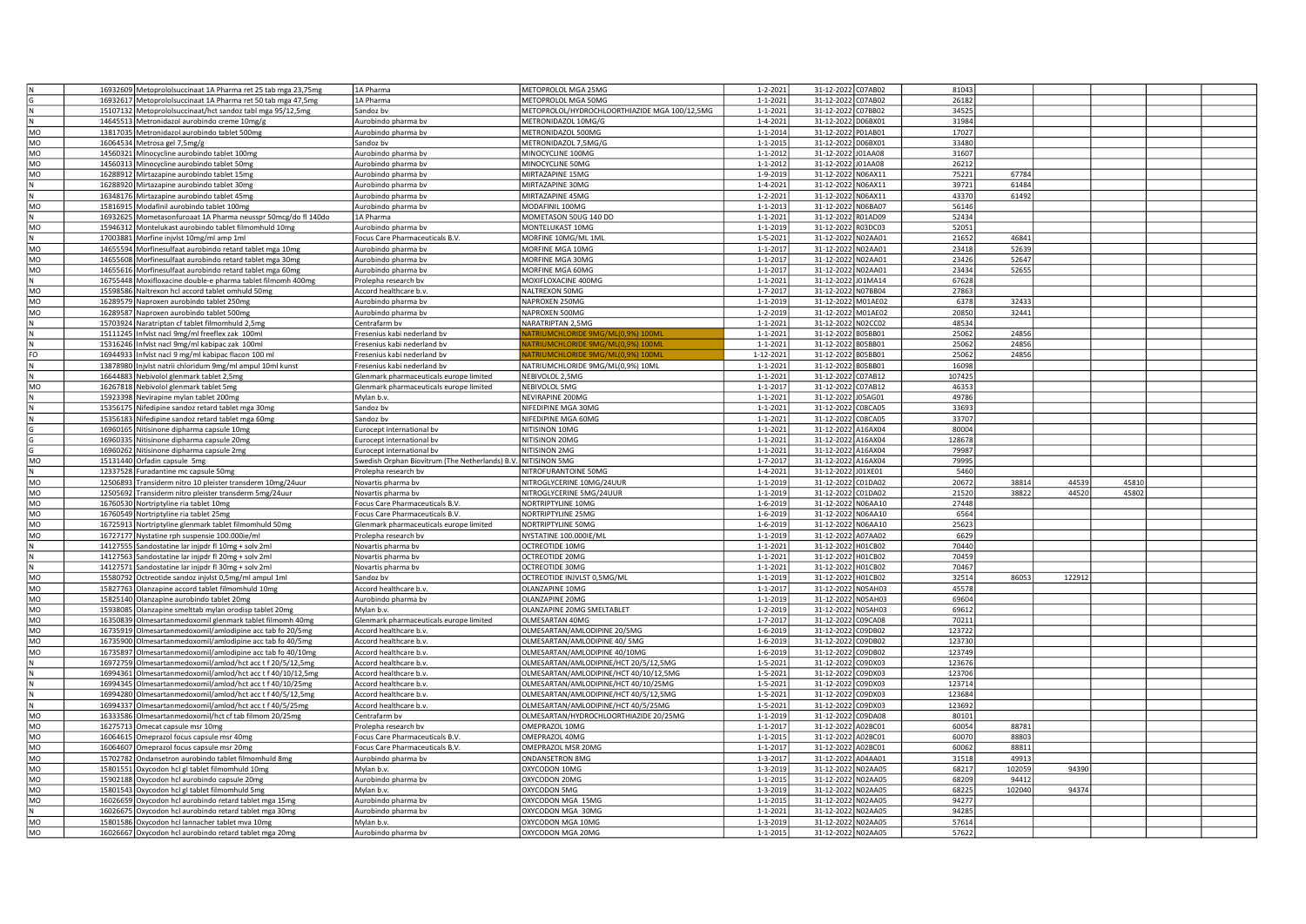|                 | 16932609 Metoprololsuccinaat 1A Pharma ret 25 tab mga 23,75mg                                             | 1A Pharma                                                    | METOPROLOL MGA 25MG                           | $1 - 2 - 2021$                   | 31-12-2022 C07AB02                       | 81043          |        |        |       |  |
|-----------------|-----------------------------------------------------------------------------------------------------------|--------------------------------------------------------------|-----------------------------------------------|----------------------------------|------------------------------------------|----------------|--------|--------|-------|--|
|                 |                                                                                                           |                                                              |                                               |                                  |                                          |                |        |        |       |  |
|                 | 16932617 Metoprololsuccinaat 1A Pharma ret 50 tab mga 47,5mg                                              | 1A Pharma                                                    | METOPROLOL MGA 50MG                           | $1 - 1 - 2021$                   | 31-12-2022 C07AB02                       | 26182          |        |        |       |  |
|                 | 15107132 Metoprololsuccinaat/hct sandoz tabl mga 95/12,5mg                                                | Sandoz bv                                                    | METOPROLOL/HYDROCHLOORTHIAZIDE MGA 100/12,5MG | $1 - 1 - 2021$                   | 31-12-2022 C07BB02                       | 34525          |        |        |       |  |
|                 | 14645513 Metronidazol aurobindo creme 10mg/g                                                              | Aurobindo pharma bv                                          | METRONIDAZOL 10MG/G                           | $1 - 4 - 2021$                   | 31-12-2022 D06BX01                       | 31984          |        |        |       |  |
| <b>MO</b>       | 13817035 Metronidazol aurobindo tablet 500mg                                                              | Aurobindo pharma by                                          | METRONIDAZOL 500MG                            | $1 - 1 - 2014$                   | 31-12-2022 P01AB01                       | 17027          |        |        |       |  |
| <b>MO</b>       | 16064534 Metrosa gel 7,5mg/g                                                                              | sandoz by                                                    | METRONIDAZOL 7,5MG/G                          | $1 - 1 - 2015$                   | 31-12-2022 D06BX01                       | 33480          |        |        |       |  |
| MO              |                                                                                                           |                                                              | MINOCYCLINE 100MG                             | $1 - 1 - 2012$                   | 31-12-2022 J01AA08                       | 31607          |        |        |       |  |
|                 | 14560321 Minocycline aurobindo tablet 100mg                                                               | Aurobindo pharma bv                                          |                                               |                                  |                                          |                |        |        |       |  |
| MO              | 14560313 Minocycline aurobindo tablet 50mg                                                                | Aurobindo pharma bv                                          | MINOCYCLINE 50MG                              | $1 - 1 - 2012$                   | 31-12-2022 J01AA08                       | 26212          |        |        |       |  |
| MO              | 16288912 Mirtazapine aurobindo tablet 15mg                                                                | Aurobindo pharma bv                                          | MIRTAZAPINE 15MG                              | 1-9-2019                         | 31-12-2022 N06AX11                       | 75221          | 67784  |        |       |  |
|                 | 16288920 Mirtazapine aurobindo tablet 30mg                                                                | Aurobindo pharma by                                          | MIRTAZAPINE 30MG                              | 1-4-2021                         | 31-12-2022 N06AX11                       | 39721          | 61484  |        |       |  |
|                 | 16348176 Mirtazapine aurobindo tablet 45mg                                                                | Aurobindo pharma bv                                          | MIRTAZAPINE 45MG                              | $1 - 2 - 2021$                   | 31-12-2022 N06AX11                       | 43370          | 61492  |        |       |  |
|                 |                                                                                                           |                                                              |                                               |                                  |                                          |                |        |        |       |  |
| MO              | 15816915 Modafinil aurobindo tablet 100mg                                                                 | Aurobindo pharma bv                                          | MODAFINIL 100MG                               | $1 - 1 - 2013$                   | 31-12-2022 N06BA07                       | 56146          |        |        |       |  |
| N               | 16932625 Mometasonfuroaat 1A Pharma neusspr 50mcg/do fl 140do                                             | 1A Pharma                                                    | MOMETASON 50UG 140 DO                         | $1 - 1 - 2021$                   | 31-12-2022 R01AD09                       | 52434          |        |        |       |  |
| MO              | 15946312 Montelukast aurobindo tablet filmomhuld 10mg                                                     | Aurobindo pharma bv                                          | MONTELUKAST 10MG                              | 1-1-2019                         | 31-12-2022 R03DC03                       | 52051          |        |        |       |  |
|                 | 17003881 Morfine injvlst 10mg/ml amp 1ml                                                                  | Focus Care Pharmaceuticals B.V.                              | MORFINE 10MG/ML 1ML                           | $1 - 5 - 2021$                   | 31-12-2022 N02AA01                       | 21652          | 46841  |        |       |  |
|                 |                                                                                                           |                                                              |                                               |                                  |                                          |                |        |        |       |  |
| MO              | 14655594 Morfinesulfaat aurobindo retard tablet mga 10mg                                                  | Aurobindo pharma bv                                          | MORFINE MGA 10MG                              | $1 - 1 - 2017$                   | 31-12-2022 N02AA01                       | 23418          | 52639  |        |       |  |
| MO              | 14655608 Morfinesulfaat aurobindo retard tablet mga 30mg                                                  | Aurobindo pharma bv                                          | MORFINE MGA 30MG                              | $1 - 1 - 2017$                   | 31-12-2022 N02AA01                       | 23426          | 52647  |        |       |  |
| MO              | 14655616 Morfinesulfaat aurobindo retard tablet mga 60mg                                                  | Aurobindo pharma bv                                          | MORFINE MGA 60MG                              | $1 - 1 - 2017$                   | 31-12-2022 N02AA01                       | 23434          | 52655  |        |       |  |
| N               | 16755448 Moxifloxacine double-e pharma tablet filmomh 400mg                                               | Prolepha research bv                                         | MOXIFLOXACINE 400MG                           | $1 - 1 - 2021$                   | 31-12-2022 J01MA14                       | 67628          |        |        |       |  |
|                 |                                                                                                           |                                                              |                                               |                                  |                                          |                |        |        |       |  |
| MO              | 15598586 Naltrexon hcl accord tablet omhuld 50mg                                                          | Accord healthcare b.v.                                       | NALTREXON 50MG                                | $1 - 7 - 2017$                   | 31-12-2022 N07BB04                       | 27863          |        |        |       |  |
| <b>MO</b>       | 16289579 Naproxen aurobindo tablet 250mg                                                                  | Aurobindo pharma by                                          | NAPROXEN 250MG                                | $1 - 1 - 2019$                   | 31-12-2022 M01AE02                       | 6378           | 32433  |        |       |  |
| MO              | 16289587 Naproxen aurobindo tablet 500mg                                                                  | Aurobindo pharma bv                                          | NAPROXEN 500MG                                | $1 - 2 - 2019$                   | 31-12-2022 M01AE02                       | 20850          | 32441  |        |       |  |
|                 | 15703924 Naratriptan cf tablet filmomhuld 2,5mg                                                           | Centrafarm bv                                                | NARATRIPTAN 2,5MG                             | $1 - 1 - 2021$                   | 31-12-2022 N02CC02                       | 48534          |        |        |       |  |
|                 |                                                                                                           |                                                              |                                               |                                  |                                          |                |        |        |       |  |
|                 | 15111245 Infvlst nacl 9mg/ml freeflex zak 100ml                                                           | Fresenius kabi nederland bv                                  | ATRIUMCHLORIDE 9MG/ML(0,9%) 100M              | $1 - 1 - 2021$                   | 31-12-2022 B05BB01                       | 25062          | 24856  |        |       |  |
|                 | 15316246 Infvlst nacl 9mg/ml kabipac zak 100ml                                                            | resenius kabi nederland bv                                   | ATRIUMCHLORIDE 9MG/ML(0.9%) 100M              | $1 - 1 - 2021$                   | 31-12-2022 B05BB01                       | 25062          | 24856  |        |       |  |
| FO              | 16944933 Infvlst nacl 9 mg/ml kabipac flacon 100 ml                                                       | resenius kabi nederland bv                                   | <b>TRIUMCHLORIDE 9MG/ML(0.9%) 100M</b>        | 1-12-2021                        | 31-12-2022 B05BB01                       | 25062          | 24856  |        |       |  |
|                 | 13878980 Injvlst natrii chloridum 9mg/ml ampul 10ml kunst                                                 | resenius kabi nederland by                                   | NATRIUMCHLORIDE 9MG/ML(0.9%) 10ML             | $1 - 1 - 2021$                   | 31-12-2022 B05BB01                       | 16098          |        |        |       |  |
|                 |                                                                                                           |                                                              |                                               | $1 - 1 - 2021$                   | 31-12-2022 C07AB12                       | 107425         |        |        |       |  |
|                 | 16644883 Nebivolol glenmark tablet 2,5mg                                                                  | Glenmark pharmaceuticals europe limited                      | NEBIVOLOL 2,5MG                               |                                  |                                          |                |        |        |       |  |
| MO              | 16267818 Nebivolol glenmark tablet 5mg                                                                    | Glenmark pharmaceuticals europe limited                      | NEBIVOLOL 5MG                                 | 1-1-2017                         | 31-12-2022 C07AB12                       | 46353          |        |        |       |  |
|                 | 15923398 Nevirapine mylan tablet 200mg                                                                    | Mylan b.y                                                    | NEVIRAPINE 200MG                              | $1 - 1 - 2021$                   | 31-12-2022 J05AG01                       | 49786          |        |        |       |  |
|                 | 15356175 Nifedipine sandoz retard tablet mga 30mg                                                         | sandoz bv                                                    | NIFEDIPINE MGA 30MG                           | $1 - 1 - 2021$                   | 31-12-2022 C08CA05                       | 33693          |        |        |       |  |
|                 | 15356183 Nifedipine sandoz retard tablet mga 60mg                                                         | andoz by                                                     | NIFEDIPINE MGA 60MG                           | $1 - 1 - 2021$                   | 31-12-2022 C08CA05                       | 33707          |        |        |       |  |
|                 |                                                                                                           |                                                              |                                               |                                  |                                          |                |        |        |       |  |
|                 | 16960165 Nitisinone dipharma capsule 10mg                                                                 | urocept international bv                                     | NITISINON 10MG                                | $1 - 1 - 2021$                   | 31-12-2022 A16AX04                       | 80004          |        |        |       |  |
|                 | 16960335 Nitisinone dipharma capsule 20mg                                                                 | Eurocept international bv                                    | NITISINON 20MG                                | $1 - 1 - 2021$                   | 31-12-2022 A16AX04                       | 128678         |        |        |       |  |
|                 | 16960262 Nitisinone dipharma capsule 2mg                                                                  | Eurocept international bv                                    | NITISINON 2MG                                 | $1 - 1 - 2021$                   | 31-12-2022 A16AX04                       | 79987          |        |        |       |  |
| MO              | 15131440 Orfadin capsule 5mg                                                                              | wedish Orphan Biovitrum (The Netherlands) B.V. NITISINON 5MG |                                               | 1-7-2017                         | 31-12-2022 A16AX04                       | 7999           |        |        |       |  |
|                 |                                                                                                           |                                                              |                                               |                                  |                                          |                |        |        |       |  |
|                 | 12337528 Furadantine mc capsule 50mg                                                                      | Prolepha research by                                         | NITROFURANTOINE 50MG                          | $1 - 4 - 2021$                   | 31-12-2022 J01XE01                       | 5460           |        |        |       |  |
| <b>MO</b>       | 12506893 Transiderm nitro 10 pleister transderm 10mg/24uur                                                | Novartis pharma by                                           | NITROGLYCERINE 10MG/24UUR                     | $1 - 1 - 2019$                   | 31-12-2022 C01DA02                       | 20672          | 38814  | 4453   | 45810 |  |
| MO              | 12505692 Transiderm nitro pleister transderm 5mg/24uur                                                    | Novartis pharma bv                                           | NITROGLYCERINE 5MG/24UUR                      | $1 - 1 - 2019$                   | 31-12-2022 C01DA02                       | 21520          | 38822  | 4452   | 45802 |  |
| MO              | 16760530 Nortriptyline ria tablet 10mg                                                                    | Focus Care Pharmaceuticals B.V.                              | NORTRIPTYLINE 10MG                            | 1-6-2019                         | 31-12-2022 N06AA10                       | 27448          |        |        |       |  |
|                 |                                                                                                           |                                                              |                                               |                                  |                                          |                |        |        |       |  |
| MO              | 16760549 Nortriptyline ria tablet 25mg                                                                    | Focus Care Pharmaceuticals B.V                               | NORTRIPTYLINE 25MG                            | 1-6-2019                         | 31-12-2022 N06AA10                       | 6564           |        |        |       |  |
| MO              | 16725913 Nortriptyline glenmark tablet filmomhuld 50mg                                                    | Glenmark pharmaceuticals europe limited                      | NORTRIPTYLINE 50MG                            | $1 - 6 - 2019$                   | 31-12-2022 N06AA10                       | 25623          |        |        |       |  |
| <b>MO</b>       | 16727177 Nystatine rph suspensie 100.000ie/ml                                                             | Prolepha research bv                                         | NYSTATINE 100.000IE/MI                        | $1 - 1 - 2019$                   | 31-12-2022 A07AA02                       | 6629           |        |        |       |  |
|                 | 14127555 Sandostatine lar injpdr fl 10mg + solv 2ml                                                       | Vovartis pharma bv                                           | <b>OCTREOTIDE 10MG</b>                        | $1 - 1 - 2021$                   | 31-12-2022 H01CB02                       | 70440          |        |        |       |  |
|                 |                                                                                                           |                                                              |                                               |                                  |                                          |                |        |        |       |  |
|                 | 14127563 Sandostatine lar injpdr fl 20mg + solv 2ml                                                       | Novartis pharma bv                                           | OCTREOTIDE 20MG                               | 1-1-2021                         | 31-12-2022 H01CB02                       | 70459          |        |        |       |  |
|                 | 14127571 Sandostatine lar injpdr fl 30mg + solv 2ml                                                       | Novartis pharma bv                                           | OCTREOTIDE 30MG                               | $1 - 1 - 2021$                   | 31-12-2022 H01CB02                       | 70467          |        |        |       |  |
| MO              | 15580792 Octreotide sandoz injvlst 0,5mg/ml ampul 1ml                                                     | andoz bv                                                     | OCTREOTIDE INJVLST 0,5MG/ML                   | 1-1-2019                         | 31-12-2022 H01CB02                       | 32514          | 86053  | 122912 |       |  |
| MO              | 15827763 Olanzapine accord tablet filmomhuld 10mg                                                         | Accord healthcare b.v.                                       | <b>OLANZAPINE 10MG</b>                        | $1 - 1 - 2017$                   | 31-12-2022 N05AH03                       | 45578          |        |        |       |  |
| MO              |                                                                                                           |                                                              | <b>OLANZAPINE 20MG</b>                        |                                  |                                          | 69604          |        |        |       |  |
|                 | 15825140 Olanzapine aurobindo tablet 20mg                                                                 | Aurobindo pharma bv                                          |                                               | $1 - 1 - 2019$                   | 31-12-2022 N05AH03                       |                |        |        |       |  |
| MO              | 15938085 Olanzapine smelttab mylan orodisp tablet 20mg                                                    | Mylan b.v.                                                   | OLANZAPINE 20MG SMELTABLET                    | $1 - 2 - 2019$                   | 31-12-2022 N05AH03                       | 69612          |        |        |       |  |
| MO              | 16350839 Olmesartanmedoxomil glenmark tablet filmomh 40mg                                                 | Glenmark pharmaceuticals europe limited                      | OLMESARTAN 40MG                               | 1-7-2017                         | 31-12-2022 C09CA08                       | 70211          |        |        |       |  |
| MO              | 16735919 Olmesartanmedoxomil/amlodipine acc tab fo 20/5mg                                                 | Accord healthcare b.v                                        | OLMESARTAN/AMLODIPINE 20/5MG                  | $1 - 6 - 2019$                   | 31-12-2022 C09DB02                       | 123722         |        |        |       |  |
| MO              | 16735900 Olmesartanmedoxomil/amlodipine acc tab fo 40/5mg                                                 | Accord healthcare b.v.                                       | OLMESARTAN/AMLODIPINE 40/5MG                  | $1 - 6 - 2019$                   | 31-12-2022 C09DB02                       | 123730         |        |        |       |  |
|                 |                                                                                                           |                                                              |                                               |                                  |                                          |                |        |        |       |  |
| <b>MO</b>       | 16735897 Olmesartanmedoxomil/amlodipine acc tab fo 40/10mg                                                | Accord healthcare b.v.                                       | OLMESARTAN/AMLODIPINE 40/10MG                 | 1-6-2019                         | 31-12-2022 C09DB02                       | 123749         |        |        |       |  |
|                 | 16972759 Olmesartanmedoxomil/amlod/hct acc t f 20/5/12,5mg                                                | Accord healthcare b.v.                                       | OLMESARTAN/AMLODIPINE/HCT 20/5/12,5MG         | $1 - 5 - 2021$                   | 31-12-2022 C09DX03                       | 123676         |        |        |       |  |
|                 | 16994361 Olmesartanmedoxomil/amlod/hct acc t f 40/10/12,5mg                                               | Accord healthcare b.v.                                       | OLMESARTAN/AMLODIPINE/HCT 40/10/12,5MG        | $1 - 5 - 2021$                   | 31-12-2022 C09DX03                       | 123706         |        |        |       |  |
|                 | 16994345 Olmesartanmedoxomil/amlod/hct acc t f 40/10/25mg                                                 | Accord healthcare b.v.                                       | OLMESARTAN/AMLODIPINE/HCT 40/10/25MG          | 1-5-2021                         | 31-12-2022 C09DX03                       | 123714         |        |        |       |  |
|                 |                                                                                                           |                                                              |                                               |                                  |                                          |                |        |        |       |  |
|                 | 16994280 Olmesartanmedoxomil/amlod/hct acc t f 40/5/12,5mg                                                | Accord healthcare b.v.                                       | OLMESARTAN/AMLODIPINE/HCT 40/5/12,5MG         | $1 - 5 - 2021$                   | 31-12-2022 C09DX03                       | 123684         |        |        |       |  |
|                 | 16994337 Olmesartanmedoxomil/amlod/hct acc t f 40/5/25mg                                                  | Accord healthcare b.v.                                       | OLMESARTAN/AMLODIPINE/HCT 40/5/25MG           | $1 - 5 - 2021$                   | 31-12-2022 C09DX03                       | 123692         |        |        |       |  |
| MO              | 16333586 Olmesartanmedoxomil/hct cf tab filmom 20/25mg                                                    | Centrafarm bv                                                | OLMESARTAN/HYDROCHLOORTHIAZIDE 20/25MG        | $1 - 1 - 2019$                   | 31-12-2022 C09DA08                       | 80101          |        |        |       |  |
| MO              | 16275713 Omecat capsule msr 10mg                                                                          | Prolepha research bv                                         | OMEPRAZOL 10MG                                | $1 - 1 - 2017$                   | 31-12-2022 A02BC01                       | 60054          | 88781  |        |       |  |
| MO              |                                                                                                           | Focus Care Pharmaceuticals B.V                               | OMEPRAZOL 40MG                                | $1 - 1 - 2015$                   | 31-12-2022 A02BC01                       | 60070          | 88803  |        |       |  |
|                 | 16064615 Omeprazol focus capsule msr 40mg                                                                 |                                                              |                                               |                                  |                                          |                |        |        |       |  |
| MO              | 16064607 Omeprazol focus capsule msr 20mg                                                                 | Focus Care Pharmaceuticals B.V                               | OMEPRAZOL MSR 20MG                            | $1 - 1 - 2017$                   | 31-12-2022 A02BC01                       | 60062          | 88811  |        |       |  |
| MO              | 15702782 Ondansetron aurobindo tablet filmomhuld 8mg                                                      | Aurobindo pharma by                                          | <b>ONDANSETRON 8MG</b>                        | $1 - 3 - 2017$                   | 31-12-2022 A04AA01                       | 31518          | 49913  |        |       |  |
|                 |                                                                                                           |                                                              |                                               | 1-3-2019                         | 31-12-2022 N02AA05                       | 68217          | 102059 | 94390  |       |  |
|                 |                                                                                                           |                                                              |                                               |                                  |                                          |                |        |        |       |  |
| MO              | 15801551 Oxycodon hcl gl tablet filmomhuld 10mg                                                           | Mylan b.v.                                                   | OXYCODON 10MG                                 |                                  |                                          |                |        |        |       |  |
| MO              | 15902188 Oxycodon hcl aurobindo capsule 20mg                                                              | Aurobindo pharma bv                                          | OXYCODON 20MG                                 | $1 - 1 - 2015$                   | 31-12-2022 N02AA05                       | 68209          | 94412  |        |       |  |
| MO              | 15801543 Oxycodon hcl gl tablet filmomhuld 5mg                                                            | Mylan b.v.                                                   | OXYCODON 5MG                                  | 1-3-2019                         | 31-12-2022 N02AA05                       | 68225          | 102040 | 94374  |       |  |
| MO              | 16026659<br>Oxycodon hcl aurobindo retard tablet mga 15mg                                                 | urobindo pharma bv                                           | OXYCODON MGA 15MG                             | $1 - 1 - 2015$                   | 31-12-2022 N02AA05                       | 94277          |        |        |       |  |
|                 | 16026675 Oxycodon hcl aurobindo retard tablet mga 30mg                                                    | Aurobindo pharma bv                                          | OXYCODON MGA 30MG                             | $1 - 1 - 2021$                   | 31-12-2022 N02AA05                       | 94285          |        |        |       |  |
|                 |                                                                                                           |                                                              |                                               |                                  |                                          |                |        |        |       |  |
| <b>MO</b><br>MO | 15801586 Oxycodon hcl lannacher tablet mva 10mg<br>16026667 Oxycodon hcl aurobindo retard tablet mga 20mg | Mylan h.v.<br>Aurobindo pharma bv                            | <b>DXYCODON MGA 10MG</b><br>OXYCODON MGA 20MG | $1 - 3 - 2019$<br>$1 - 1 - 2015$ | 31-12-2022 N02AA05<br>31-12-2022 N02AA05 | 57614<br>57622 |        |        |       |  |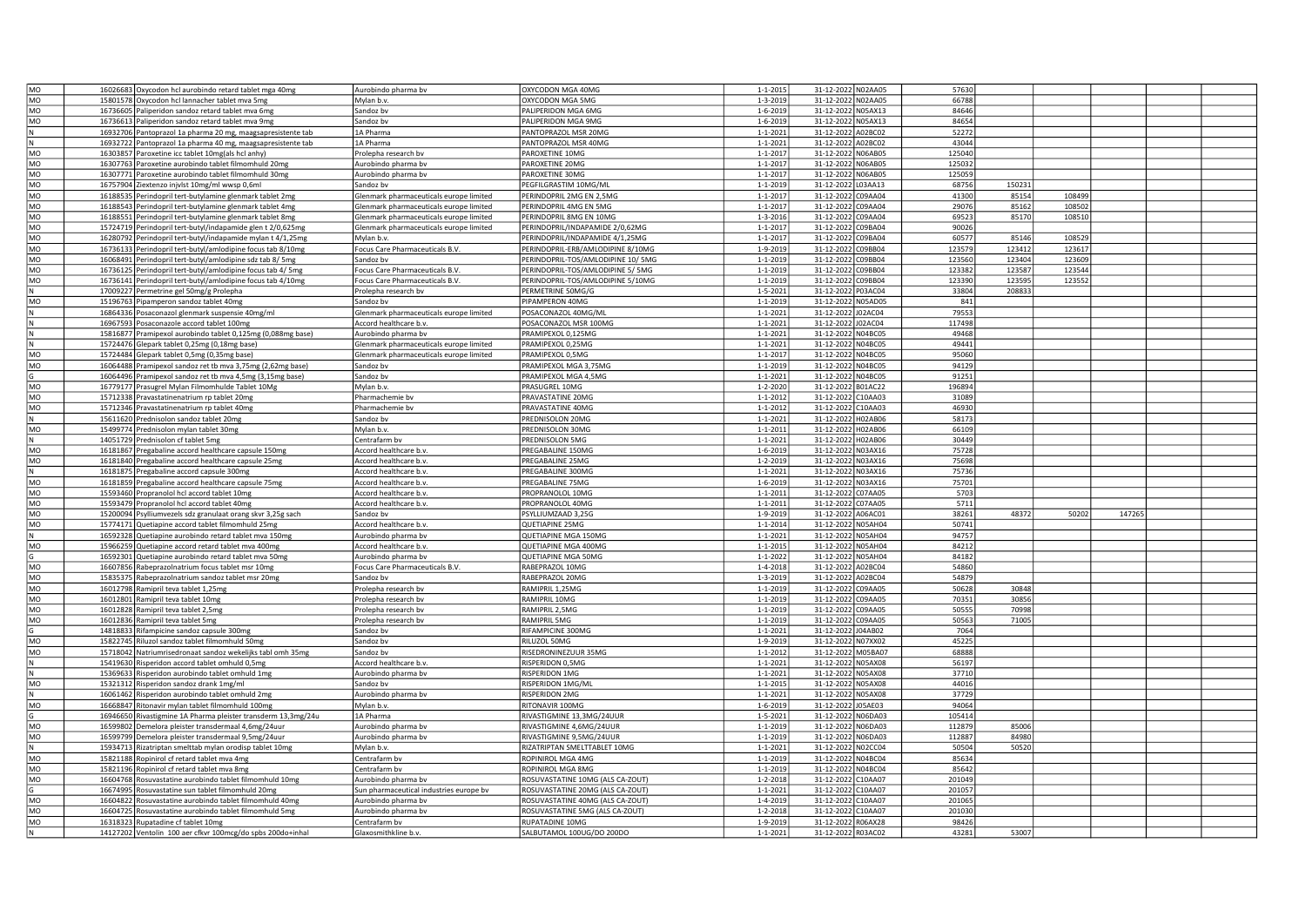| MO              | 16026683 Oxycodon hcl aurobindo retard tablet mga 40mg        | Aurobindo pharma bv                     | OXYCODON MGA 40MG                  | $1 - 1 - 2015$ | 31-12-2022 N02AA05    | 57630  |        |        |        |  |
|-----------------|---------------------------------------------------------------|-----------------------------------------|------------------------------------|----------------|-----------------------|--------|--------|--------|--------|--|
| MO              | 15801578 Oxycodon hcl lannacher tablet mva 5mg                | Mylan b.y.                              | OXYCODON MGA 5MG                   | 1-3-2019       | 31-12-2022 N02AA05    | 66788  |        |        |        |  |
| MO              | 16736605 Paliperidon sandoz retard tablet mva 6mg             | Sandoz bv                               | PALIPERIDON MGA 6MG                | 1-6-2019       | 31-12-2022 N05AX13    | 84646  |        |        |        |  |
| MO              | 16736613 Paliperidon sandoz retard tablet mva 9mg             | Sandoz bv                               | PALIPERIDON MGA 9MG                | 1-6-2019       | 31-12-2022 N05AX13    | 84654  |        |        |        |  |
| N               | 16932706 Pantoprazol 1a pharma 20 mg, maagsapresistente tab   | 1A Pharma                               | PANTOPRAZOL MSR 20MG               | $1 - 1 - 2021$ | 31-12-2022 A02BC02    | 52272  |        |        |        |  |
|                 | 16932722 Pantoprazol 1a pharma 40 mg, maagsapresistente tab   | 1A Pharma                               | PANTOPRAZOL MSR 40MG               | $1 - 1 - 2021$ | 31-12-2022 A02BC02    | 43044  |        |        |        |  |
| MO              | 16303857 Paroxetine icc tablet 10mg(als hcl anhy)             | Prolepha research bv                    | PAROXETINE 10MG                    | $1 - 1 - 2017$ | 31-12-2022 N06AB05    | 125040 |        |        |        |  |
| MO              | 16307763 Paroxetine aurobindo tablet filmomhuld 20mg          | Aurobindo pharma bv                     | PAROXETINE 20MG                    | $1 - 1 - 2017$ | 31-12-2022 N06AB05    | 125032 |        |        |        |  |
| MO              | 16307771 Paroxetine aurobindo tablet filmomhuld 30mg          | Aurobindo pharma bv                     | PAROXETINE 30MG                    | $1 - 1 - 2017$ | 31-12-2022 N06AB05    | 125059 |        |        |        |  |
| MO              | 16757904 Ziextenzo injvlst 10mg/ml wwsp 0,6ml                 | Sandoz bv                               | PEGFILGRASTIM 10MG/ML              | $1 - 1 - 2019$ | 31-12-2022 L03AA13    | 68756  | 150231 |        |        |  |
| MO              | 16188535 Perindopril tert-butylamine glenmark tablet 2mg      | Glenmark pharmaceuticals europe limited | PERINDOPRIL 2MG EN 2,5MG           | $1 - 1 - 201$  | 31-12-2022 C09AA04    | 41300  | 85154  | 108499 |        |  |
| MO              | 16188543 Perindopril tert-butylamine glenmark tablet 4mg      | Glenmark pharmaceuticals europe limited | PERINDOPRIL 4MG EN 5MG             | $1 - 1 - 201$  | 31-12-2022 C09AA04    | 29076  | 85162  | 108502 |        |  |
| MO              | 16188551 Perindopril tert-butylamine glenmark tablet 8mg      | Glenmark pharmaceuticals europe limited | PERINDOPRIL 8MG EN 10MG            | $1 - 3 - 2016$ | 31-12-2022 C09AA04    | 69523  | 85170  | 108510 |        |  |
| MO              | 15724719 Perindopril tert-butyl/indapamide glen t 2/0,625mg   | Glenmark pharmaceuticals europe limited | PERINDOPRIL/INDAPAMIDE 2/0,62MG    | $1 - 1 - 2017$ | 31-12-2022 C09BA04    | 90026  |        |        |        |  |
| MO              | 16280792 Perindopril tert-butyl/indapamide mylan t 4/1,25mg   | Mylan b.v.                              | PERINDOPRIL/INDAPAMIDE 4/1,25MG    | $1 - 1 - 2017$ | 31-12-2022 C09BA04    | 60577  | 85146  | 108529 |        |  |
| MO              | 16736133 Perindopril tert-butyl/amlodipine focus tab 8/10mg   | Focus Care Pharmaceuticals B.V.         | PERINDOPRIL-ERB/AMLODIPINE 8/10MG  | 1-9-2019       | 31-12-2022 C09BB04    | 123579 | 123412 | 123617 |        |  |
| MO              | 16068491 Perindopril tert-butyl/amlodipine sdz tab 8/ 5mg     | Sandoz bv                               | PERINDOPRIL-TOS/AMLODIPINE 10/ 5MG | $1 - 1 - 2019$ | 31-12-2022 C09BB04    | 123560 | 123404 | 123609 |        |  |
| MO              | 16736125 Perindopril tert-butyl/amlodipine focus tab 4/ 5mg   | Focus Care Pharmaceuticals B.V.         | PERINDOPRIL-TOS/AMLODIPINE 5/ 5MG  | $1 - 1 - 2019$ | 31-12-2022 C09BB04    | 123382 | 123587 | 123544 |        |  |
| MO              | 16736141 Perindopril tert-butyl/amlodipine focus tab 4/10mg   | Focus Care Pharmaceuticals B.V.         | PERINDOPRIL-TOS/AMLODIPINE 5/10MG  | 1-1-2019       | 31-12-2022 C09BB04    | 123390 | 123595 | 123552 |        |  |
| N               | 17009227 Permetrine gel 50mg/g Prolepha                       | Prolepha research bv                    | PERMETRINE 50MG/G                  | $1 - 5 - 2021$ | 31-12-2022 P03AC04    | 33804  | 208833 |        |        |  |
| MO              | 15196763 Pipamperon sandoz tablet 40mg                        | Sandoz by                               | PIPAMPERON 40MG                    | 1-1-2019       | 31-12-2022 N05AD05    | 841    |        |        |        |  |
|                 | 16864336 Posaconazol glenmark suspensie 40mg/ml               | Glenmark pharmaceuticals europe limited | POSACONAZOL 40MG/ML                | $1 - 1 - 2021$ | 31-12-2022 J02AC04    | 79553  |        |        |        |  |
| N               | 16967593 Posaconazole accord tablet 100mg                     | Accord healthcare b.v.                  | POSACONAZOL MSR 100MG              | $1 - 1 - 2021$ | 31-12-2022 J02AC04    | 117498 |        |        |        |  |
| lΝ              | 15816877 Pramipexol aurobindo tablet 0,125mg (0,088mg base)   | Aurobindo pharma bv                     | PRAMIPEXOL 0.125MG                 | $1 - 1 - 2021$ | 31-12-2022 N04BC05    | 49468  |        |        |        |  |
| N               | 15724476 Glepark tablet 0,25mg (0,18mg base)                  | Glenmark pharmaceuticals europe limited | PRAMIPEXOL 0,25MG                  | $1 - 1 - 2021$ | 31-12-2022 N04BC05    | 49441  |        |        |        |  |
| MO              | 15724484 Glepark tablet 0,5mg (0,35mg base)                   | Glenmark pharmaceuticals europe limited | PRAMIPEXOL 0,5MG                   | $1 - 1 - 2017$ | 31-12-2022 N04BC05    | 95060  |        |        |        |  |
| MO              | 16064488 Pramipexol sandoz ret tb mva 3,75mg (2,62mg base)    | Sandoz by                               | PRAMIPEXOL MGA 3,75MG              | 1-1-2019       | 31-12-2022 N04BC05    | 94129  |        |        |        |  |
|                 | 16064496 Pramipexol sandoz ret tb mva 4,5mg (3,15mg base)     | Sandoz by                               | PRAMIPEXOL MGA 4.5MG               | $1 - 1 - 2021$ | 31-12-2022 N04BC05    | 91251  |        |        |        |  |
| MO              | 16779177 Prasugrel Mylan Filmomhulde Tablet 10Mg              | Mylan b.v.                              | PRASUGREL 10MG                     |                | 31-12-2022 B01AC22    | 196894 |        |        |        |  |
| MO              |                                                               |                                         | PRAVASTATINE 20MG                  | 1-2-2020       |                       | 31089  |        |        |        |  |
| $\overline{MO}$ | 15712338 Pravastatinenatrium rp tablet 20mg                   | Pharmachemie bv                         |                                    | $1 - 1 - 2012$ | 31-12-2022 C10AA03    |        |        |        |        |  |
|                 | 15712346 Pravastatinenatrium rp tablet 40mg                   | Pharmachemie bv                         | PRAVASTATINE 40MG                  | 1-1-2012       | 31-12-2022 C10AA03    | 46930  |        |        |        |  |
| N               | 15611620 Prednisolon sandoz tablet 20mg                       | Sandoz bv                               | PREDNISOLON 20MG                   | $1 - 1 - 2021$ | 31-12-2022 H02AB06    | 58173  |        |        |        |  |
| MO              | 15499774 Prednisolon mylan tablet 30mg                        | Mylan b.v.                              | PREDNISOLON 30MG                   | $1 - 1 - 2011$ | 31-12-2022 H02AB06    | 66109  |        |        |        |  |
| lΝ              | 14051729 Prednisolon cf tablet 5mg                            | Centrafarm bv                           | PREDNISOLON 5MG                    | $1 - 1 - 2021$ | 31-12-2022 H02AB06    | 30449  |        |        |        |  |
| MO              | 16181867 Pregabaline accord healthcare capsule 150mg          | Accord healthcare b.v.                  | PREGABALINE 150MG                  | $1 - 6 - 2019$ | 31-12-2022 N03AX16    | 75728  |        |        |        |  |
| MO              | 16181840 Pregabaline accord healthcare capsule 25mg           | Accord healthcare b.v.                  | PREGABALINE 25MG                   | 1-2-2019       | 31-12-2022 N03AX16    | 75698  |        |        |        |  |
| N               | 16181875 Pregabaline accord capsule 300mg                     | Accord healthcare b.v.                  | PREGABALINE 300MG                  | $1 - 1 - 2021$ | 31-12-2022 N03AX16    | 75736  |        |        |        |  |
| MO              | 16181859 Pregabaline accord healthcare capsule 75mg           | Accord healthcare b.v.                  | PREGABALINE 75MG                   | $1 - 6 - 2019$ | 31-12-2022 N03AX16    | 75701  |        |        |        |  |
| $\overline{MO}$ | 15593460 Propranolol hcl accord tablet 10mg                   | Accord healthcare b.v.                  | PROPRANOLOL 10MG                   | $1 - 1 - 2011$ | 31-12-2022 C07AA05    | 5703   |        |        |        |  |
| MO              | 15593479 Propranolol hcl accord tablet 40mg                   | Accord healthcare b.v.                  | PROPRANOLOL 40MG                   | $1 - 1 - 2011$ | 31-12-2022 C07AA05    | 5711   |        |        |        |  |
| MO              | 15200094 Psylliumvezels sdz granulaat orang skvr 3,25g sach   | Sandoz bv                               | PSYLLIUMZAAD 3,25G                 | 1-9-2019       | 31-12-2022 A06AC01    | 38261  | 48372  | 50202  | 147265 |  |
| MO              | 15774171 Quetiapine accord tablet filmomhuld 25mg             | Accord healthcare b.v.                  | QUETIAPINE 25MG                    | $1 - 1 - 2014$ | 31-12-2022 N05AH04    | 50741  |        |        |        |  |
| N               | 16592328 Quetiapine aurobindo retard tablet mva 150mg         | Aurobindo pharma bv                     | QUETIAPINE MGA 150MG               | $1 - 1 - 2021$ | 31-12-2022 N05AH04    | 94757  |        |        |        |  |
| MO              | 15966259 Quetiapine accord retard tablet mva 400mg            | Accord healthcare b.v.                  | <b>QUETIAPINE MGA 400MG</b>        | $1 - 1 - 2015$ | 31-12-2022 N05AH04    | 84212  |        |        |        |  |
|                 | 16592301 Quetiapine aurobindo retard tablet mva 50mg          | Aurobindo pharma bv                     | <b>QUETIAPINE MGA 50MG</b>         | $1 - 1 - 2022$ | 31-12-2022 N05AH04    | 84182  |        |        |        |  |
| MO              | 16607856 Rabeprazolnatrium focus tablet msr 10mg              | Focus Care Pharmaceuticals B.V          | RABEPRAZOL 10MG                    | 1-4-2018       | 31-12-2022 A02BC04    | 54860  |        |        |        |  |
| MO              | 15835375 Rabeprazolnatrium sandoz tablet msr 20mg             | Sandoz bv                               | RABEPRAZOL 20MG                    | $1 - 3 - 2019$ | 31-12-2022 A02BC04    | 54879  |        |        |        |  |
| MO              | 16012798 Ramipril teva tablet 1,25mg                          | Prolepha research bv                    | RAMIPRIL 1,25MG                    | 1-1-2019       | 31-12-2022 C09AA05    | 50628  | 30848  |        |        |  |
| MO              | 16012801 Ramipril teva tablet 10mg                            | Prolepha research bv                    | RAMIPRIL 10MG                      | $1 - 1 - 2019$ | 31-12-2022 C09AA05    | 70351  | 30856  |        |        |  |
| M <sub>O</sub>  | 16012828 Ramipril teva tablet 2,5mg                           | Prolepha research bv                    | RAMIPRIL 2,5MG                     | $1 - 1 - 2019$ | 31-12-2022 C09AA05    | 50555  | 70998  |        |        |  |
| MO              | 16012836 Ramipril teva tablet 5mg                             | Prolepha research bv                    | RAMIPRIL 5MG                       | 1-1-2019       | 31-12-2022 C09AA05    | 50563  | 71005  |        |        |  |
| G               | 14818833 Rifampicine sandoz capsule 300mg                     | Sandoz bv                               | RIFAMPICINE 300MG                  | $1 - 1 - 2021$ | 31-12-2022 J04AB02    | 7064   |        |        |        |  |
| MO              | 15822745 Riluzol sandoz tablet filmomhuld 50mg                | Sandoz bv                               | RILUZOL 50MG                       | 1-9-2019       | 31-12-2022 N07XX02    | 45225  |        |        |        |  |
| MO              | 15718042 Natriumrisedronaat sandoz wekelijks tabl omh 35mg    | Sandoz by                               | RISEDRONINEZUUR 35MG               | $1 - 1 - 2012$ | 31-12-2022 M05BA07    | 68888  |        |        |        |  |
| N               | 15419630 Risperidon accord tablet omhuld 0,5mg                | Accord healthcare b.v.                  | RISPERIDON 0,5MG                   | $1 - 1 - 2021$ | 31-12-2022 N05AX08    | 56197  |        |        |        |  |
|                 | 15369633 Risperidon aurobindo tablet omhuld 1mg               | Aurobindo pharma bv                     | RISPERIDON 1MG                     | $1 - 1 - 2021$ | 31-12-2022 N05AX08    | 37710  |        |        |        |  |
| MO              | 15321312 Risperidon sandoz drank 1mg/ml                       | Sandoz bv                               | RISPERIDON 1MG/ML                  | $1 - 1 - 2015$ | 31-12-2022 N05AX08    | 44016  |        |        |        |  |
| N               | 16061462 Risperidon aurobindo tablet omhuld 2mg               | Aurobindo pharma bv                     | <b>RISPERIDON 2MG</b>              | $1 - 1 - 2021$ | 31-12-2022 N05AX08    | 37729  |        |        |        |  |
| MO              | 16668847 Ritonavir mylan tablet filmomhuld 100mg              | Mylan b.v.                              | RITONAVIR 100MG                    | $1 - 6 - 2019$ | 31-12-2022 J05AE03    | 94064  |        |        |        |  |
|                 | 16946650 Rivastigmine 1A Pharma pleister transderm 13,3mg/24u | 1A Pharma                               | RIVASTIGMINE 13.3MG/24UUR          | $1 - 5 - 2021$ | 31-12-2022 N06DA03    | 105414 |        |        |        |  |
| MO              | 16599802 Demelora pleister transdermaal 4,6mg/24uur           | Aurobindo pharma bv                     | RIVASTIGMINE 4,6MG/24UUR           | 1-1-2019       | 31-12-2022 N06DA03    | 112879 | 85006  |        |        |  |
| MO              | 16599799 Demelora pleister transdermaal 9,5mg/24uur           | Aurobindo pharma bv                     | RIVASTIGMINE 9,5MG/24UUF           | $1 - 1 - 2019$ | 31-12-2022 N06DA03    | 112887 | 84980  |        |        |  |
| IN.             | 15934713 Rizatriptan smelttab mylan orodisp tablet 10mg       | Mylan b.v.                              | RIZATRIPTAN SMELTTABLET 10MG       | $1 - 1 - 2021$ | 31-12-2022 N02CC04    | 50504  | 50520  |        |        |  |
| MO              | 15821188 Ropinirol cf retard tablet mya 4mg                   | Centrafarm by                           | ROPINIROL MGA 4MG                  | $1 - 1 - 2019$ | 31-12-2022 N04BC04    | 85634  |        |        |        |  |
| MO              | 15821196 Ropinirol cf retard tablet mva 8mg                   | Centrafarm by                           | ROPINIROL MGA 8MG                  | 1-1-2019       | 31-12-2022 N04BC04    | 85642  |        |        |        |  |
| MO              | 16604768 Rosuvastatine aurobindo tablet filmomhuld 10mg       | Aurobindo pharma by                     | ROSUVASTATINE 10MG (ALS CA-ZOUT)   | $1 - 2 - 2018$ | 31-12-2022 C10AA07    | 201049 |        |        |        |  |
|                 | 16674995 Rosuvastatine sun tablet filmomhuld 20mg             | Sun pharmaceutical industries europe bv | ROSUVASTATINE 20MG (ALS CA-ZOUT)   | $1 - 1 - 2021$ | 31-12-2022 C10AA07    | 201057 |        |        |        |  |
| MO              | 16604822 Rosuvastatine aurobindo tablet filmomhuld 40mg       | Aurobindo pharma bv                     | ROSUVASTATINE 40MG (ALS CA-ZOUT)   | 1-4-2019       | 31-12-2022<br>C10AA07 | 201065 |        |        |        |  |
| MO              | 16604725 Rosuvastatine aurobindo tablet filmomhuld 5mg        | Aurobindo pharma bv                     | ROSUVASTATINE 5MG (ALS CA-ZOUT)    | $1 - 2 - 2018$ | 31-12-2022 C10AA07    | 201030 |        |        |        |  |
| MO              | 16318323 Rupatadine cf tablet 10mg                            | Centrafarm by                           | RUPATADINE 10MG                    | 1-9-2019       | 31-12-2022 R06AX28    | 98426  |        |        |        |  |
| $\,$ N          | 14127202 Ventolin 100 aer cfkvr 100mcg/do spbs 200do+inhal    | Glaxosmithkline b.v.                    | SALBUTAMOL 100UG/DO 200DO          | $1 - 1 - 2021$ | 31-12-2022 R03AC02    | 43281  | 53007  |        |        |  |
|                 |                                                               |                                         |                                    |                |                       |        |        |        |        |  |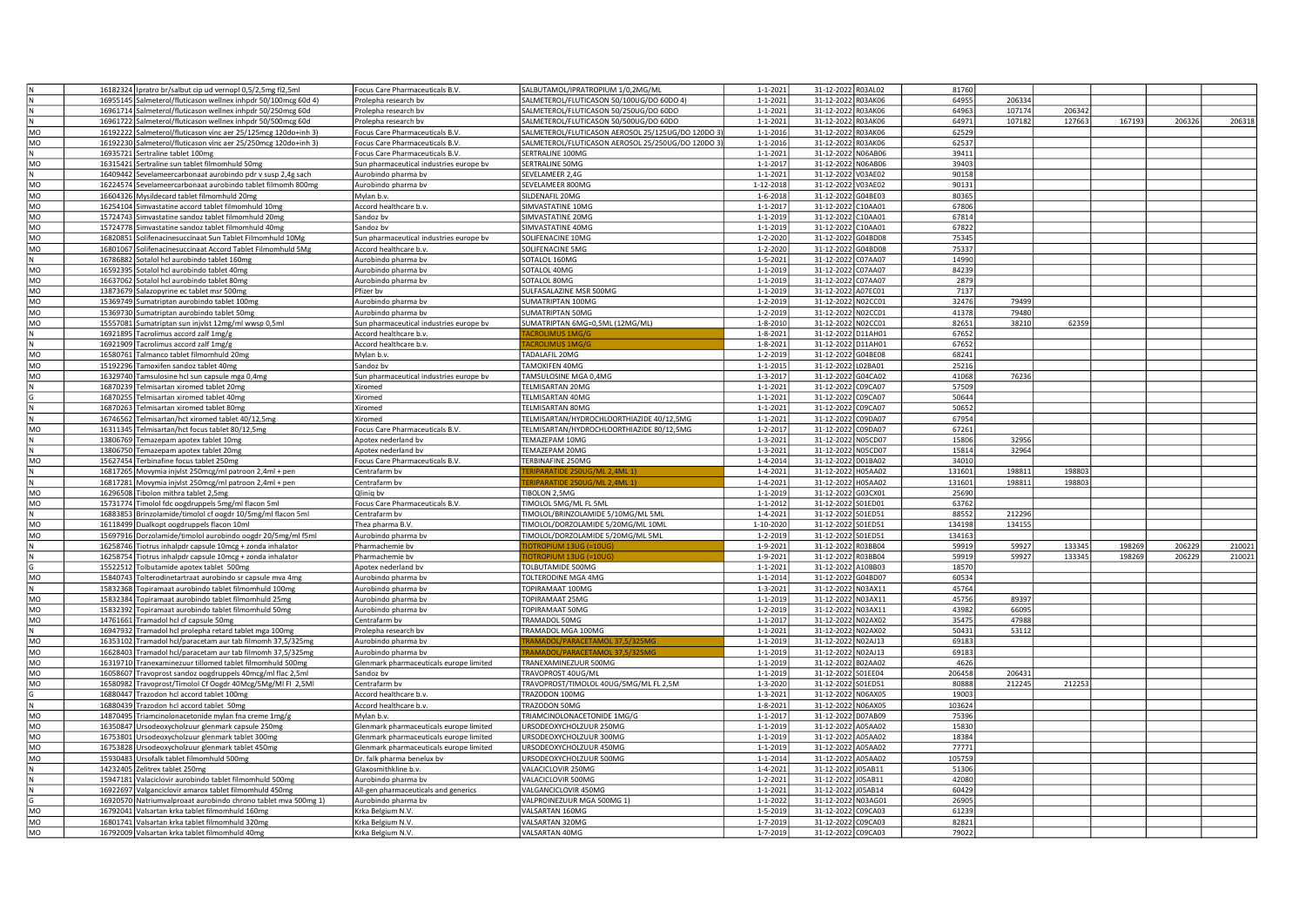|           | 16182324 Ipratro br/salbut cip ud vernopl 0,5/2,5mg fl2,5ml                                                       | <b>Focus Care Pharmaceuticals B.V</b>   | SALBUTAMOL/IPRATROPIUM 1/0,2MG/ML                 | $1 - 1 - 2021$ | 31-12-2022 R03AL02 |         | 81760  |        |        |        |        |        |
|-----------|-------------------------------------------------------------------------------------------------------------------|-----------------------------------------|---------------------------------------------------|----------------|--------------------|---------|--------|--------|--------|--------|--------|--------|
|           | 16955145 Salmeterol/fluticason wellnex inhpdr 50/100mcg 60d 4)                                                    | Prolepha research bv                    | SALMETEROL/FLUTICASON 50/100UG/DO 60DO 4)         | $1 - 1 - 2021$ | 31-12-2022 R03AK06 |         | 64955  | 206334 |        |        |        |        |
|           | 16961714 Salmeterol/fluticason wellnex inhpdr 50/250mcg 60d                                                       | Prolepha research by                    | SALMETEROL/FLUTICASON 50/250UG/DO 60DO            | $1 - 1 - 2021$ | 31-12-2022 R03AK06 |         | 64963  | 107174 | 206342 |        |        |        |
|           | 16961722 Salmeterol/fluticason wellnex inhpdr 50/500mcg 60d                                                       | Prolepha research bv                    | SALMETEROL/FLUTICASON 50/500UG/DO 60DO            | $1 - 1 - 2021$ | 31-12-2022 R03AK06 |         | 64971  | 107182 | 127663 | 167193 | 206326 | 206318 |
| MO        | 16192222 Salmeterol/fluticason vinc aer 25/125mcg 120do+inh 3)                                                    | Ocus Care Pharmaceuticals B.V.          | SALMETEROL/FLUTICASON AEROSOL 25/125UG/DO 120DO 3 | 1-1-2016       | 31-12-2022 R03AK06 |         | 62529  |        |        |        |        |        |
| MO        | 16192230 Salmeterol/fluticason vinc aer 25/250mcg 120do+inh 3)                                                    | Ocus Care Pharmaceuticals B.V.          | SALMETEROL/FLUTICASON AEROSOL 25/250UG/DO 120DO 3 | $1 - 1 - 2016$ | 31-12-2022 R03AK06 |         | 62537  |        |        |        |        |        |
|           | 16935721 Sertraline tablet 100mg                                                                                  | Ocus Care Pharmaceuticals B.V.          | SERTRALINE 100MG                                  | $1 - 1 - 2021$ | 31-12-2022 N06AB06 |         | 39411  |        |        |        |        |        |
| MO        | 16315421 Sertraline sun tablet filmomhuld 50mg                                                                    | Sun pharmaceutical industries europe bv | SERTRALINE 50MG                                   | $1 - 1 - 201$  | 31-12-2022 N06AB06 |         | 39403  |        |        |        |        |        |
|           | 16409442 Sevelameercarbonaat aurobindo pdr v susp 2,4g sach                                                       | Aurobindo pharma bv                     | SEVELAMEER 2,4G                                   | $1 - 1 - 2021$ | 31-12-2022 V03AE02 |         | 90158  |        |        |        |        |        |
| MO        | 16224574 Sevelameercarbonaat aurobindo tablet filmomh 800mg                                                       | Aurobindo pharma bv                     | SEVELAMEER 800MG                                  | 1-12-2018      | 31-12-2022 V03AE02 |         | 90131  |        |        |        |        |        |
| MO        |                                                                                                                   |                                         | SILDENAFIL 20MG                                   | $1 - 6 - 2018$ | 31-12-2022 G04BE03 |         | 80365  |        |        |        |        |        |
|           | 16604326 Mysildecard tablet filmomhuld 20mg                                                                       | Mylan b.v.                              |                                                   | $1 - 1 - 2017$ |                    |         | 67806  |        |        |        |        |        |
| MO        | 16254104 Simvastatine accord tablet filmomhuld 10mg                                                               | Accord healthcare b.v.                  | SIMVASTATINE 10MG                                 |                | 31-12-2022 C10AA01 |         |        |        |        |        |        |        |
| MO        | 15724743 Simvastatine sandoz tablet filmomhuld 20mg                                                               | Sandoz bv                               | SIMVASTATINE 20MG                                 | 1-1-2019       | 31-12-2022 C10AA01 |         | 67814  |        |        |        |        |        |
| MO        | 15724778 Simvastatine sandoz tablet filmomhuld 40mg                                                               | Sandoz bv                               | SIMVASTATINE 40MG                                 | $1 - 1 - 2019$ | 31-12-2022 C10AA01 |         | 67822  |        |        |        |        |        |
| MO        | 16820851 Solifenacinesuccinaat Sun Tablet Filmomhuld 10Mg                                                         | Sun pharmaceutical industries europe bv | SOLIFENACINE 10MG                                 | $1 - 2 - 2020$ | 31-12-2022 G04BD08 |         | 75345  |        |        |        |        |        |
| <b>MO</b> | 16801067 Solifenacinesuccinaat Accord Tablet Filmomhuld 5Mg                                                       | Accord healthcare b.v.                  | SOLIFENACINE 5MG                                  | $1 - 2 - 2020$ | 31-12-2022 G04BD08 |         | 75337  |        |        |        |        |        |
| l N       | 16786882 Sotalol hcl aurobindo tablet 160mg                                                                       | Aurobindo pharma bv                     | SOTALOL 160MG                                     | $1 - 5 - 2021$ | 31-12-2022 C07AA07 |         | 14990  |        |        |        |        |        |
| MO        | 16592395 Sotalol hcl aurobindo tablet 40mg                                                                        | Aurobindo pharma bv                     | SOTALOL 40MG                                      | $1 - 1 - 2019$ | 31-12-2022 C07AA07 |         | 84239  |        |        |        |        |        |
| MO        | 16637062 Sotalol hcl aurobindo tablet 80mg                                                                        | Aurobindo pharma bv                     | SOTALOL 80MG                                      | $1 - 1 - 201$  | 31-12-2022 C07AA07 |         | 2879   |        |        |        |        |        |
| MO        | 13873679 Salazopyrine ec tablet msr 500mg                                                                         | Pfizer bv                               | SULFASALAZINE MSR 500MG                           | $1 - 1 - 2019$ | 31-12-2022 A07EC01 |         | 7137   |        |        |        |        |        |
| MO        | 15369749 Sumatriptan aurobindo tablet 100mg                                                                       | Aurobindo pharma bv                     | SUMATRIPTAN 100MG                                 | $1 - 2 - 201$  | 31-12-2022 N02CC01 |         | 32476  | 79499  |        |        |        |        |
| <b>MO</b> | 15369730 Sumatriptan aurobindo tablet 50mg                                                                        | Aurobindo pharma bv                     | SUMATRIPTAN 50MG                                  | 1-2-2019       | 31-12-2022 N02CC01 |         | 41378  | 79480  |        |        |        |        |
| MO        | 15557081 Sumatriptan sun injvlst 12mg/ml wwsp 0,5ml                                                               | Sun pharmaceutical industries europe bv | SUMATRIPTAN 6MG=0,5ML (12MG/ML)                   | $1 - 8 - 2010$ | 31-12-2022 N02CC01 |         | 82651  | 38210  | 62359  |        |        |        |
|           | 16921895 Tacrolimus accord zalf 1mg/                                                                              | Accord healthcare b.v.                  |                                                   | $1 - 8 - 2021$ | 31-12-2022 D11AH01 |         | 67652  |        |        |        |        |        |
|           |                                                                                                                   |                                         |                                                   | $1 - 8 - 2021$ |                    |         | 67652  |        |        |        |        |        |
|           | 16921909 Tacrolimus accord zalf 1mg/g                                                                             | Accord healthcare b.v.                  |                                                   |                | 31-12-2022 D11AH01 |         | 68241  |        |        |        |        |        |
| MO        | 16580761 Talmanco tablet filmomhuld 20mg                                                                          | Mylan b.v.                              | TADALAFIL 20MG                                    | 1-2-2019       | 31-12-2022 G04BE08 |         |        |        |        |        |        |        |
| MO        | 15192296 Tamoxifen sandoz tablet 40mg                                                                             | sandoz by                               | <b>TAMOXIFEN 40MG</b>                             | $1 - 1 - 2015$ | 31-12-2022 L02BA01 |         | 25216  |        |        |        |        |        |
| MO        | 16329740 Tamsulosine hcl sun capsule mga 0,4mg                                                                    | un pharmaceutical industries europe bv  | TAMSULOSINE MGA 0,4MG                             | $1 - 3 - 2017$ | 31-12-2022 G04CA02 |         | 41068  | 76236  |        |        |        |        |
|           | 16870239 Telmisartan xiromed tablet 20mg                                                                          | Kiromed                                 | TELMISARTAN 20MG                                  | $1 - 1 - 2021$ | 31-12-2022 C09CA07 |         | 57509  |        |        |        |        |        |
|           | 16870255 Telmisartan xiromed tablet 40mg                                                                          | Xiromed                                 | TELMISARTAN 40MG                                  | $1 - 1 - 2021$ | 31-12-2022 C09CA07 |         | 50644  |        |        |        |        |        |
|           | 16870263 Telmisartan xiromed tablet 80mg                                                                          | <b>Kiromed</b>                          | TELMISARTAN 80MG                                  | $1 - 1 - 202$  | 31-12-2022 C09CA07 |         | 50652  |        |        |        |        |        |
|           | 16746562 Telmisartan/hct xiromed tablet 40/12,5mg                                                                 | Kiromed                                 | FELMISARTAN/HYDROCHLOORTHIAZIDE 40/12,5MG         | $1 - 1 - 2021$ | 31-12-2022 C09DA07 |         | 67954  |        |        |        |        |        |
| MO        | 16311345 Telmisartan/hct focus tablet 80/12,5mg                                                                   | Ocus Care Pharmaceuticals B.V.          | FELMISARTAN/HYDROCHLOORTHIAZIDE 80/12,5MG         | $1 - 2 - 2017$ | 31-12-2022 C09DA07 |         | 67261  |        |        |        |        |        |
|           | 13806769 Temazepam apotex tablet 10mg                                                                             | Apotex nederland bv                     | TEMAZEPAM 10MG                                    | 1-3-2021       | 31-12-2022 N05CD07 |         | 15806  | 32956  |        |        |        |        |
|           | 13806750 Temazepam apotex tablet 20mg                                                                             | Apotex nederland bv                     | TEMAZEPAM 20MG                                    | 1-3-2021       | 31-12-2022 N05CD07 |         | 15814  | 32964  |        |        |        |        |
| MO        | 15627454 Terbinafine focus tablet 250mg                                                                           | Ocus Care Pharmaceuticals B.V.          | TERBINAFINE 250MG                                 | $1 - 4 - 2014$ | 31-12-2022 D01BA02 |         | 34010  |        |        |        |        |        |
|           | 16817265 Movymia injvlst 250mcg/ml patroon 2,4ml + pen                                                            | Centrafarm by                           | RIPARATIDE 250UG/ML 2,4ML 1                       | $1 - 4 - 2021$ | 31-12-2022 H05AA02 |         | 131601 | 198811 | 198803 |        |        |        |
|           | 16817281 Movymia injvlst 250mcg/ml patroon 2,4ml + pen                                                            | Centrafarm bv                           | ERIPARATIDE 250UG/ML 2,4ML 1                      | $1 - 4 - 2021$ | 31-12-2022 H05AA02 |         | 131601 | 198811 | 198803 |        |        |        |
| MO        | 16296508 Tibolon mithra tablet 2,5mg                                                                              |                                         |                                                   | $1 - 1 - 2019$ | 31-12-2022 G03CX01 |         | 25690  |        |        |        |        |        |
|           |                                                                                                                   | Qliniq bv                               | TIBOLON 2,5MG                                     |                |                    |         |        |        |        |        |        |        |
| MO        | 15731774 Timolol fdc oogdruppels 5mg/ml flacon 5ml                                                                | Focus Care Pharmaceuticals B.V.         | TIMOLOL 5MG/ML FL 5ML                             | $1 - 1 - 2012$ | 31-12-2022 S01ED01 |         | 63762  |        |        |        |        |        |
|           | 16883853 Brinzolamide/timolol cf oogdr 10/5mg/ml flacon 5ml                                                       | Centrafarm bv                           | TIMOLOL/BRINZOLAMIDE 5/10MG/ML 5ML                | 1-4-2021       | 31-12-2022 S01ED51 |         | 88552  | 212296 |        |        |        |        |
| MO        | 16118499 Dualkopt oogdruppels flacon 10ml                                                                         | Thea pharma B.V                         | TIMOLOL/DORZOLAMIDE 5/20MG/ML 10ML                | 1-10-2020      | 31-12-2022 S01ED51 |         | 134198 | 134155 |        |        |        |        |
| <b>MO</b> | 15697916 Dorzolamide/timolol aurobindo oogdr 20/5mg/ml f5ml                                                       | Aurobindo pharma bv                     | TIMOLOL/DORZOLAMIDE 5/20MG/ML 5ML                 | $1 - 2 - 2019$ | 31-12-2022 S01ED51 |         | 134163 |        |        |        |        |        |
|           | 16258746 Tiotrus inhalpdr capsule 10mcg + zonda inhalator                                                         | Pharmachemie bv                         | OTROPIUM 13UG (=10U                               | 1-9-2021       | 31-12-2022 R03BB04 |         | 59919  | 59927  | 133345 | 198269 | 20622  | 210021 |
|           | 16258754 Tiotrus inhalpdr capsule 10mcg + zonda inhalator                                                         | Pharmachemie by                         |                                                   | 1-9-2021       | 31-12-2022 R03BB04 |         | 59919  | 59927  | 133345 | 198269 | 206229 | 210021 |
|           | 15522512 Tolbutamide apotex tablet 500mg                                                                          | Apotex nederland bv                     | TOLBUTAMIDE 500MG                                 | $1 - 1 - 2021$ | 31-12-2022 A10BB03 |         | 18570  |        |        |        |        |        |
| MO        | 15840743 Tolterodinetartraat aurobindo sr capsule mva 4mg                                                         | Aurobindo pharma bv                     | TOLTERODINE MGA 4MG                               | $1 - 1 - 2014$ | 31-12-2022 G04BD07 |         | 60534  |        |        |        |        |        |
|           | 15832368 Topiramaat aurobindo tablet filmomhuld 100mg                                                             | Aurobindo pharma bv                     | TOPIRAMAAT 100MG                                  | $1 - 3 - 2021$ | 31-12-2022 N03AX11 |         | 45764  |        |        |        |        |        |
| MO        | 15832384 Topiramaat aurobindo tablet filmomhuld 25mg                                                              | Aurobindo pharma bv                     | TOPIRAMAAT 25MG                                   | 1-1-2019       | 31-12-2022 N03AX11 |         | 45756  | 89397  |        |        |        |        |
| MO        | 15832392 Topiramaat aurobindo tablet filmomhuld 50mg                                                              | Aurobindo pharma bv                     | TOPIRAMAAT 50MG                                   | $1 - 2 - 201$  | 31-12-2022 N03AX11 |         | 43982  | 66095  |        |        |        |        |
| MO        | 14761661 Tramadol hcl cf capsule 50mg                                                                             | Centrafarm by                           | <b>TRAMADOL 50MG</b>                              | $1 - 1 - 201$  | 31-12-2022 N02AX02 |         | 35475  | 47988  |        |        |        |        |
|           | 16947932 Tramadol hcl prolepha retard tablet mga 100mg                                                            | Prolepha research bv                    | <b>TRAMADOL MGA 100MG</b>                         | $1 - 1 - 202$  | 31-12-2022 N02AX02 |         | 50431  | 53112  |        |        |        |        |
| MO        | 16353102 Tramadol hcl/paracetam aur tab filmomh 37,5/325mg                                                        | Aurobindo pharma bv                     | RAMADOL/PARACETAMOL 37,5/325MG                    | $1 - 1 - 2019$ | 31-12-2022 N02AJ13 |         | 69183  |        |        |        |        |        |
| MO        | 16628403 Tramadol hcl/paracetam aur tab filmomh 37,5/325mg                                                        |                                         | RAMADOL/PARACETAMOL 37.5/325MG                    | $1 - 1 - 2019$ | 31-12-2022 N02AJ13 |         | 69183  |        |        |        |        |        |
| MO        |                                                                                                                   | Aurobindo pharma bv                     |                                                   | 1-1-2019       |                    |         | 4626   |        |        |        |        |        |
|           | 16319710 Tranexaminezuur tillomed tablet filmomhuld 500mg                                                         | Glenmark pharmaceuticals europe limited | TRANEXAMINEZUUR 500MG                             |                | 31-12-2022 B02AA02 |         |        |        |        |        |        |        |
| MO        | 16058607 Travoprost sandoz oogdruppels 40mcg/ml flac 2,5ml                                                        | Sandoz bv                               | TRAVOPROST 40UG/ML                                | 1-1-2019       | 31-12-2022 S01EE04 |         | 206458 | 20643  |        |        |        |        |
| MO        | 16580982 Travoprost/Timolol Cf Oogdr 40Mcg/5Mg/MI FI 2,5MI                                                        | Centrafarm bv                           | TRAVOPROST/TIMOLOL 40UG/5MG/ML FL 2,5M            | $1 - 3 - 2020$ | 31-12-2022 S01ED51 |         | 80888  | 212245 | 212253 |        |        |        |
|           | 16880447 Trazodon hcl accord tablet 100mg                                                                         | Accord healthcare b.v.                  | TRAZODON 100MG                                    | $1 - 3 - 2021$ | 31-12-2022 N06AX05 |         | 19003  |        |        |        |        |        |
|           | 16880439 Trazodon hcl accord tablet 50mg                                                                          | Accord healthcare b.v.                  | TRAZODON 50MG                                     | $1 - 8 - 2021$ | 31-12-2022 N06AX05 |         | 103624 |        |        |        |        |        |
| MO        | 14870495 Triamcinolonacetonide mylan fna creme 1mg/g                                                              | Mylan b.v.                              | TRIAMCINOLONACETONIDE 1MG/G                       | $1 - 1 - 201$  | 31-12-2022 D07AB09 |         | 75396  |        |        |        |        |        |
| MO        | 16350847 Ursodeoxycholzuur glenmark capsule 250mg                                                                 | Glenmark pharmaceuticals europe limited | URSODEOXYCHOLZUUR 250MG                           | $1 - 1 - 2019$ | 31-12-2022 A05AA02 |         | 15830  |        |        |        |        |        |
| MO        | 16753801 Ursodeoxycholzuur glenmark tablet 300mg                                                                  | Glenmark pharmaceuticals europe limited | URSODEOXYCHOLZUUR 300MG                           | 1-1-2019       | 31-12-2022 A05AA02 |         | 18384  |        |        |        |        |        |
| MO        | 16753828 Ursodeoxycholzuur glenmark tablet 450mg                                                                  | Glenmark pharmaceuticals europe limited | URSODEOXYCHOLZUUR 450MG                           | $1 - 1 - 2019$ | 31-12-2022 A05AA02 |         | 77771  |        |        |        |        |        |
| <b>MO</b> | 15930483 Ursofalk tablet filmomhuld 500mg                                                                         | Dr. falk pharma benelux bv              | URSODEOXYCHOLZUUR 500MG                           | $1 - 1 - 2014$ | 31-12-2022 A05AA02 |         | 105759 |        |        |        |        |        |
|           | 14232405 Zelitrex tablet 250mg                                                                                    | Glaxosmithkline b.v                     | VALACICLOVIR 250MG                                | 1-4-2021       | 31-12-2022 J05AB11 |         | 51306  |        |        |        |        |        |
|           | 15947181 Valaciclovir aurobindo tablet filmomhuld 500mg                                                           | Aurobindo pharma bv                     | VALACICLOVIR 500MG                                | $1 - 2 - 2021$ | 31-12-2022 J05AB11 |         | 42080  |        |        |        |        |        |
|           | 16922697 Valganciclovir amarox tablet filmomhuld 450mg                                                            | All-gen pharmaceuticals and generics    | VALGANCICLOVIR 450MG                              | $1 - 1 - 2021$ | 31-12-2022         | J05AB14 | 60429  |        |        |        |        |        |
|           |                                                                                                                   |                                         | VALPROINEZUUR MGA 500MG 1)                        | 1-1-2022       | 31-12-2022 N03AG01 |         | 26905  |        |        |        |        |        |
| MO        | 16920570 Natriumvalproaat aurobindo chrono tablet mva 500mg 1)<br>16792041 Valsartan krka tablet filmomhuld 160mg | Aurobindo pharma bv                     | VALSARTAN 160MG                                   | $1 - 5 - 2019$ | 31-12-2022 C09CA03 |         | 61239  |        |        |        |        |        |
| MO        |                                                                                                                   | Krka Belgium N.V.                       | VALSARTAN 320MG                                   | 1-7-2019       | 31-12-2022 C09CA03 |         | 82821  |        |        |        |        |        |
|           | 16801741 Valsartan krka tablet filmomhuld 320mg                                                                   | Krka Belgium N.V.                       |                                                   |                |                    |         |        |        |        |        |        |        |
| MO        | 16792009 Valsartan krka tablet filmomhuld 40mg                                                                    | Krka Belgium N.V.                       | VALSARTAN 40MG                                    | 1-7-2019       | 31-12-2022 C09CA03 |         | 79022  |        |        |        |        |        |